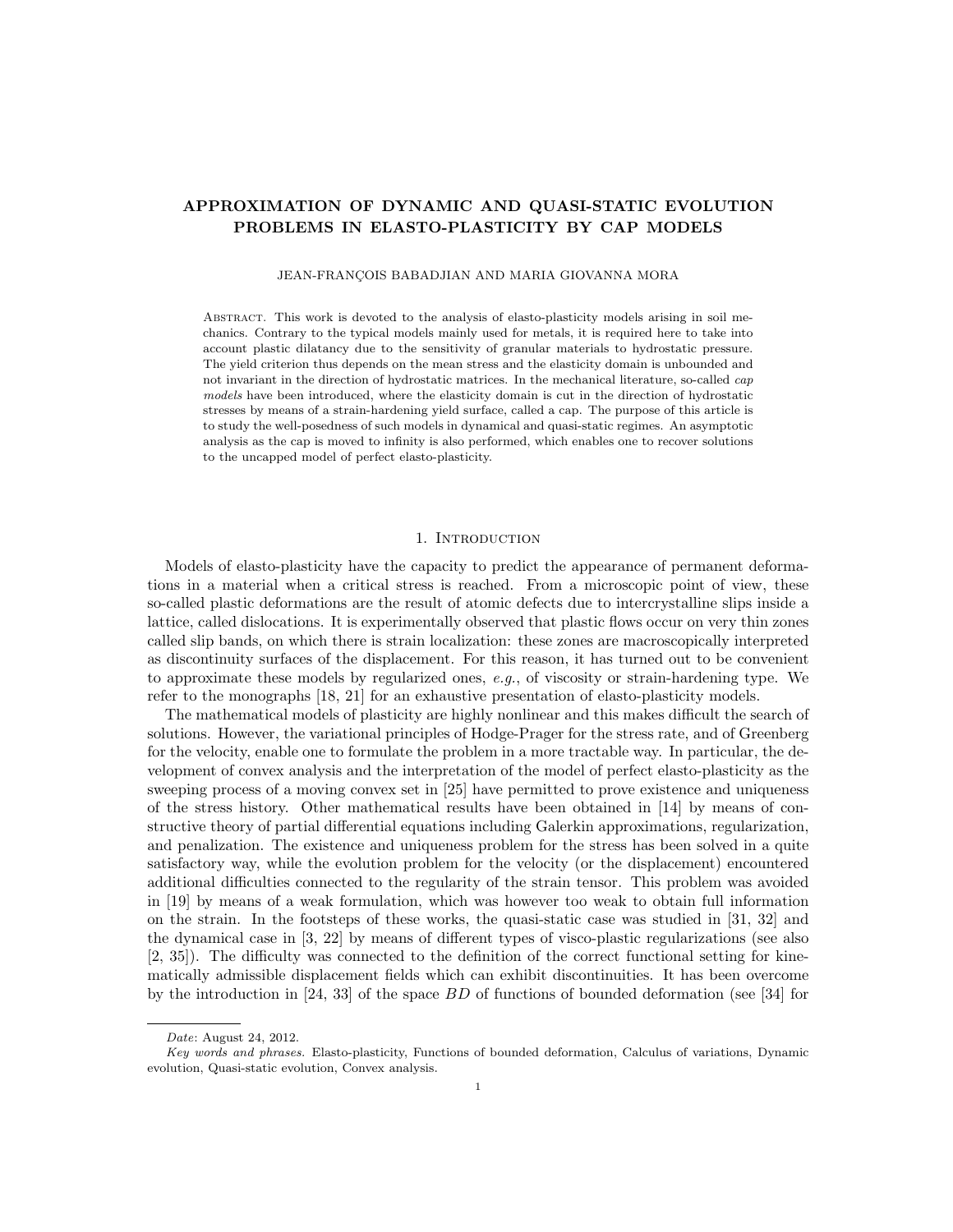# APPROXIMATION OF DYNAMIC AND QUASI-STATIC EVOLUTION PROBLEMS IN ELASTO-PLASTICITY BY CAP MODELS

### JEAN-FRANÇOIS BABADJIAN AND MARIA GIOVANNA MORA

Abstract. This work is devoted to the analysis of elasto-plasticity models arising in soil mechanics. Contrary to the typical models mainly used for metals, it is required here to take into account plastic dilatancy due to the sensitivity of granular materials to hydrostatic pressure. The yield criterion thus depends on the mean stress and the elasticity domain is unbounded and not invariant in the direction of hydrostatic matrices. In the mechanical literature, so-called cap models have been introduced, where the elasticity domain is cut in the direction of hydrostatic stresses by means of a strain-hardening yield surface, called a cap. The purpose of this article is to study the well-posedness of such models in dynamical and quasi-static regimes. An asymptotic analysis as the cap is moved to infinity is also performed, which enables one to recover solutions to the uncapped model of perfect elasto-plasticity.

# 1. INTRODUCTION

Models of elasto-plasticity have the capacity to predict the appearance of permanent deformations in a material when a critical stress is reached. From a microscopic point of view, these so-called plastic deformations are the result of atomic defects due to intercrystalline slips inside a lattice, called dislocations. It is experimentally observed that plastic flows occur on very thin zones called slip bands, on which there is strain localization: these zones are macroscopically interpreted as discontinuity surfaces of the displacement. For this reason, it has turned out to be convenient to approximate these models by regularized ones,  $e.g.,$  of viscosity or strain-hardening type. We refer to the monographs [18, 21] for an exhaustive presentation of elasto-plasticity models.

The mathematical models of plasticity are highly nonlinear and this makes difficult the search of solutions. However, the variational principles of Hodge-Prager for the stress rate, and of Greenberg for the velocity, enable one to formulate the problem in a more tractable way. In particular, the development of convex analysis and the interpretation of the model of perfect elasto-plasticity as the sweeping process of a moving convex set in [25] have permitted to prove existence and uniqueness of the stress history. Other mathematical results have been obtained in [14] by means of constructive theory of partial differential equations including Galerkin approximations, regularization, and penalization. The existence and uniqueness problem for the stress has been solved in a quite satisfactory way, while the evolution problem for the velocity (or the displacement) encountered additional difficulties connected to the regularity of the strain tensor. This problem was avoided in [19] by means of a weak formulation, which was however too weak to obtain full information on the strain. In the footsteps of these works, the quasi-static case was studied in [31, 32] and the dynamical case in [3, 22] by means of different types of visco-plastic regularizations (see also [2, 35]). The difficulty was connected to the definition of the correct functional setting for kinematically admissible displacement fields which can exhibit discontinuities. It has been overcome by the introduction in  $[24, 33]$  of the space  $BD$  of functions of bounded deformation (see  $[34]$  for

Date: August 24, 2012.

Key words and phrases. Elasto-plasticity, Functions of bounded deformation, Calculus of variations, Dynamic evolution, Quasi-static evolution, Convex analysis.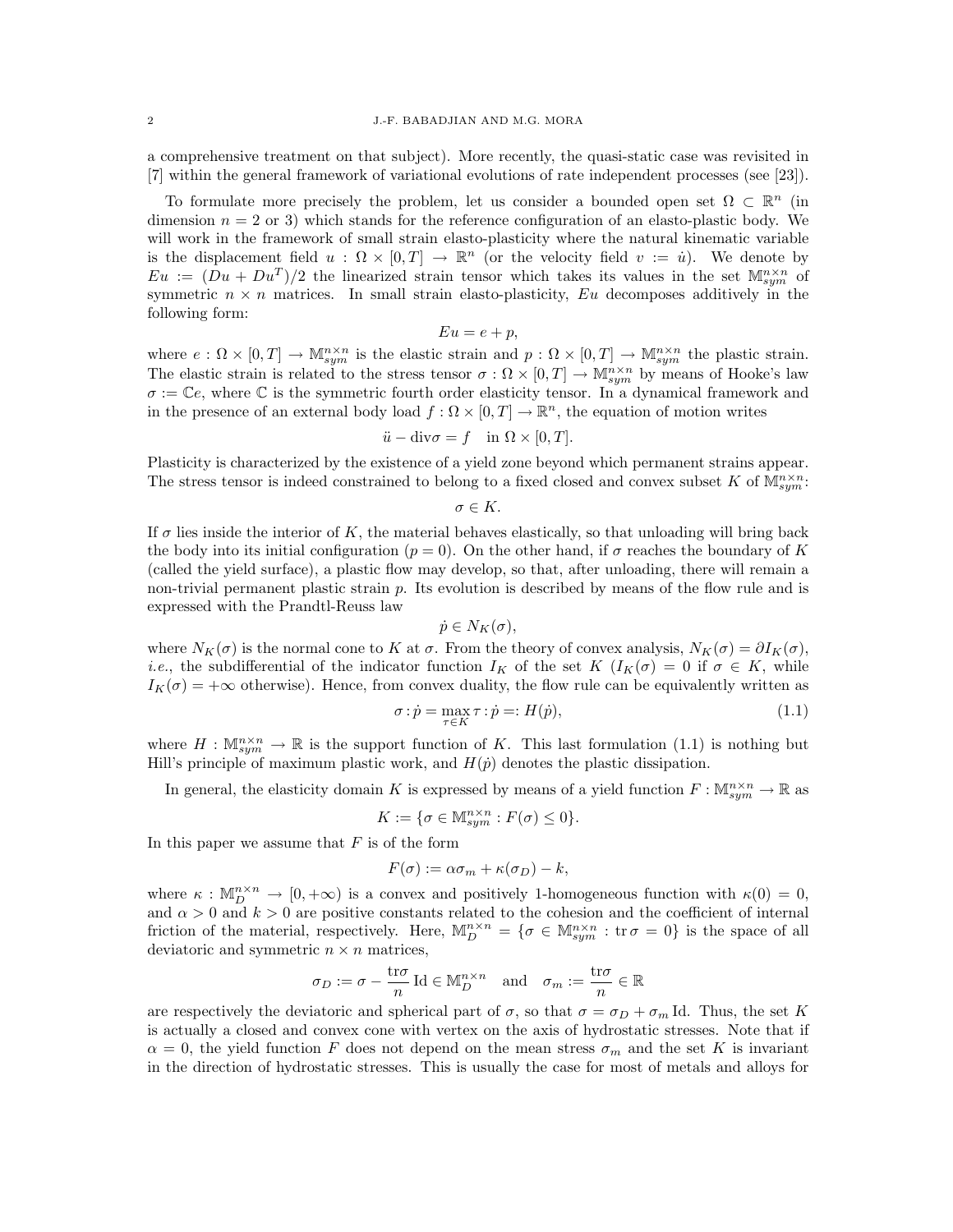a comprehensive treatment on that subject). More recently, the quasi-static case was revisited in [7] within the general framework of variational evolutions of rate independent processes (see [23]).

To formulate more precisely the problem, let us consider a bounded open set  $\Omega \subset \mathbb{R}^n$  (in dimension  $n = 2$  or 3) which stands for the reference configuration of an elasto-plastic body. We will work in the framework of small strain elasto-plasticity where the natural kinematic variable is the displacement field  $u : \Omega \times [0,T] \to \mathbb{R}^n$  (or the velocity field  $v := \dot{u}$ ). We denote by  $Eu := (Du + Du<sup>T</sup>)/2$  the linearized strain tensor which takes its values in the set  $\mathbb{M}^{n \times n}_{sym}$  of symmetric  $n \times n$  matrices. In small strain elasto-plasticity, Eu decomposes additively in the following form:

$$
Eu = e + p,
$$

where  $e : \Omega \times [0,T] \to \mathbb{M}^{n \times n}_{sym}$  is the elastic strain and  $p : \Omega \times [0,T] \to \mathbb{M}^{n \times n}_{sym}$  the plastic strain. The elastic strain is related to the stress tensor  $\sigma : \Omega \times [0,T] \to \mathbb{M}_{sym}^{n \times n}$  by means of Hooke's law  $\sigma := \mathbb{C}e$ , where  $\mathbb C$  is the symmetric fourth order elasticity tensor. In a dynamical framework and in the presence of an external body load  $f : \Omega \times [0, T] \to \mathbb{R}^n$ , the equation of motion writes

$$
\ddot{u} - \text{div}\sigma = f \quad \text{in } \Omega \times [0, T].
$$

Plasticity is characterized by the existence of a yield zone beyond which permanent strains appear. The stress tensor is indeed constrained to belong to a fixed closed and convex subset K of  $\mathbb{M}^{n \times n}_{sym}$ .

 $\sigma \in K$ .

If  $\sigma$  lies inside the interior of K, the material behaves elastically, so that unloading will bring back the body into its initial configuration ( $p = 0$ ). On the other hand, if  $\sigma$  reaches the boundary of K (called the yield surface), a plastic flow may develop, so that, after unloading, there will remain a non-trivial permanent plastic strain  $p$ . Its evolution is described by means of the flow rule and is expressed with the Prandtl-Reuss law

$$
\dot{p} \in N_K(\sigma),
$$

where  $N_K(\sigma)$  is the normal cone to K at  $\sigma$ . From the theory of convex analysis,  $N_K(\sigma) = \partial I_K(\sigma)$ , *i.e.*, the subdifferential of the indicator function  $I_K$  of the set  $K$  ( $I_K(\sigma) = 0$  if  $\sigma \in K$ , while  $I_K(\sigma) = +\infty$  otherwise). Hence, from convex duality, the flow rule can be equivalently written as

$$
\sigma: \dot{p} = \max_{\tau \in K} \tau : \dot{p} =: H(\dot{p}),\tag{1.1}
$$

where  $H: \mathbb{M}^{n \times n}_{sym} \to \mathbb{R}$  is the support function of K. This last formulation (1.1) is nothing but Hill's principle of maximum plastic work, and  $H(\dot{p})$  denotes the plastic dissipation.

In general, the elasticity domain K is expressed by means of a yield function  $F: \mathbb{M}^{n \times n}_{sym} \to \mathbb{R}$  as

$$
K := \{ \sigma \in \mathbb{M}^{n \times n}_{sym} : F(\sigma) \le 0 \}.
$$

In this paper we assume that  $F$  is of the form

$$
F(\sigma) := \alpha \sigma_m + \kappa(\sigma_D) - k,
$$

where  $\kappa : \mathbb{M}_{D}^{n \times n} \to [0, +\infty)$  is a convex and positively 1-homogeneous function with  $\kappa(0) = 0$ , and  $\alpha > 0$  and  $k > 0$  are positive constants related to the cohesion and the coefficient of internal friction of the material, respectively. Here,  $\mathbb{M}_{D}^{n\times n} = \{\sigma \in \mathbb{M}_{sym}^{n\times n} : \text{tr } \sigma = 0\}$  is the space of all deviatoric and symmetric  $n \times n$  matrices,

$$
\sigma_D := \sigma - \frac{\mathrm{tr} \sigma}{n} \operatorname{Id} \in \mathbb{M}_D^{n \times n} \quad \text{and} \quad \sigma_m := \frac{\mathrm{tr} \sigma}{n} \in \mathbb{R}
$$

are respectively the deviatoric and spherical part of  $\sigma$ , so that  $\sigma = \sigma_D + \sigma_m$  Id. Thus, the set K is actually a closed and convex cone with vertex on the axis of hydrostatic stresses. Note that if  $\alpha = 0$ , the yield function F does not depend on the mean stress  $\sigma_m$  and the set K is invariant in the direction of hydrostatic stresses. This is usually the case for most of metals and alloys for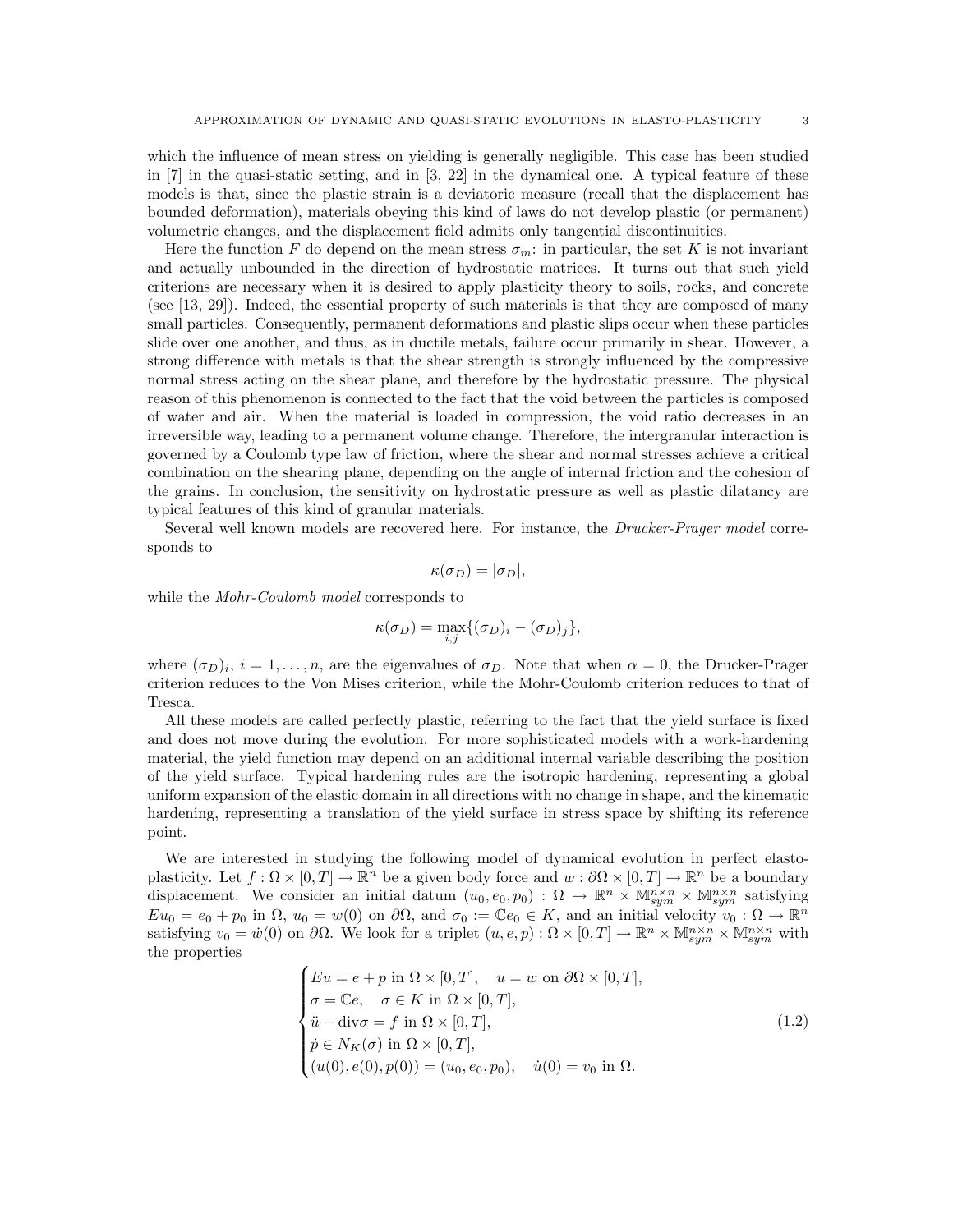which the influence of mean stress on yielding is generally negligible. This case has been studied in  $|7|$  in the quasi-static setting, and in  $|3, 22|$  in the dynamical one. A typical feature of these models is that, since the plastic strain is a deviatoric measure (recall that the displacement has bounded deformation), materials obeying this kind of laws do not develop plastic (or permanent) volumetric changes, and the displacement field admits only tangential discontinuities.

Here the function F do depend on the mean stress  $\sigma_m$ : in particular, the set K is not invariant and actually unbounded in the direction of hydrostatic matrices. It turns out that such yield criterions are necessary when it is desired to apply plasticity theory to soils, rocks, and concrete (see [13, 29]). Indeed, the essential property of such materials is that they are composed of many small particles. Consequently, permanent deformations and plastic slips occur when these particles slide over one another, and thus, as in ductile metals, failure occur primarily in shear. However, a strong difference with metals is that the shear strength is strongly influenced by the compressive normal stress acting on the shear plane, and therefore by the hydrostatic pressure. The physical reason of this phenomenon is connected to the fact that the void between the particles is composed of water and air. When the material is loaded in compression, the void ratio decreases in an irreversible way, leading to a permanent volume change. Therefore, the intergranular interaction is governed by a Coulomb type law of friction, where the shear and normal stresses achieve a critical combination on the shearing plane, depending on the angle of internal friction and the cohesion of the grains. In conclusion, the sensitivity on hydrostatic pressure as well as plastic dilatancy are typical features of this kind of granular materials.

Several well known models are recovered here. For instance, the Drucker-Prager model corresponds to

$$
\kappa(\sigma_D)=|\sigma_D|,
$$

while the *Mohr-Coulomb* model corresponds to

$$
\kappa(\sigma_D) = \max_{i,j} \{ (\sigma_D)_i - (\sigma_D)_j \},
$$

where  $(\sigma_D)_i$ ,  $i = 1, \ldots, n$ , are the eigenvalues of  $\sigma_D$ . Note that when  $\alpha = 0$ , the Drucker-Prager criterion reduces to the Von Mises criterion, while the Mohr-Coulomb criterion reduces to that of Tresca.

All these models are called perfectly plastic, referring to the fact that the yield surface is fixed and does not move during the evolution. For more sophisticated models with a work-hardening material, the yield function may depend on an additional internal variable describing the position of the yield surface. Typical hardening rules are the isotropic hardening, representing a global uniform expansion of the elastic domain in all directions with no change in shape, and the kinematic hardening, representing a translation of the yield surface in stress space by shifting its reference point.

We are interested in studying the following model of dynamical evolution in perfect elastoplasticity. Let  $f: \Omega \times [0,T] \to \mathbb{R}^n$  be a given body force and  $w: \partial \Omega \times [0,T] \to \mathbb{R}^n$  be a boundary displacement. We consider an initial datum  $(u_0, e_0, p_0) : \Omega \to \mathbb{R}^n \times \mathbb{M}^{n \times n}_{sym} \times \mathbb{M}^{n \times n}_{sym}$  satisfying  $Eu_0 = e_0 + p_0$  in  $\Omega$ ,  $u_0 = w(0)$  on  $\partial\Omega$ , and  $\sigma_0 := \mathbb{C}e_0 \in K$ , and an initial velocity  $v_0 : \Omega \to \mathbb{R}^n$ satisfying  $v_0 = \dot{w}(0)$  on  $\partial\Omega$ . We look for a triplet  $(u, e, p) : \Omega \times [0, T] \to \mathbb{R}^n \times \mathbb{M}^{n \times n}_{sym} \times \mathbb{M}^{n \times n}_{sym}$  with the properties

$$
\begin{cases}\nEu = e + p \text{ in } \Omega \times [0, T], & u = w \text{ on } \partial\Omega \times [0, T], \\
\sigma = \mathbb{C}e, & \sigma \in K \text{ in } \Omega \times [0, T], \\
\ddot{u} - \text{div}\sigma = f \text{ in } \Omega \times [0, T], \\
\dot{p} \in N_K(\sigma) \text{ in } \Omega \times [0, T], \\
(u(0), e(0), p(0)) = (u_0, e_0, p_0), & \dot{u}(0) = v_0 \text{ in } \Omega.\n\end{cases}
$$
\n(1.2)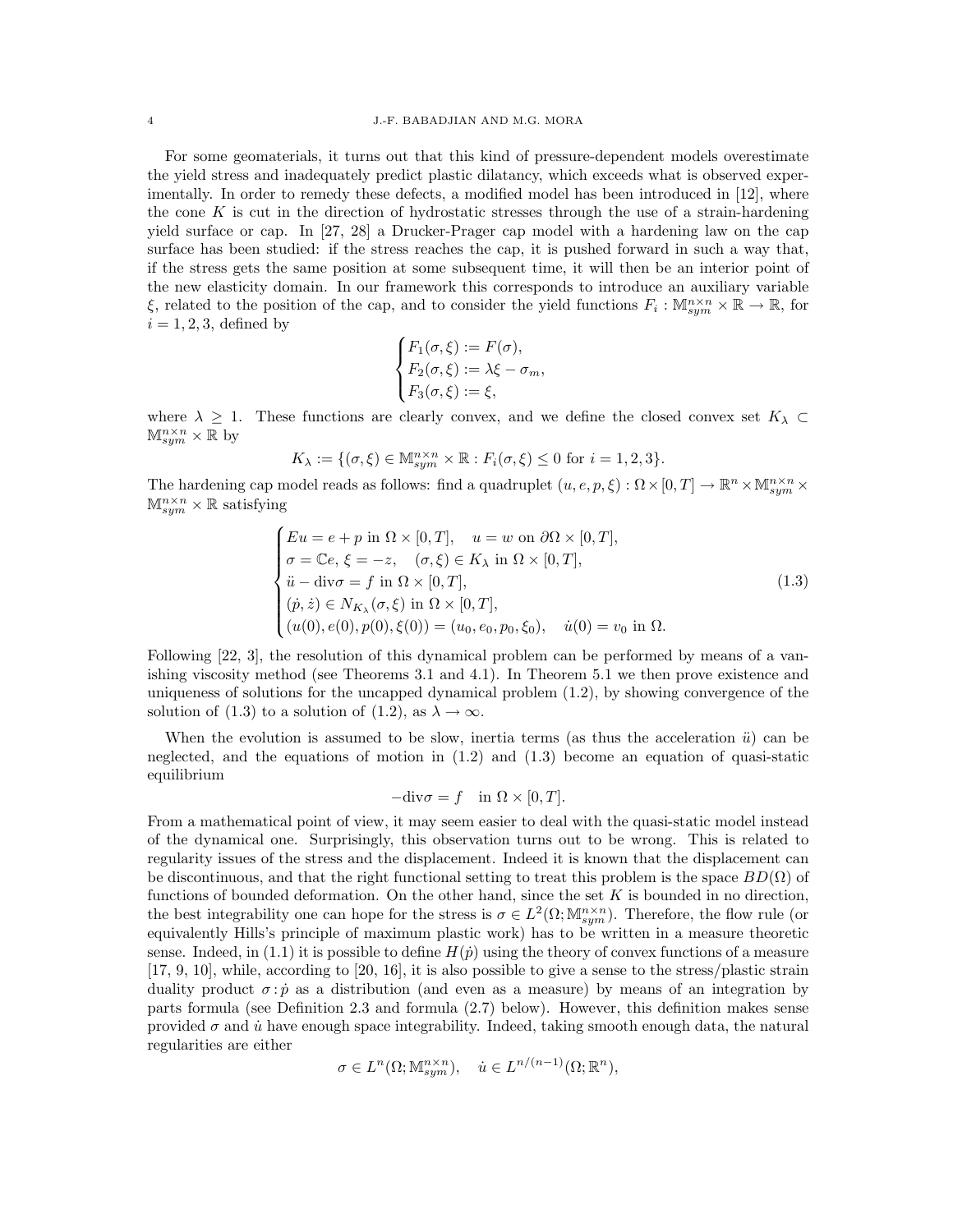For some geomaterials, it turns out that this kind of pressure-dependent models overestimate the yield stress and inadequately predict plastic dilatancy, which exceeds what is observed experimentally. In order to remedy these defects, a modified model has been introduced in [12], where the cone K is cut in the direction of hydrostatic stresses through the use of a strain-hardening yield surface or cap. In [27, 28] a Drucker-Prager cap model with a hardening law on the cap surface has been studied: if the stress reaches the cap, it is pushed forward in such a way that, if the stress gets the same position at some subsequent time, it will then be an interior point of the new elasticity domain. In our framework this corresponds to introduce an auxiliary variable ξ, related to the position of the cap, and to consider the yield functions  $F_i: \mathbb{M}_{sym}^{n \times n} \times \mathbb{R} \to \mathbb{R}$ , for  $i = 1, 2, 3$ , defined by

$$
\begin{cases}\nF_1(\sigma,\xi) := F(\sigma), \\
F_2(\sigma,\xi) := \lambda\xi - \sigma_m, \\
F_3(\sigma,\xi) := \xi,\n\end{cases}
$$

where  $\lambda \geq 1$ . These functions are clearly convex, and we define the closed convex set  $K_{\lambda} \subset$  $\mathbb{M}^{n \times n}_{sym} \times \mathbb{R}$  by

$$
K_{\lambda} := \{ (\sigma, \xi) \in \mathbb{M}^{n \times n}_{sym} \times \mathbb{R} : F_i(\sigma, \xi) \le 0 \text{ for } i = 1, 2, 3 \}.
$$

The hardening cap model reads as follows: find a quadruplet  $(u, e, p, \xi) : \Omega \times [0, T] \to \mathbb{R}^n \times \mathbb{M}^{n \times n}_{sym} \times$  $\mathbb{M}^{n \times n}_{sym} \times \mathbb{R}$  satisfying

$$
\begin{cases}\nEu = e + p \text{ in } \Omega \times [0, T], & u = w \text{ on } \partial\Omega \times [0, T], \\
\sigma = \mathbb{C}e, \xi = -z, & (\sigma, \xi) \in K_{\lambda} \text{ in } \Omega \times [0, T], \\
\ddot{u} - \text{div}\sigma = f \text{ in } \Omega \times [0, T], \\
(\dot{p}, \dot{z}) \in N_{K_{\lambda}}(\sigma, \xi) \text{ in } \Omega \times [0, T], \\
(u(0), e(0), p(0), \xi(0)) = (u_0, e_0, p_0, \xi_0), & \dot{u}(0) = v_0 \text{ in } \Omega.\n\end{cases}
$$
\n(1.3)

Following [22, 3], the resolution of this dynamical problem can be performed by means of a vanishing viscosity method (see Theorems 3.1 and 4.1). In Theorem 5.1 we then prove existence and uniqueness of solutions for the uncapped dynamical problem (1.2), by showing convergence of the solution of (1.3) to a solution of (1.2), as  $\lambda \to \infty$ .

When the evolution is assumed to be slow, inertia terms (as thus the acceleration  $\ddot{u}$ ) can be neglected, and the equations of motion in (1.2) and (1.3) become an equation of quasi-static equilibrium

$$
-div\sigma = f \quad \text{in } \Omega \times [0, T].
$$

From a mathematical point of view, it may seem easier to deal with the quasi-static model instead of the dynamical one. Surprisingly, this observation turns out to be wrong. This is related to regularity issues of the stress and the displacement. Indeed it is known that the displacement can be discontinuous, and that the right functional setting to treat this problem is the space  $BD(\Omega)$  of functions of bounded deformation. On the other hand, since the set  $K$  is bounded in no direction, the best integrability one can hope for the stress is  $\sigma \in L^2(\Omega;\mathbb{M}^{n\times n}_{sym})$ . Therefore, the flow rule (or equivalently Hills's principle of maximum plastic work) has to be written in a measure theoretic sense. Indeed, in (1.1) it is possible to define  $H(\vec{p})$  using the theory of convex functions of a measure [17, 9, 10], while, according to [20, 16], it is also possible to give a sense to the stress/plastic strain duality product  $\sigma : \dot{p}$  as a distribution (and even as a measure) by means of an integration by parts formula (see Definition 2.3 and formula (2.7) below). However, this definition makes sense provided  $\sigma$  and  $\dot{u}$  have enough space integrability. Indeed, taking smooth enough data, the natural regularities are either

$$
\sigma \in L^n(\Omega; \mathbb{M}^{n \times n}_{sym}), \quad \dot{u} \in L^{n/(n-1)}(\Omega; \mathbb{R}^n),
$$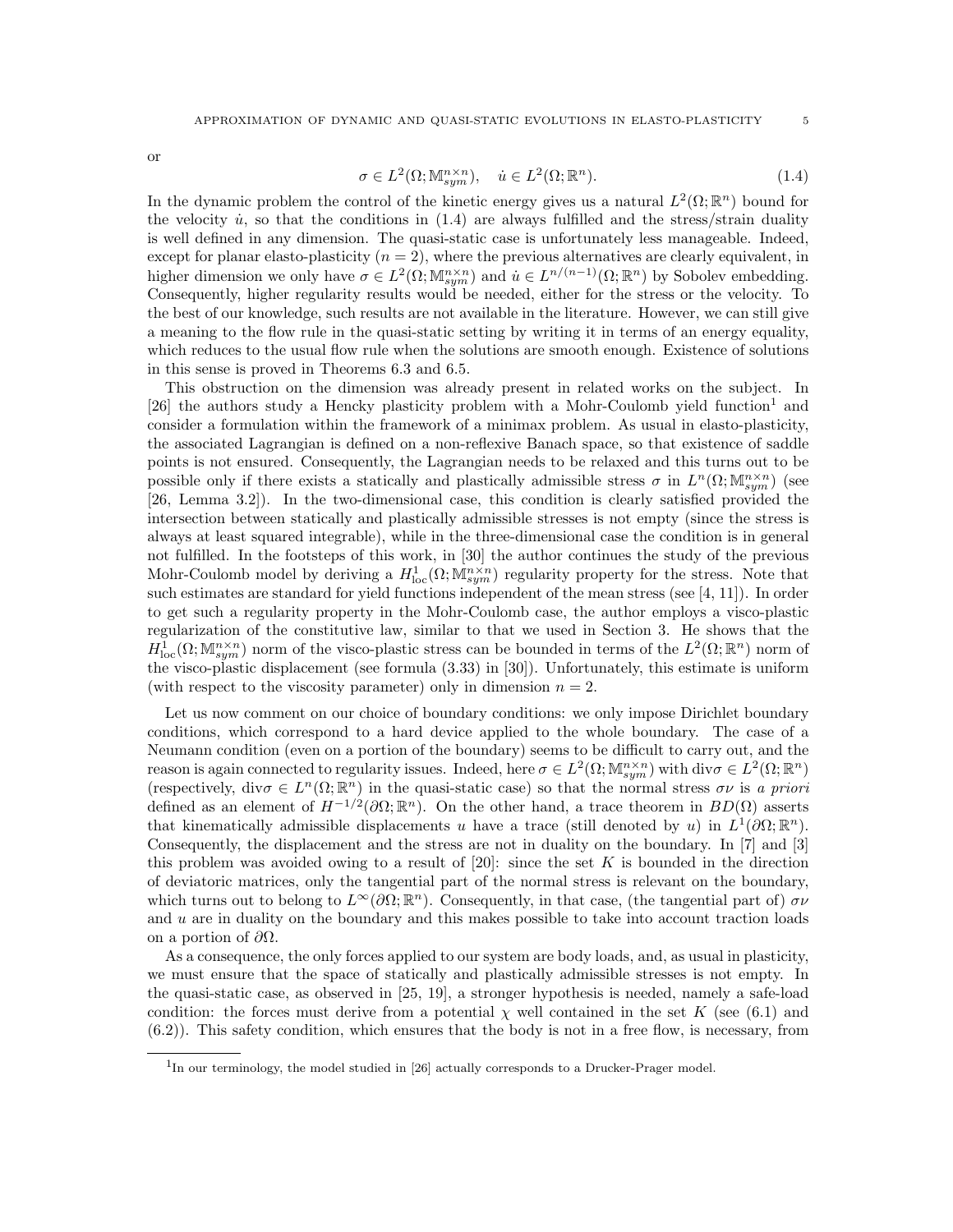or

$$
\sigma \in L^{2}(\Omega; \mathbb{M}^{n \times n}_{sym}), \quad \dot{u} \in L^{2}(\Omega; \mathbb{R}^{n}).
$$
\n(1.4)

In the dynamic problem the control of the kinetic energy gives us a natural  $L^2(\Omega;\mathbb{R}^n)$  bound for the velocity  $\dot{u}$ , so that the conditions in (1.4) are always fulfilled and the stress/strain duality is well defined in any dimension. The quasi-static case is unfortunately less manageable. Indeed, except for planar elasto-plasticity  $(n = 2)$ , where the previous alternatives are clearly equivalent, in higher dimension we only have  $\sigma \in L^2(\Omega; \mathbb{M}^{n \times n}_{sym})$  and  $\dot{u} \in L^{n/(n-1)}(\Omega; \mathbb{R}^n)$  by Sobolev embedding. Consequently, higher regularity results would be needed, either for the stress or the velocity. To the best of our knowledge, such results are not available in the literature. However, we can still give a meaning to the flow rule in the quasi-static setting by writing it in terms of an energy equality, which reduces to the usual flow rule when the solutions are smooth enough. Existence of solutions in this sense is proved in Theorems 6.3 and 6.5.

This obstruction on the dimension was already present in related works on the subject. In [26] the authors study a Hencky plasticity problem with a Mohr-Coulomb yield function<sup>1</sup> and consider a formulation within the framework of a minimax problem. As usual in elasto-plasticity, the associated Lagrangian is defined on a non-reflexive Banach space, so that existence of saddle points is not ensured. Consequently, the Lagrangian needs to be relaxed and this turns out to be possible only if there exists a statically and plastically admissible stress  $\sigma$  in  $L^n(\Omega;\mathbb{M}^{n\times n}_{sym})$  (see [26, Lemma 3.2]). In the two-dimensional case, this condition is clearly satisfied provided the intersection between statically and plastically admissible stresses is not empty (since the stress is always at least squared integrable), while in the three-dimensional case the condition is in general not fulfilled. In the footsteps of this work, in [30] the author continues the study of the previous Mohr-Coulomb model by deriving a  $H_{loc}^1(\Omega; \mathbb{M}^{n \times n}_{sym})$  regularity property for the stress. Note that such estimates are standard for yield functions independent of the mean stress (see [4, 11]). In order to get such a regularity property in the Mohr-Coulomb case, the author employs a visco-plastic regularization of the constitutive law, similar to that we used in Section 3. He shows that the  $H_{\text{loc}}^1(\Omega; \mathbb{M}^{n \times n}_{sym})$  norm of the visco-plastic stress can be bounded in terms of the  $L^2(\Omega; \mathbb{R}^n)$  norm of the visco-plastic displacement (see formula (3.33) in [30]). Unfortunately, this estimate is uniform (with respect to the viscosity parameter) only in dimension  $n = 2$ .

Let us now comment on our choice of boundary conditions: we only impose Dirichlet boundary conditions, which correspond to a hard device applied to the whole boundary. The case of a Neumann condition (even on a portion of the boundary) seems to be difficult to carry out, and the reason is again connected to regularity issues. Indeed, here  $\sigma \in L^2(\Omega; \mathbb{M}^{n \times n}_{sym})$  with  $\text{div}\sigma \in L^2(\Omega; \mathbb{R}^n)$ (respectively, div $\sigma \in L^n(\Omega;\mathbb{R}^n)$  in the quasi-static case) so that the normal stress  $\sigma \nu$  is a priori defined as an element of  $H^{-1/2}(\partial\Omega;\mathbb{R}^n)$ . On the other hand, a trace theorem in  $BD(\Omega)$  asserts that kinematically admissible displacements u have a trace (still denoted by u) in  $L^1(\partial\Omega;\mathbb{R}^n)$ . Consequently, the displacement and the stress are not in duality on the boundary. In [7] and [3] this problem was avoided owing to a result of  $[20]$ : since the set K is bounded in the direction of deviatoric matrices, only the tangential part of the normal stress is relevant on the boundary, which turns out to belong to  $L^{\infty}(\partial\Omega;\mathbb{R}^n)$ . Consequently, in that case, (the tangential part of)  $\sigma\nu$ and  $u$  are in duality on the boundary and this makes possible to take into account traction loads on a portion of  $\partial Ω$ .

As a consequence, the only forces applied to our system are body loads, and, as usual in plasticity, we must ensure that the space of statically and plastically admissible stresses is not empty. In the quasi-static case, as observed in [25, 19], a stronger hypothesis is needed, namely a safe-load condition: the forces must derive from a potential  $\chi$  well contained in the set K (see (6.1) and (6.2)). This safety condition, which ensures that the body is not in a free flow, is necessary, from

<sup>&</sup>lt;sup>1</sup>In our terminology, the model studied in [26] actually corresponds to a Drucker-Prager model.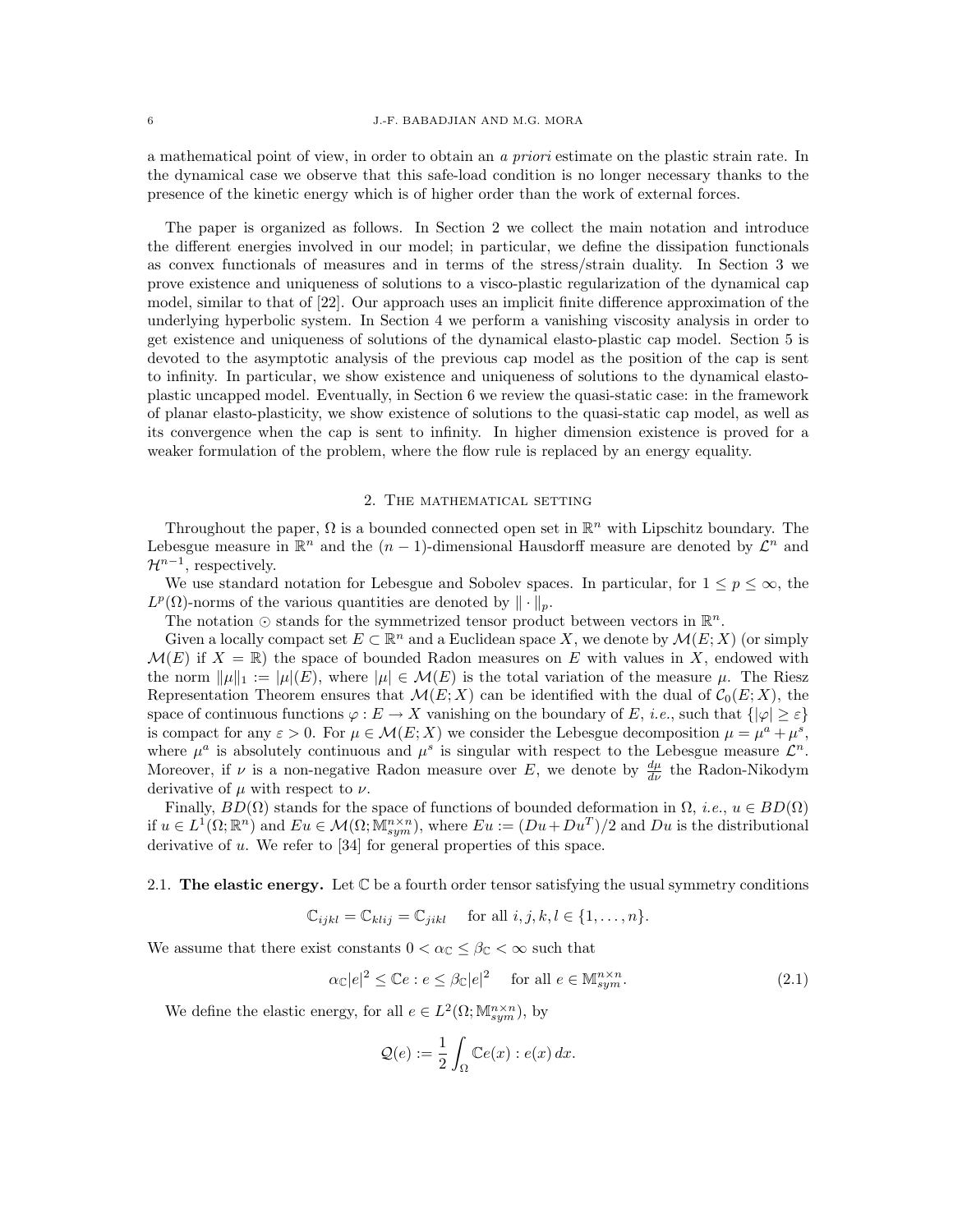## 6 J.-F. BABADJIAN AND M.G. MORA

a mathematical point of view, in order to obtain an a priori estimate on the plastic strain rate. In the dynamical case we observe that this safe-load condition is no longer necessary thanks to the presence of the kinetic energy which is of higher order than the work of external forces.

The paper is organized as follows. In Section 2 we collect the main notation and introduce the different energies involved in our model; in particular, we define the dissipation functionals as convex functionals of measures and in terms of the stress/strain duality. In Section 3 we prove existence and uniqueness of solutions to a visco-plastic regularization of the dynamical cap model, similar to that of [22]. Our approach uses an implicit finite difference approximation of the underlying hyperbolic system. In Section 4 we perform a vanishing viscosity analysis in order to get existence and uniqueness of solutions of the dynamical elasto-plastic cap model. Section 5 is devoted to the asymptotic analysis of the previous cap model as the position of the cap is sent to infinity. In particular, we show existence and uniqueness of solutions to the dynamical elastoplastic uncapped model. Eventually, in Section 6 we review the quasi-static case: in the framework of planar elasto-plasticity, we show existence of solutions to the quasi-static cap model, as well as its convergence when the cap is sent to infinity. In higher dimension existence is proved for a weaker formulation of the problem, where the flow rule is replaced by an energy equality.

## 2. The mathematical setting

Throughout the paper,  $\Omega$  is a bounded connected open set in  $\mathbb{R}^n$  with Lipschitz boundary. The Lebesgue measure in  $\mathbb{R}^n$  and the  $(n-1)$ -dimensional Hausdorff measure are denoted by  $\mathcal{L}^n$  and  $\mathcal{H}^{n-1}$ , respectively.

We use standard notation for Lebesgue and Sobolev spaces. In particular, for  $1 \leq p \leq \infty$ , the  $L^p(\Omega)$ -norms of the various quantities are denoted by  $\|\cdot\|_p$ .

The notation  $\odot$  stands for the symmetrized tensor product between vectors in  $\mathbb{R}^n$ .

Given a locally compact set  $E \subset \mathbb{R}^n$  and a Euclidean space X, we denote by  $\mathcal{M}(E;X)$  (or simply  $\mathcal{M}(E)$  if  $X = \mathbb{R}$ ) the space of bounded Radon measures on E with values in X, endowed with the norm  $\|\mu\|_1 := |\mu|(E)$ , where  $|\mu| \in \mathcal{M}(E)$  is the total variation of the measure  $\mu$ . The Riesz Representation Theorem ensures that  $\mathcal{M}(E; X)$  can be identified with the dual of  $\mathcal{C}_0(E; X)$ , the space of continuous functions  $\varphi : E \to X$  vanishing on the boundary of E, i.e., such that  $\{|\varphi| \geq \varepsilon\}$ is compact for any  $\varepsilon > 0$ . For  $\mu \in \mathcal{M}(E;X)$  we consider the Lebesgue decomposition  $\mu = \mu^a + \mu^s$ , where  $\mu^a$  is absolutely continuous and  $\mu^s$  is singular with respect to the Lebesgue measure  $\mathcal{L}^n$ . Moreover, if  $\nu$  is a non-negative Radon measure over E, we denote by  $\frac{d\mu}{d\nu}$  the Radon-Nikodym derivative of  $\mu$  with respect to  $\nu$ .

Finally,  $BD(\Omega)$  stands for the space of functions of bounded deformation in  $\Omega$ , *i.e.*,  $u \in BD(\Omega)$ if  $u \in L^1(\Omega;\mathbb{R}^n)$  and  $Eu \in \mathcal{M}(\Omega;\mathbb{M}^{n\times n}_{sym})$ , where  $Eu := (Du + Du^T)/2$  and  $Du$  is the distributional derivative of u. We refer to [34] for general properties of this space.

2.1. The elastic energy. Let  $\mathbb C$  be a fourth order tensor satisfying the usual symmetry conditions

$$
\mathbb{C}_{ijkl} = \mathbb{C}_{klij} = \mathbb{C}_{jikl} \quad \text{ for all } i, j, k, l \in \{1, \dots, n\}.
$$

We assume that there exist constants  $0 < \alpha_{\mathbb{C}} \leq \beta_{\mathbb{C}} < \infty$  such that

$$
\alpha_{\mathbb{C}}|e|^2 \leq \mathbb{C}e : e \leq \beta_{\mathbb{C}}|e|^2 \quad \text{ for all } e \in \mathbb{M}^{n \times n}_{sym}.
$$
 (2.1)

We define the elastic energy, for all  $e \in L^2(\Omega; \mathbb{M}^{n \times n}_{sym})$ , by

$$
\mathcal{Q}(e) := \frac{1}{2} \int_{\Omega} \mathbb{C}e(x) : e(x) \, dx.
$$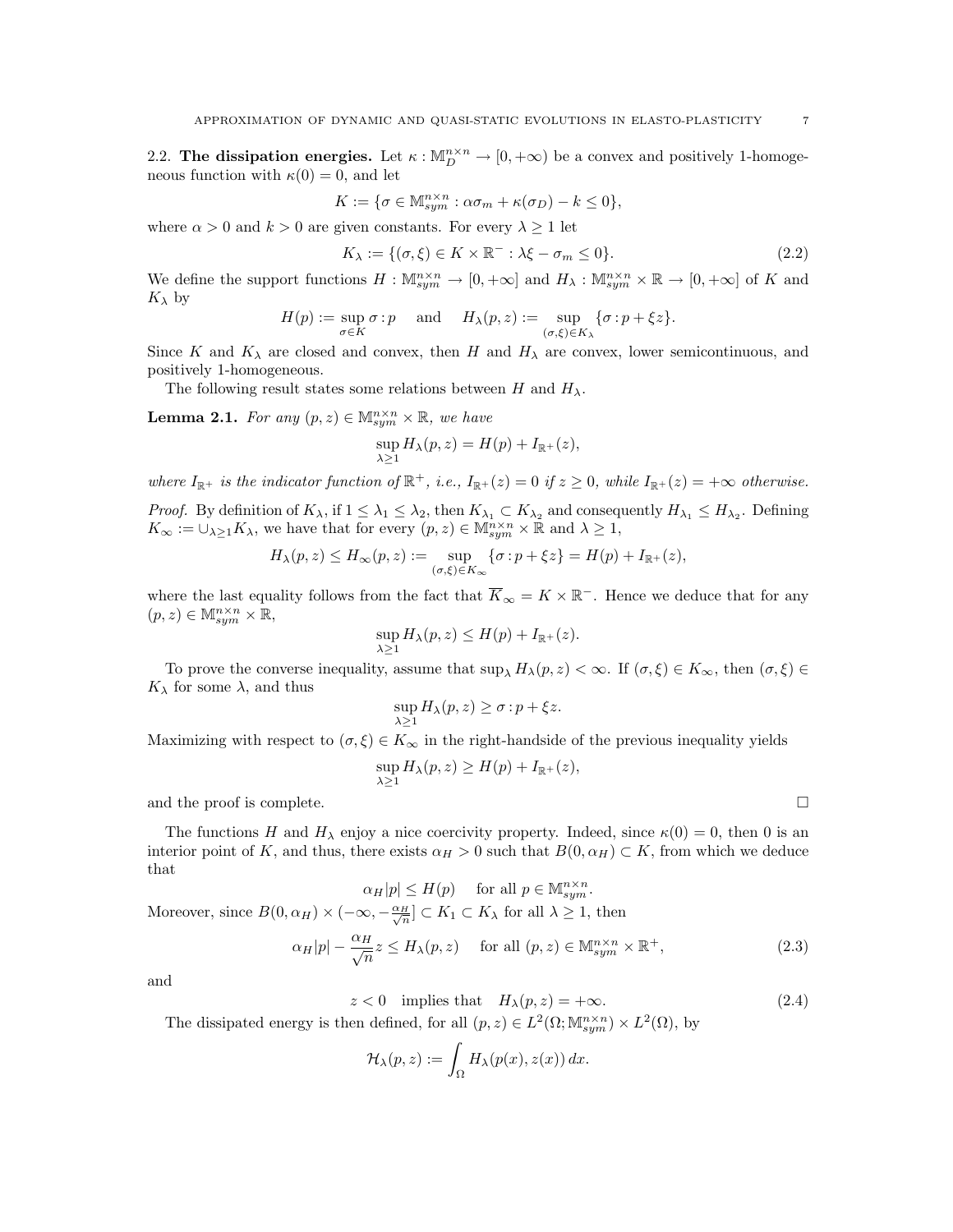2.2. The dissipation energies. Let  $\kappa : \mathbb{M}_{D}^{n \times n} \to [0, +\infty)$  be a convex and positively 1-homogeneous function with  $\kappa(0) = 0$ , and let

$$
K := \{ \sigma \in \mathbb{M}^{n \times n}_{sym} : \alpha \sigma_m + \kappa(\sigma_D) - k \le 0 \},\
$$

where  $\alpha > 0$  and  $k > 0$  are given constants. For every  $\lambda \geq 1$  let

$$
K_{\lambda} := \{ (\sigma, \xi) \in K \times \mathbb{R}^- : \lambda \xi - \sigma_m \le 0 \}. \tag{2.2}
$$

We define the support functions  $H: \mathbb{M}^{n \times n}_{sym} \to [0, +\infty]$  and  $H_{\lambda}: \mathbb{M}^{n \times n}_{sym} \times \mathbb{R} \to [0, +\infty]$  of K and  $K_{\lambda}$  by

$$
H(p):=\sup_{\sigma\in K}\sigma\!:\!p\quad\text{ and }\quad H_\lambda(p,z):=\sup_{(\sigma,\xi)\in K_\lambda}\{\sigma\!:\!p+\xi z\}.
$$

Since K and  $K_{\lambda}$  are closed and convex, then H and  $H_{\lambda}$  are convex, lower semicontinuous, and positively 1-homogeneous.

The following result states some relations between H and  $H_{\lambda}$ .

**Lemma 2.1.** For any  $(p, z) \in M_{sym}^{n \times n} \times \mathbb{R}$ , we have

$$
\sup_{\lambda \ge 1} H_{\lambda}(p, z) = H(p) + I_{\mathbb{R}^+}(z),
$$

where  $I_{\mathbb{R}^+}$  is the indicator function of  $\mathbb{R}^+$ , i.e.,  $I_{\mathbb{R}^+}(z) = 0$  if  $z \geq 0$ , while  $I_{\mathbb{R}^+}(z) = +\infty$  otherwise.

*Proof.* By definition of  $K_{\lambda}$ , if  $1 \leq \lambda_1 \leq \lambda_2$ , then  $K_{\lambda_1} \subset K_{\lambda_2}$  and consequently  $H_{\lambda_1} \leq H_{\lambda_2}$ . Defining  $K_{\infty} := \cup_{\lambda \geq 1} K_{\lambda}$ , we have that for every  $(p, z) \in \mathbb{M}_{sym}^{n \times n} \times \mathbb{R}$  and  $\lambda \geq 1$ ,

$$
H_{\lambda}(p, z) \le H_{\infty}(p, z) := \sup_{(\sigma, \xi) \in K_{\infty}} \{ \sigma : p + \xi z \} = H(p) + I_{\mathbb{R}^+}(z),
$$

where the last equality follows from the fact that  $\overline{K}_{\infty} = K \times \mathbb{R}^-$ . Hence we deduce that for any  $(p, z) \in \mathbb{M}^{n \times n}_{sym} \times \mathbb{R},$ 

$$
\sup_{\lambda \ge 1} H_{\lambda}(p, z) \le H(p) + I_{\mathbb{R}^+}(z).
$$

To prove the converse inequality, assume that  $\sup_{\lambda} H_{\lambda}(p, z) < \infty$ . If  $(\sigma, \xi) \in K_{\infty}$ , then  $(\sigma, \xi) \in$  $K_{\lambda}$  for some  $\lambda$ , and thus

$$
\sup_{\lambda \ge 1} H_{\lambda}(p, z) \ge \sigma : p + \xi z.
$$

Maximizing with respect to  $(\sigma, \xi) \in K_\infty$  in the right-handside of the previous inequality yields

$$
\sup_{\lambda \ge 1} H_{\lambda}(p, z) \ge H(p) + I_{\mathbb{R}^+}(z),
$$

and the proof is complete.  $\Box$ 

The functions H and  $H_{\lambda}$  enjoy a nice coercivity property. Indeed, since  $\kappa(0) = 0$ , then 0 is an interior point of K, and thus, there exists  $\alpha_H > 0$  such that  $B(0, \alpha_H) \subset K$ , from which we deduce that

$$
\alpha_H|p| \le H(p) \quad \text{ for all } p \in \mathbb{M}^{n \times n}_{sym}.
$$

Moreover, since  $B(0, \alpha_H) \times (-\infty, -\frac{\alpha_H}{\sqrt{n}}] \subset K_1 \subset K_\lambda$  for all  $\lambda \geq 1$ , then

$$
\alpha_H|p| - \frac{\alpha_H}{\sqrt{n}} z \le H_\lambda(p, z) \quad \text{for all } (p, z) \in \mathbb{M}^{n \times n}_{sym} \times \mathbb{R}^+, \tag{2.3}
$$

and

$$
z < 0 \quad \text{implies that} \quad H_{\lambda}(p, z) = +\infty. \tag{2.4}
$$

The dissipated energy is then defined, for all  $(p, z) \in L^2(\Omega; \mathbb{M}^{n \times n}_{sym}) \times L^2(\Omega)$ , by

$$
\mathcal{H}_{\lambda}(p,z) := \int_{\Omega} H_{\lambda}(p(x),z(x)) dx.
$$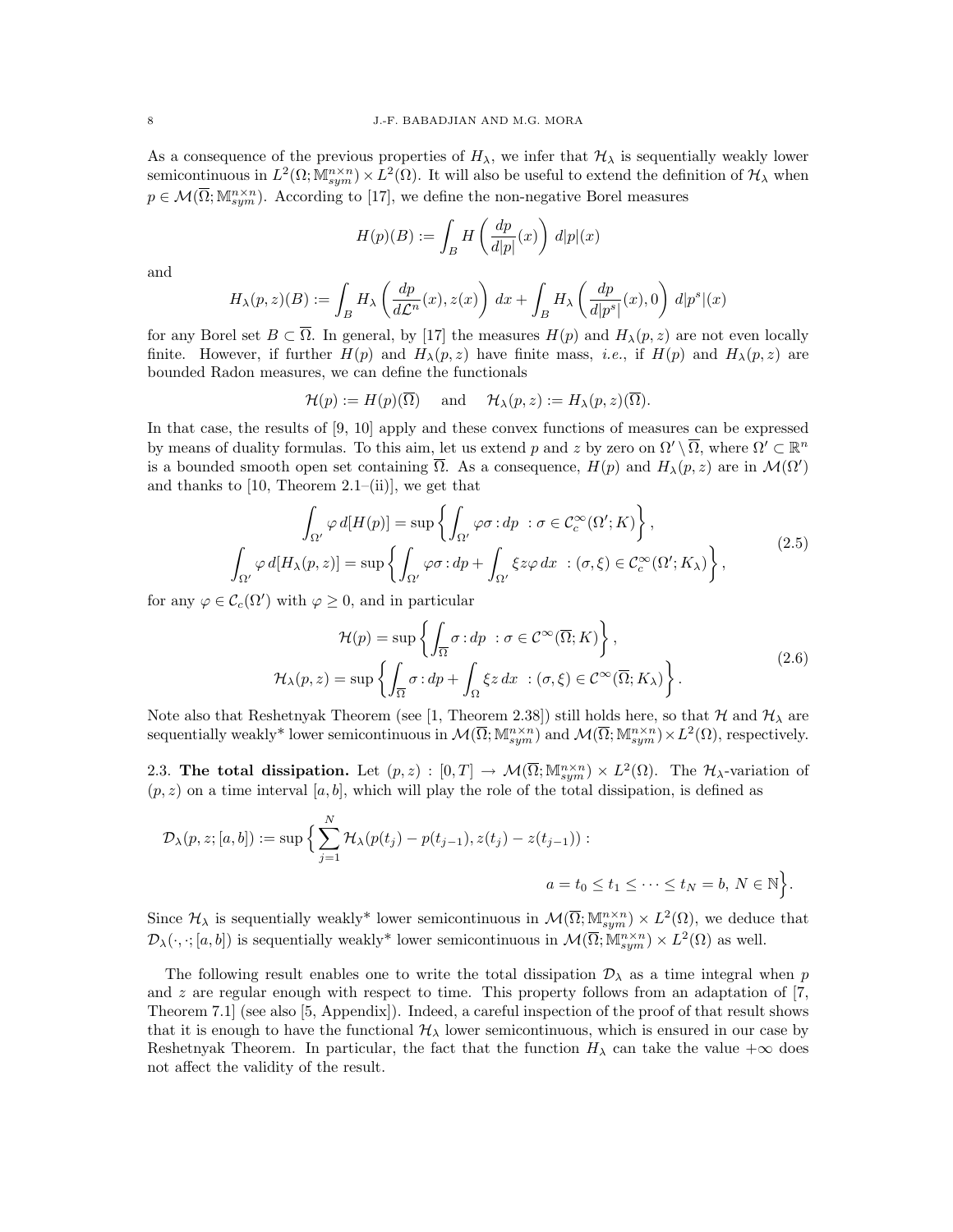As a consequence of the previous properties of  $H_{\lambda}$ , we infer that  $\mathcal{H}_{\lambda}$  is sequentially weakly lower semicontinuous in  $L^2(\Omega; \mathbb{M}^{n \times n}_{sym}) \times L^2(\Omega)$ . It will also be useful to extend the definition of  $\mathcal{H}_{\lambda}$  when  $p \in \mathcal{M}(\overline{\Omega}; \mathbb{M}^{n \times n}_{sym})$ . According to [17], we define the non-negative Borel measures

$$
H(p)(B) := \int_B H\left(\frac{dp}{d|p|}(x)\right) d|p|(x)
$$

and

$$
H_{\lambda}(p, z)(B) := \int_{B} H_{\lambda}\left(\frac{dp}{d\mathcal{L}^{n}}(x), z(x)\right) dx + \int_{B} H_{\lambda}\left(\frac{dp}{d|p^{s}|}(x), 0\right) d|p^{s}|(x)
$$

for any Borel set  $B \subset \overline{\Omega}$ . In general, by [17] the measures  $H(p)$  and  $H_{\lambda}(p, z)$  are not even locally finite. However, if further  $H(p)$  and  $H_{\lambda}(p, z)$  have finite mass, *i.e.*, if  $H(p)$  and  $H_{\lambda}(p, z)$  are bounded Radon measures, we can define the functionals

$$
\mathcal{H}(p) := H(p)(\overline{\Omega}) \quad \text{ and } \quad \mathcal{H}_{\lambda}(p, z) := H_{\lambda}(p, z)(\overline{\Omega}).
$$

In that case, the results of [9, 10] apply and these convex functions of measures can be expressed by means of duality formulas. To this aim, let us extend p and z by zero on  $\Omega' \setminus \overline{\Omega}$ , where  $\Omega' \subset \mathbb{R}^n$ is a bounded smooth open set containing  $\overline{\Omega}$ . As a consequence,  $H(p)$  and  $H_{\lambda}(p, z)$  are in  $\mathcal{M}(\Omega')$ and thanks to [10, Theorem 2.1–(ii)], we get that

$$
\int_{\Omega'} \varphi \, d[H(p)] = \sup \left\{ \int_{\Omega'} \varphi \sigma : dp \; : \sigma \in C_c^{\infty}(\Omega'; K) \right\},
$$
\n
$$
\int_{\Omega'} \varphi \, d[H_{\lambda}(p, z)] = \sup \left\{ \int_{\Omega'} \varphi \sigma : dp + \int_{\Omega'} \xi z \varphi \, dx \; : (\sigma, \xi) \in C_c^{\infty}(\Omega'; K_{\lambda}) \right\},
$$
\n(2.5)

for any  $\varphi \in \mathcal{C}_c(\Omega')$  with  $\varphi \geq 0$ , and in particular

$$
\mathcal{H}(p) = \sup \left\{ \int_{\overline{\Omega}} \sigma : dp \; : \sigma \in \mathcal{C}^{\infty}(\overline{\Omega}; K) \right\},
$$

$$
\mathcal{H}_{\lambda}(p, z) = \sup \left\{ \int_{\overline{\Omega}} \sigma : dp + \int_{\Omega} \xi z \, dx \; : (\sigma, \xi) \in \mathcal{C}^{\infty}(\overline{\Omega}; K_{\lambda}) \right\}.
$$
(2.6)

Note also that Reshetnyak Theorem (see [1, Theorem 2.38]) still holds here, so that H and  $\mathcal{H}_{\lambda}$  are sequentially weakly\* lower semicontinuous in  $\mathcal{M}(\overline{\Omega}; \mathbb{M}^{n \times n}_{sym})$  and  $\mathcal{M}(\overline{\Omega}; \mathbb{M}^{n \times n}_{sym}) \times L^2(\Omega)$ , respectively.

2.3. The total dissipation. Let  $(p, z) : [0, T] \to \mathcal{M}(\overline{\Omega}; \mathbb{M}^{n \times n}_{sym}) \times L^2(\Omega)$ . The  $\mathcal{H}_{\lambda}$ -variation of  $(p, z)$  on a time interval [a, b], which will play the role of the total dissipation, is defined as

$$
\mathcal{D}_{\lambda}(p, z; [a, b]) := \sup \Big\{ \sum_{j=1}^{N} \mathcal{H}_{\lambda}(p(t_j) - p(t_{j-1}), z(t_j) - z(t_{j-1})) : \\ a = t_0 \le t_1 \le \dots \le t_N = b, N \in \mathbb{N} \Big\}.
$$

Since  $\mathcal{H}_{\lambda}$  is sequentially weakly\* lower semicontinuous in  $\mathcal{M}(\overline{\Omega}; \mathbb{M}^{n \times n}_{sym}) \times L^2(\Omega)$ , we deduce that  $\mathcal{D}_{\lambda}(\cdot, \cdot; [a, b])$  is sequentially weakly\* lower semicontinuous in  $\mathcal{M}(\overline{\Omega}; \mathbb{M}^{n \times n}_{sym}) \times L^2(\Omega)$  as well.

The following result enables one to write the total dissipation  $\mathcal{D}_{\lambda}$  as a time integral when p and  $z$  are regular enough with respect to time. This property follows from an adaptation of  $[7,$ Theorem 7.1] (see also [5, Appendix]). Indeed, a careful inspection of the proof of that result shows that it is enough to have the functional  $\mathcal{H}_{\lambda}$  lower semicontinuous, which is ensured in our case by Reshetnyak Theorem. In particular, the fact that the function  $H_{\lambda}$  can take the value + $\infty$  does not affect the validity of the result.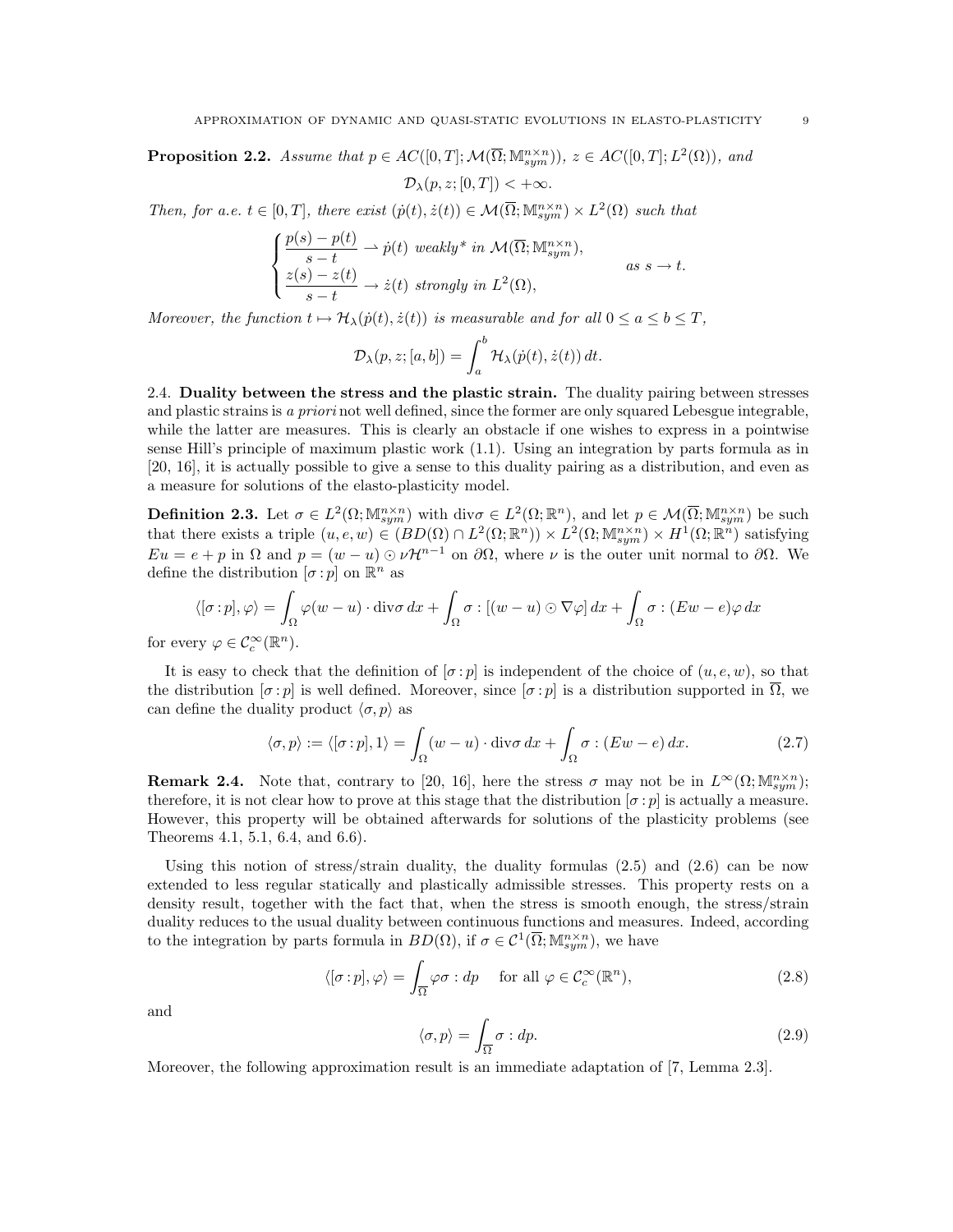**Proposition 2.2.** Assume that  $p \in AC([0, T]; \mathcal{M}(\overline{\Omega}; \mathbb{M}^{n \times n}_{sym}))$ ,  $z \in AC([0, T]; L^2(\Omega))$ , and  $\mathcal{D}_{\lambda}(p, z; [0, T]) < +\infty.$ 

Then, for a.e.  $t \in [0, T]$ , there exist  $(p(t), \dot{z}(t)) \in \mathcal{M}(\overline{\Omega}; \mathbb{M}^{n \times n}_{sym}) \times L^2(\Omega)$  such that

$$
\begin{cases}\n\frac{p(s) - p(t)}{s - t} \to \dot{p}(t) \text{ weakly* in } \mathcal{M}(\overline{\Omega}; \mathbb{M}_{sym}^{n \times n}), \\
\frac{z(s) - z(t)}{s - t} \to \dot{z}(t) \text{ strongly in } L^2(\Omega),\n\end{cases}
$$
 as  $s \to t$ .

Moreover, the function  $t \mapsto H_\lambda(p(t), \dot{z}(t))$  is measurable and for all  $0 \le a \le b \le T$ ,

$$
\mathcal{D}_{\lambda}(p, z; [a, b]) = \int_{a}^{b} \mathcal{H}_{\lambda}(\dot{p}(t), \dot{z}(t)) dt.
$$

2.4. Duality between the stress and the plastic strain. The duality pairing between stresses and plastic strains is a priori not well defined, since the former are only squared Lebesgue integrable, while the latter are measures. This is clearly an obstacle if one wishes to express in a pointwise sense Hill's principle of maximum plastic work (1.1). Using an integration by parts formula as in [20, 16], it is actually possible to give a sense to this duality pairing as a distribution, and even as a measure for solutions of the elasto-plasticity model.

**Definition 2.3.** Let  $\sigma \in L^2(\Omega; \mathbb{M}^{n \times n}_{sym})$  with div $\sigma \in L^2(\Omega; \mathbb{R}^n)$ , and let  $p \in \mathcal{M}(\overline{\Omega}; \mathbb{M}^{n \times n}_{sym})$  be such that there exists a triple  $(u, e, w) \in (BD(\Omega) \cap L^2(\Omega; \mathbb{R}^n)) \times L^2(\Omega; \mathbb{M}^{n \times n}_{sym}) \times H^1(\Omega; \mathbb{R}^n)$  satisfying  $Eu = e + p$  in  $\Omega$  and  $p = (w - u) \odot \nu \mathcal{H}^{n-1}$  on  $\partial \Omega$ , where  $\nu$  is the outer unit normal to  $\partial \Omega$ . We define the distribution  $[\sigma : p]$  on  $\mathbb{R}^n$  as

$$
\langle [\sigma:p], \varphi \rangle = \int_{\Omega} \varphi(w-u) \cdot \operatorname{div} \sigma \, dx + \int_{\Omega} \sigma : [(w-u) \odot \nabla \varphi] \, dx + \int_{\Omega} \sigma : (Ew-e) \varphi \, dx
$$

for every  $\varphi \in \mathcal{C}_c^{\infty}(\mathbb{R}^n)$ .

It is easy to check that the definition of  $[\sigma : p]$  is independent of the choice of  $(u, e, w)$ , so that the distribution  $[\sigma : p]$  is well defined. Moreover, since  $[\sigma : p]$  is a distribution supported in  $\overline{\Omega}$ , we can define the duality product  $\langle \sigma, p \rangle$  as

$$
\langle \sigma, p \rangle := \langle [\sigma : p], 1 \rangle = \int_{\Omega} (w - u) \cdot \operatorname{div} \sigma \, dx + \int_{\Omega} \sigma : (Ew - e) \, dx. \tag{2.7}
$$

**Remark 2.4.** Note that, contrary to [20, 16], here the stress  $\sigma$  may not be in  $L^{\infty}(\Omega; \mathbb{M}^{n \times n}_{sym});$ therefore, it is not clear how to prove at this stage that the distribution  $[\sigma : p]$  is actually a measure. However, this property will be obtained afterwards for solutions of the plasticity problems (see Theorems 4.1, 5.1, 6.4, and 6.6).

Using this notion of stress/strain duality, the duality formulas  $(2.5)$  and  $(2.6)$  can be now extended to less regular statically and plastically admissible stresses. This property rests on a density result, together with the fact that, when the stress is smooth enough, the stress/strain duality reduces to the usual duality between continuous functions and measures. Indeed, according to the integration by parts formula in  $BD(\Omega)$ , if  $\sigma \in C^1(\overline{\Omega}; \mathbb{M}^{n \times n}_{sym})$ , we have

$$
\langle [\sigma : p], \varphi \rangle = \int_{\overline{\Omega}} \varphi \sigma : dp \quad \text{for all } \varphi \in C_c^{\infty}(\mathbb{R}^n), \tag{2.8}
$$

and

$$
\langle \sigma, p \rangle = \int_{\overline{\Omega}} \sigma : dp. \tag{2.9}
$$

Moreover, the following approximation result is an immediate adaptation of [7, Lemma 2.3].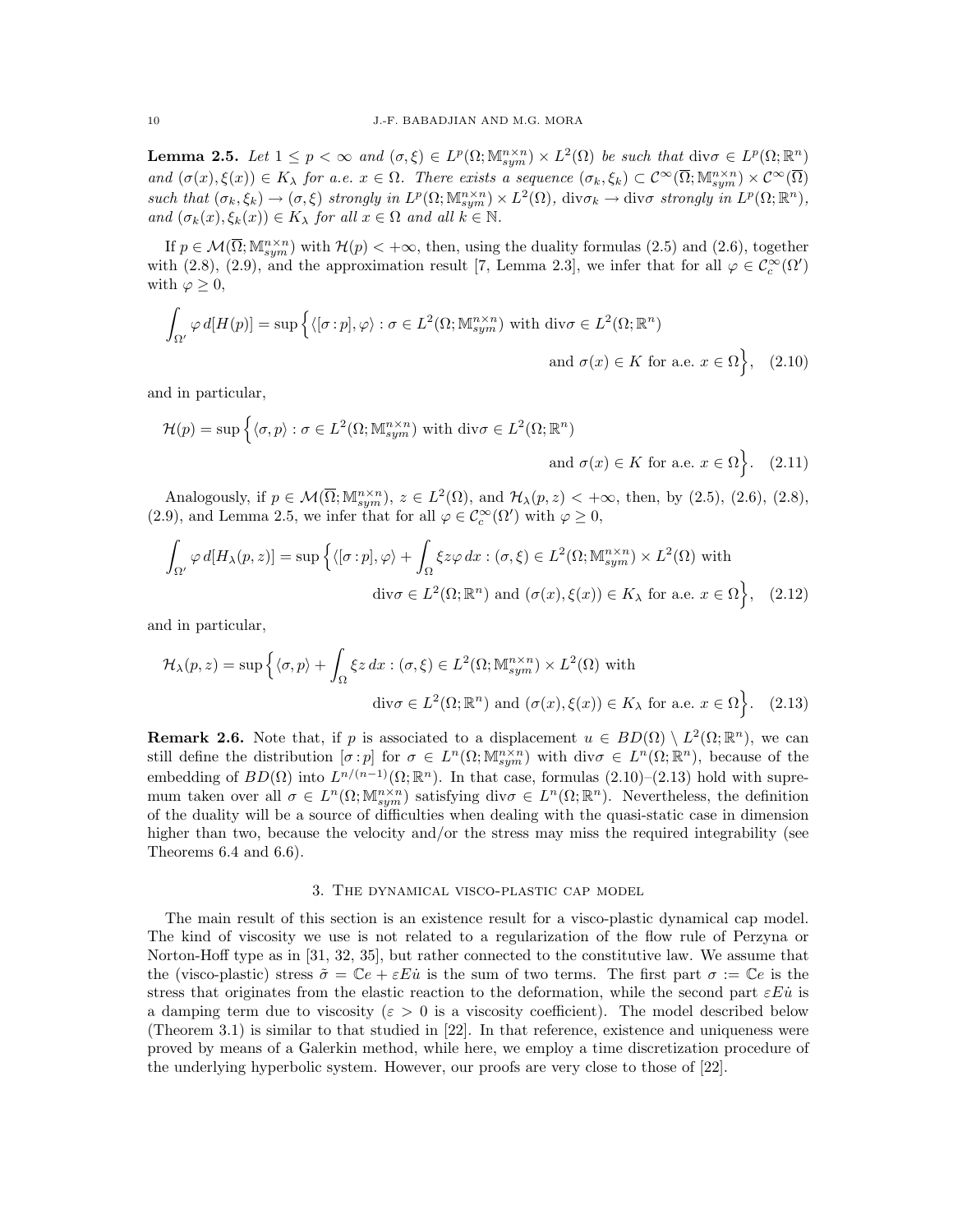**Lemma 2.5.** Let  $1 \leq p < \infty$  and  $(\sigma, \xi) \in L^p(\Omega; \mathbb{M}^{n \times n}_{sym}) \times L^2(\Omega)$  be such that  $\text{div}\sigma \in L^p(\Omega; \mathbb{R}^n)$ and  $(\sigma(x), \xi(x)) \in K_\lambda$  for a.e.  $x \in \Omega$ . There exists a sequence  $(\sigma_k, \xi_k) \subset C^\infty(\overline{\Omega}; \mathbb{M}^{n \times n}_{sym}) \times C^\infty(\overline{\Omega})$ such that  $(\sigma_k, \xi_k) \to (\sigma, \xi)$  strongly in  $L^p(\Omega; \mathbb{M}^{n \times n}_{sym}) \times L^2(\Omega)$ , div $\sigma_k \to \text{div}\sigma$  strongly in  $L^p(\Omega; \mathbb{R}^n)$ , and  $(\sigma_k(x), \xi_k(x)) \in K_\lambda$  for all  $x \in \Omega$  and all  $k \in \mathbb{N}$ .

If  $p \in \mathcal{M}(\overline{\Omega}; \mathbb{M}^{n \times n}_{sym})$  with  $\mathcal{H}(p) < +\infty$ , then, using the duality formulas  $(2.5)$  and  $(2.6)$ , together with (2.8), (2.9), and the approximation result [7, Lemma 2.3], we infer that for all  $\varphi \in C_c^{\infty}(\Omega')$ with  $\varphi \geq 0$ ,

$$
\int_{\Omega'} \varphi \, d[H(p)] = \sup \left\{ \langle [\sigma : p], \varphi \rangle : \sigma \in L^2(\Omega; \mathbb{M}^{n \times n}_{sym}) \text{ with div } \sigma \in L^2(\Omega; \mathbb{R}^n) \right\}
$$
\n
$$
\text{and } \sigma(x) \in K \text{ for a.e. } x \in \Omega \left\}, \quad (2.10)
$$

and in particular,

$$
\mathcal{H}(p) = \sup \Big\{ \langle \sigma, p \rangle : \sigma \in L^{2}(\Omega; \mathbb{M}^{n \times n}_{sym}) \text{ with } \text{div}\sigma \in L^{2}(\Omega; \mathbb{R}^{n})
$$
  
and  $\sigma(x) \in K$  for a.e.  $x \in \Omega \Big\}$ . (2.11)

Analogously, if  $p \in \mathcal{M}(\overline{\Omega}; \mathbb{M}^{n \times n}_{sym})$ ,  $z \in L^2(\Omega)$ , and  $\mathcal{H}_{\lambda}(p, z) < +\infty$ , then, by (2.5), (2.6), (2.8), (2.9), and Lemma 2.5, we infer that for all  $\varphi \in C_c^{\infty}(\Omega')$  with  $\varphi \ge 0$ ,

$$
\int_{\Omega'} \varphi \, d[H_{\lambda}(p, z)] = \sup \left\{ \langle [\sigma : p], \varphi \rangle + \int_{\Omega} \xi z \varphi \, dx : (\sigma, \xi) \in L^{2}(\Omega; \mathbb{M}^{n \times n}_{sym}) \times L^{2}(\Omega) \text{ with} \right\}
$$
\n
$$
\text{div}\,\sigma \in L^{2}(\Omega; \mathbb{R}^{n}) \text{ and } (\sigma(x), \xi(x)) \in K_{\lambda} \text{ for a.e. } x \in \Omega \right\}, \quad (2.12)
$$

and in particular,

$$
\mathcal{H}_{\lambda}(p,z) = \sup \left\{ \langle \sigma, p \rangle + \int_{\Omega} \xi z \, dx : (\sigma, \xi) \in L^{2}(\Omega; \mathbb{M}^{n \times n}_{sym}) \times L^{2}(\Omega) \text{ with} \right\}
$$
  
 
$$
\text{div}\sigma \in L^{2}(\Omega; \mathbb{R}^{n}) \text{ and } (\sigma(x), \xi(x)) \in K_{\lambda} \text{ for a.e. } x \in \Omega \right\}.
$$
 (2.13)

**Remark 2.6.** Note that, if p is associated to a displacement  $u \in BD(\Omega) \setminus L^2(\Omega;\mathbb{R}^n)$ , we can still define the distribution  $[\sigma : p]$  for  $\sigma \in L^n(\Omega; \mathbb{M}^{n \times n}_{sym})$  with div $\sigma \in L^n(\Omega; \mathbb{R}^n)$ , because of the embedding of  $BD(\Omega)$  into  $L^{n/(n-1)}(\Omega;\mathbb{R}^n)$ . In that case, formulas  $(2.10)-(2.13)$  hold with supremum taken over all  $\sigma \in L^n(\Omega;\mathbb{M}^{n\times n}_{sym})$  satisfying div $\sigma \in L^n(\Omega;\mathbb{R}^n)$ . Nevertheless, the definition of the duality will be a source of difficulties when dealing with the quasi-static case in dimension higher than two, because the velocity and/or the stress may miss the required integrability (see Theorems 6.4 and 6.6).

### 3. The dynamical visco-plastic cap model

The main result of this section is an existence result for a visco-plastic dynamical cap model. The kind of viscosity we use is not related to a regularization of the flow rule of Perzyna or Norton-Hoff type as in [31, 32, 35], but rather connected to the constitutive law. We assume that the (visco-plastic) stress  $\tilde{\sigma} = \mathbb{C}e + \varepsilon E\tilde{u}$  is the sum of two terms. The first part  $\sigma := \mathbb{C}e$  is the stress that originates from the elastic reaction to the deformation, while the second part  $\varepsilon E\dot{u}$  is a damping term due to viscosity ( $\varepsilon > 0$  is a viscosity coefficient). The model described below (Theorem 3.1) is similar to that studied in [22]. In that reference, existence and uniqueness were proved by means of a Galerkin method, while here, we employ a time discretization procedure of the underlying hyperbolic system. However, our proofs are very close to those of [22].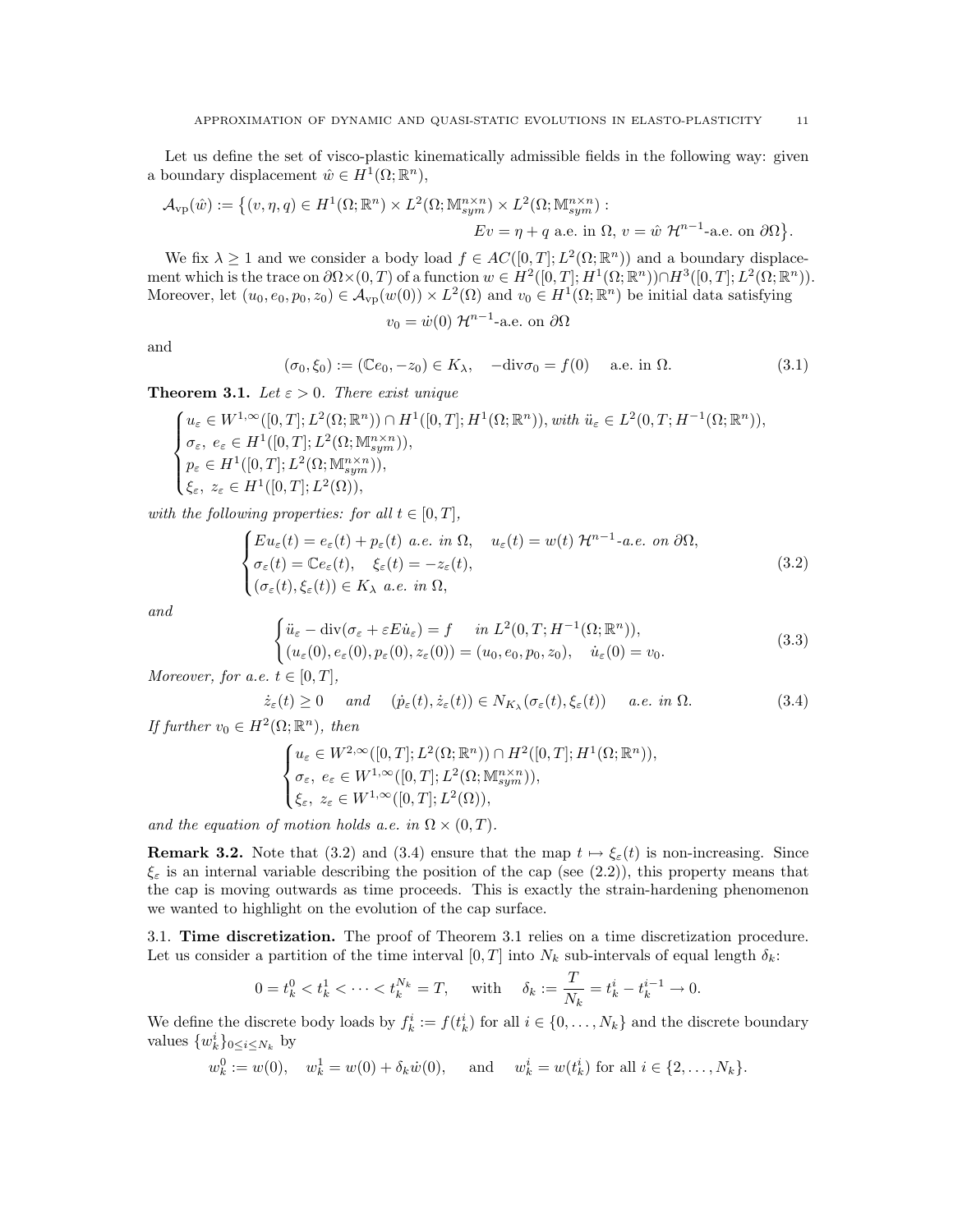Let us define the set of visco-plastic kinematically admissible fields in the following way: given a boundary displacement  $\hat{w} \in H^1(\Omega; \mathbb{R}^n)$ ,

$$
\mathcal{A}_{vp}(\hat{w}) := \left\{ (v, \eta, q) \in H^1(\Omega; \mathbb{R}^n) \times L^2(\Omega; \mathbb{M}^{n \times n}_{sym}) \times L^2(\Omega; \mathbb{M}^{n \times n}_{sym}) : \right. \\ E v = \eta + q \text{ a.e. in } \Omega, v = \hat{w} \mathcal{H}^{n-1}\text{-a.e. on } \partial\Omega \right\}.
$$

We fix  $\lambda \geq 1$  and we consider a body load  $f \in AC([0,T]; L^2(\Omega;\mathbb{R}^n))$  and a boundary displacement which is the trace on  $\partial \Omega \times (0,T)$  of a function  $w \in H^2([0,T]; H^1(\Omega;\mathbb{R}^n)) \cap H^3([0,T]; L^2(\Omega;\mathbb{R}^n)).$ Moreover, let  $(u_0, e_0, p_0, z_0) \in \mathcal{A}_{vp}(w(0)) \times L^2(\Omega)$  and  $v_0 \in H^1(\Omega; \mathbb{R}^n)$  be initial data satisfying

 $v_0 = \dot{w}(0) \mathcal{H}^{n-1}$ -a.e. on  $\partial\Omega$ 

and

$$
(\sigma_0, \xi_0) := (\mathbb{C}e_0, -z_0) \in K_\lambda, \quad -\text{div}\sigma_0 = f(0) \quad \text{a.e. in } \Omega.
$$
 (3.1)

**Theorem 3.1.** Let  $\varepsilon > 0$ . There exist unique

$$
\begin{cases} u_{\varepsilon} \in W^{1,\infty}([0,T];L^2(\Omega;\mathbb{R}^n))\cap H^1([0,T];H^1(\Omega;\mathbb{R}^n)), with \ \ddot{u}_{\varepsilon} \in L^2(0,T;H^{-1}(\Omega;\mathbb{R}^n)),\\ \sigma_{\varepsilon},\ e_{\varepsilon} \in H^1([0,T];L^2(\Omega;{\mathbb M}^{n\times n}_{sym})),\\ p_{\varepsilon} \in H^1([0,T];L^2(\Omega;{\mathbb M}^{n\times n}_{sym})),\\ \xi_{\varepsilon},\ z_{\varepsilon} \in H^1([0,T];L^2(\Omega)), \end{cases}
$$

with the following properties: for all  $t \in [0, T]$ ,

$$
\begin{cases}\nE u_{\varepsilon}(t) = e_{\varepsilon}(t) + p_{\varepsilon}(t) \ a.e. \ in \ \Omega, \quad u_{\varepsilon}(t) = w(t) \ \mathcal{H}^{n-1} \text{-}a.e. \ on \ \partial\Omega, \\
\sigma_{\varepsilon}(t) = \mathbb{C}e_{\varepsilon}(t), \quad \xi_{\varepsilon}(t) = -z_{\varepsilon}(t), \\
(\sigma_{\varepsilon}(t), \xi_{\varepsilon}(t)) \in K_{\lambda} \ a.e. \ in \ \Omega,\n\end{cases}
$$
\n(3.2)

and

$$
\begin{cases}\n\ddot{u}_{\varepsilon} - \operatorname{div}(\sigma_{\varepsilon} + \varepsilon E \dot{u}_{\varepsilon}) = f & \text{in } L^2(0, T; H^{-1}(\Omega; \mathbb{R}^n)), \\
(u_{\varepsilon}(0), e_{\varepsilon}(0), p_{\varepsilon}(0), z_{\varepsilon}(0)) = (u_0, e_0, p_0, z_0), \quad \dot{u}_{\varepsilon}(0) = v_0.\n\end{cases}
$$
\n(3.3)

Moreover, for a.e.  $t \in [0, T]$ ,

$$
\dot{z}_{\varepsilon}(t) \ge 0 \quad \text{and} \quad (\dot{p}_{\varepsilon}(t), \dot{z}_{\varepsilon}(t)) \in N_{K_{\lambda}}(\sigma_{\varepsilon}(t), \xi_{\varepsilon}(t)) \quad \text{a.e. in } \Omega. \tag{3.4}
$$

If further  $v_0 \in H^2(\Omega; \mathbb{R}^n)$ , then

$$
\begin{cases} u_{\varepsilon} \in W^{2,\infty}([0,T];L^2(\Omega;\mathbb{R}^n)) \cap H^2([0,T];H^1(\Omega;\mathbb{R}^n)),\\ \sigma_{\varepsilon}, e_{\varepsilon} \in W^{1,\infty}([0,T];L^2(\Omega;\mathbb{M}^{n\times n}_{sym})),\\ \xi_{\varepsilon}, z_{\varepsilon} \in W^{1,\infty}([0,T];L^2(\Omega)), \end{cases}
$$

and the equation of motion holds a.e. in  $\Omega \times (0,T)$ .

**Remark 3.2.** Note that (3.2) and (3.4) ensure that the map  $t \mapsto \xi_{\epsilon}(t)$  is non-increasing. Since  $\xi_{\varepsilon}$  is an internal variable describing the position of the cap (see (2.2)), this property means that the cap is moving outwards as time proceeds. This is exactly the strain-hardening phenomenon we wanted to highlight on the evolution of the cap surface.

3.1. Time discretization. The proof of Theorem 3.1 relies on a time discretization procedure. Let us consider a partition of the time interval  $[0, T]$  into  $N_k$  sub-intervals of equal length  $\delta_k$ :

$$
0 = t_k^0 < t_k^1 < \dots < t_k^{N_k} = T, \quad \text{ with } \quad \delta_k := \frac{T}{N_k} = t_k^i - t_k^{i-1} \to 0.
$$

We define the discrete body loads by  $f_k^i := f(t_k^i)$  for all  $i \in \{0, ..., N_k\}$  and the discrete boundary values  $\{w_k^i\}_{0 \leq i \leq N_k}$  by

$$
w_k^0 := w(0)
$$
,  $w_k^1 = w(0) + \delta_k \dot{w}(0)$ , and  $w_k^i = w(t_k^i)$  for all  $i \in \{2, ..., N_k\}$ .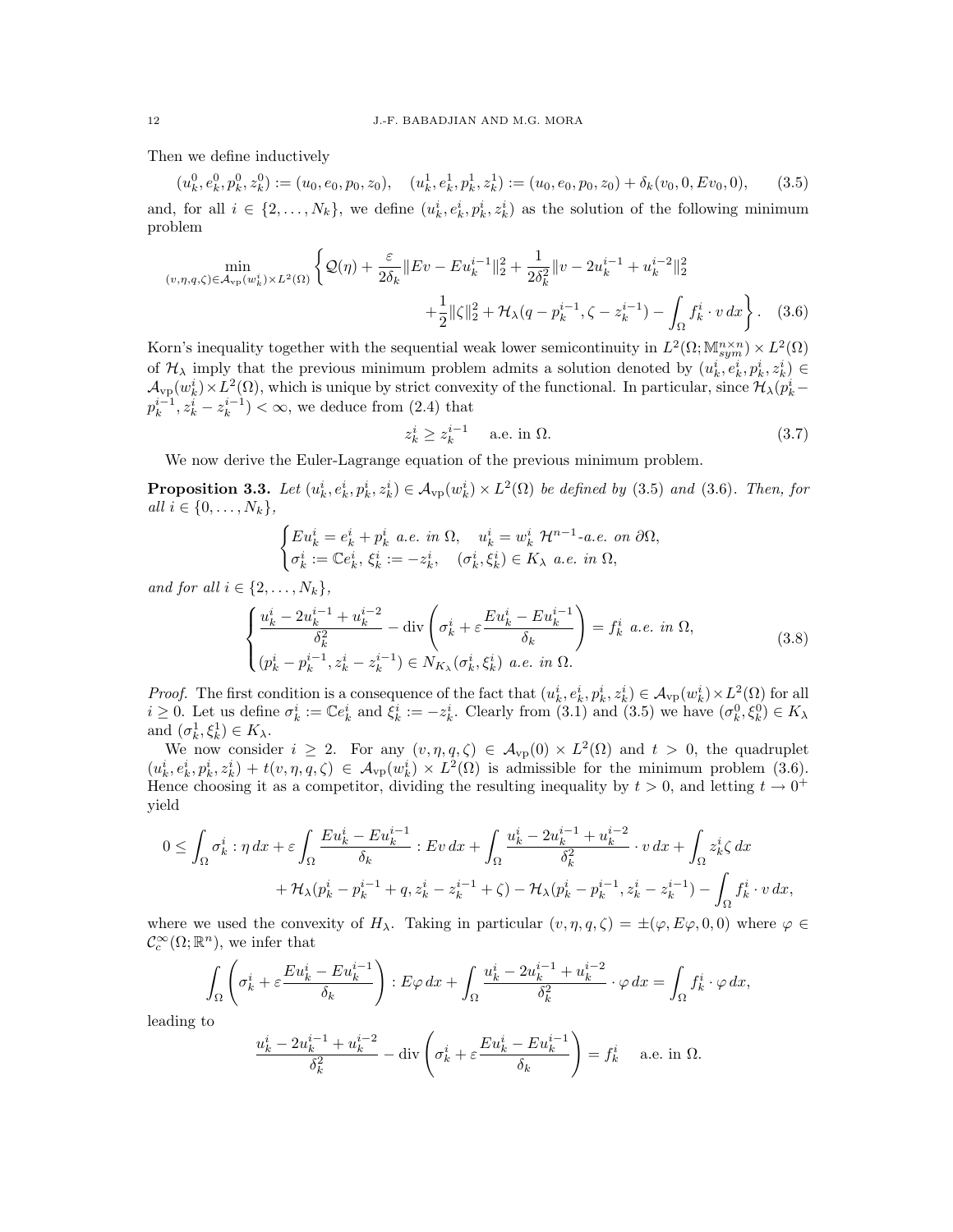Then we define inductively

$$
(u_k^0, e_k^0, p_k^0, z_k^0) := (u_0, e_0, p_0, z_0), \quad (u_k^1, e_k^1, p_k^1, z_k^1) := (u_0, e_0, p_0, z_0) + \delta_k(v_0, 0, Ev_0, 0), \tag{3.5}
$$

and, for all  $i \in \{2,\ldots,N_k\}$ , we define  $(u_k^i, e_k^i, p_k^i, z_k^i)$  as the solution of the following minimum problem

$$
\min_{(v,\eta,q,\zeta)\in\mathcal{A}_{\rm vp}(w_k^i)\times L^2(\Omega)} \left\{ \mathcal{Q}(\eta) + \frac{\varepsilon}{2\delta_k} \|Ev - Eu_k^{i-1}\|_2^2 + \frac{1}{2\delta_k^2} \|v - 2u_k^{i-1} + u_k^{i-2}\|_2^2 + \frac{1}{2} \|\zeta\|_2^2 + \mathcal{H}_\lambda(q - p_k^{i-1}, \zeta - z_k^{i-1}) - \int_\Omega f_k^i \cdot v \, dx \right\}.
$$
 (3.6)

Korn's inequality together with the sequential weak lower semicontinuity in  $L^2(\Omega; \mathbb{M}^{n \times n}_{sym}) \times L^2(\Omega)$ of  $\mathcal{H}_{\lambda}$  imply that the previous minimum problem admits a solution denoted by  $(u_k^i, e_k^i, p_k^i, z_k^i) \in$  $\mathcal{A}_{vp}(w_k^i)\times L^2(\Omega)$ , which is unique by strict convexity of the functional. In particular, since  $\mathcal{H}_\lambda(p_k^i$  $p_k^{i-1}, z_k^i - z_k^{i-1}) < \infty$ , we deduce from (2.4) that

$$
z_k^i \ge z_k^{i-1} \quad \text{ a.e. in } \Omega. \tag{3.7}
$$

We now derive the Euler-Lagrange equation of the previous minimum problem.

**Proposition 3.3.** Let  $(u_k^i, e_k^i, p_k^i, z_k^i) \in A_{vp}(w_k^i) \times L^2(\Omega)$  be defined by (3.5) and (3.6). Then, for *all i* ∈ {0, . . . ,  $N_k$  },

$$
\begin{cases} Eu^i_k=e^i_k+p^i_k \ a.e. \ in \ \Omega, \quad u^i_k=w^i_k \ \mathcal{H}^{n-1}\text{-}a.e. \ on \ \partial \Omega, \\ \sigma^i_k:=\mathbb{C}e^i_k, \ \xi^i_k:=-z^i_k, \quad (\sigma^i_k,\xi^i_k)\in K_\lambda \ \ a.e. \ in \ \Omega, \end{cases}
$$

and for all  $i \in \{2, \ldots, N_k\},\$ 

$$
\begin{cases}\n\frac{u_k^i - 2u_k^{i-1} + u_k^{i-2}}{\delta_k^2} - \text{div}\left(\sigma_k^i + \varepsilon \frac{Eu_k^i - Eu_k^{i-1}}{\delta_k}\right) = f_k^i \ a.e. \ in \ \Omega, \\
(p_k^i - p_k^{i-1}, z_k^i - z_k^{i-1}) \in N_{K_\lambda}(\sigma_k^i, \xi_k^i) \ a.e. \ in \ \Omega.\n\end{cases} \tag{3.8}
$$

*Proof.* The first condition is a consequence of the fact that  $(u_k^i, e_k^i, p_k^i, z_k^i) \in \mathcal{A}_{\text{vp}}(w_k^i) \times L^2(\Omega)$  for all  $i \geq 0$ . Let us define  $\sigma_k^i := \mathbb{C}e_k^i$  and  $\xi_k^i := -z_k^i$ . Clearly from (3.1) and (3.5) we have  $(\sigma_k^0, \xi_k^0) \in K_\lambda$ and  $(\sigma_k^1, \xi_k^1) \in K_\lambda$ .

We now consider  $i \geq 2$ . For any  $(v, \eta, q, \zeta) \in \mathcal{A}_{vp}(0) \times L^2(\Omega)$  and  $t > 0$ , the quadruplet  $(u_k^i, e_k^i, p_k^i, z_k^i) + t(v, \eta, q, \zeta) \in \mathcal{A}_{vp}(w_k^i) \times L^2(\Omega)$  is admissible for the minimum problem (3.6). Hence choosing it as a competitor, dividing the resulting inequality by  $t > 0$ , and letting  $t \to 0^+$ yield

$$
0 \leq \int_{\Omega} \sigma_k^i : \eta \, dx + \varepsilon \int_{\Omega} \frac{E u_k^i - E u_k^{i-1}}{\delta_k} : E v \, dx + \int_{\Omega} \frac{u_k^i - 2u_k^{i-1} + u_k^{i-2}}{\delta_k^2} \cdot v \, dx + \int_{\Omega} z_k^i \zeta \, dx + \mathcal{H}_{\lambda} (p_k^i - p_k^{i-1} + q, z_k^i - z_k^{i-1} + \zeta) - \mathcal{H}_{\lambda} (p_k^i - p_k^{i-1}, z_k^i - z_k^{i-1}) - \int_{\Omega} f_k^i \cdot v \, dx,
$$

where we used the convexity of  $H_{\lambda}$ . Taking in particular  $(v, \eta, q, \zeta) = \pm(\varphi, E\varphi, 0, 0)$  where  $\varphi \in$  $\mathcal{C}_c^{\infty}(\Omega;\mathbb{R}^n)$ , we infer that

$$
\int_{\Omega} \left( \sigma_k^i + \varepsilon \frac{E u_k^i - E u_k^{i-1}}{\delta_k} \right) : E \varphi \, dx + \int_{\Omega} \frac{u_k^i - 2u_k^{i-1} + u_k^{i-2}}{\delta_k^2} \cdot \varphi \, dx = \int_{\Omega} f_k^i \cdot \varphi \, dx,
$$

leading to

$$
\frac{u_k^i - 2u_k^{i-1} + u_k^{i-2}}{\delta_k^2} - \text{div}\left(\sigma_k^i + \varepsilon \frac{Eu_k^i - Eu_k^{i-1}}{\delta_k}\right) = f_k^i \quad \text{a.e. in } \Omega.
$$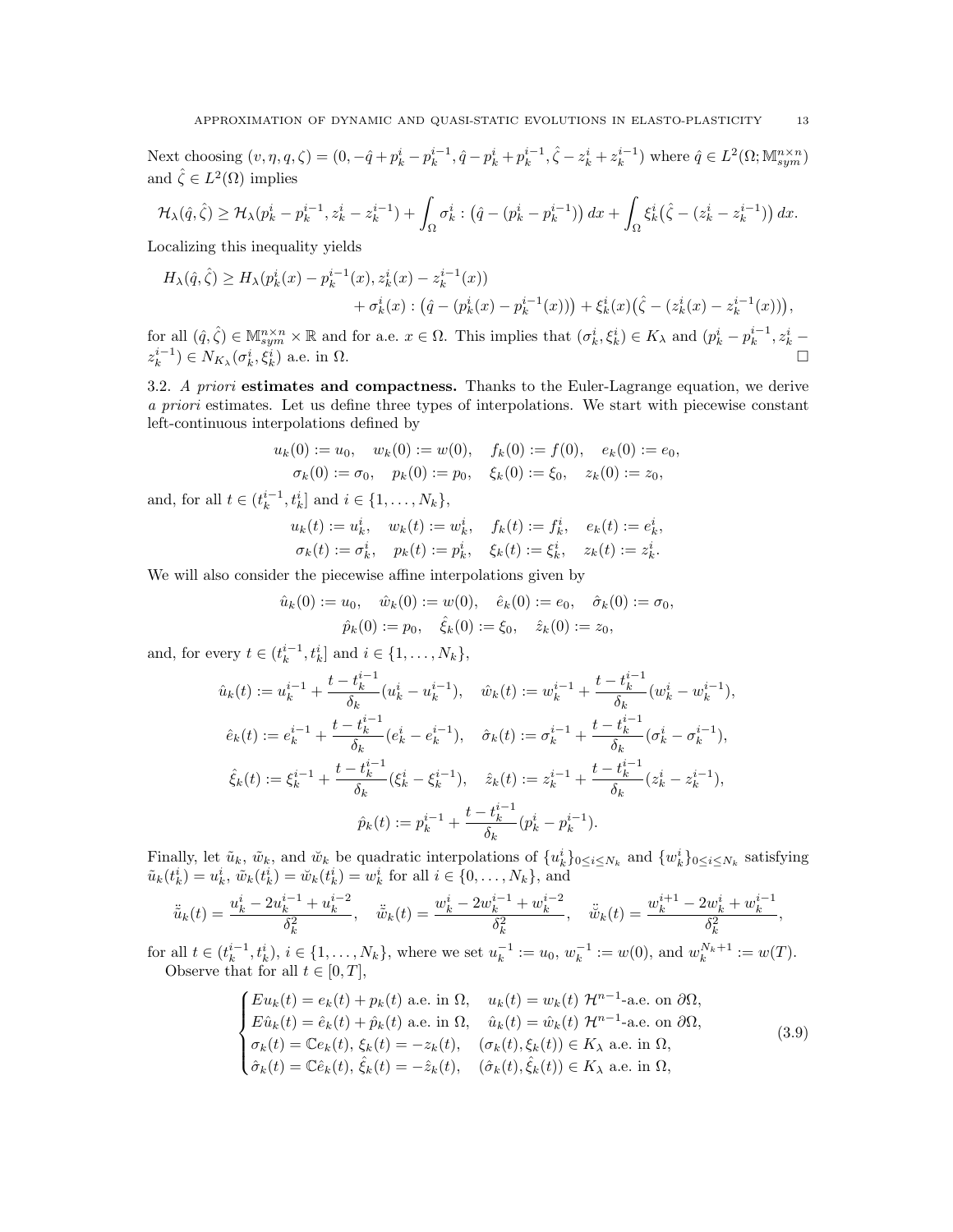Next choosing  $(v, \eta, q, \zeta) = (0, -\hat{q} + p_k^i - p_k^{i-1}, \hat{q} - p_k^i + p_k^{i-1}, \hat{\zeta} - z_k^i + z_k^{i-1})$  where  $\hat{q} \in L^2(\Omega; \mathbb{M}^{n \times n}_{sym})$ and  $\hat{\zeta} \in L^2(\Omega)$  implies

$$
\mathcal{H}_{\lambda}(\hat{q}, \hat{\zeta}) \geq \mathcal{H}_{\lambda}(p_k^i - p_k^{i-1}, z_k^i - z_k^{i-1}) + \int_{\Omega} \sigma_k^i : (\hat{q} - (p_k^i - p_k^{i-1})) \, dx + \int_{\Omega} \xi_k^i (\hat{\zeta} - (z_k^i - z_k^{i-1})) \, dx.
$$

Localizing this inequality yields

$$
H_{\lambda}(\hat{q}, \hat{\zeta}) \ge H_{\lambda}(p_k^i(x) - p_k^{i-1}(x), z_k^i(x) - z_k^{i-1}(x)) + \sigma_k^i(x) : (\hat{q} - (p_k^i(x) - p_k^{i-1}(x))) + \xi_k^i(x)(\hat{\zeta} - (z_k^i(x) - z_k^{i-1}(x))),
$$

for all  $(\hat{q}, \hat{\zeta}) \in \mathbb{M}_{sym}^{n \times n} \times \mathbb{R}$  and for a.e.  $x \in \Omega$ . This implies that  $(\sigma_k^i, \xi_k^i) \in K_\lambda$  and  $(p_k^i - p_k^{i-1}, z_k^i - p_k^{i-1})$  $z_k^{i-1}) \in N_{K_\lambda}(\sigma_k^i, \xi_k^i)$  a.e. in  $\Omega$ .

3.2. A priori estimates and compactness. Thanks to the Euler-Lagrange equation, we derive a priori estimates. Let us define three types of interpolations. We start with piecewise constant left-continuous interpolations defined by

$$
u_k(0) := u_0, \quad w_k(0) := w(0), \quad f_k(0) := f(0), \quad e_k(0) := e_0, \sigma_k(0) := \sigma_0, \quad p_k(0) := p_0, \quad \xi_k(0) := \xi_0, \quad z_k(0) := z_0,
$$

and, for all  $t \in (t_k^{i-1}, t_k^i]$  and  $i \in \{1, ..., N_k\}$ ,

$$
\begin{array}{lll} u_k(t) := u_k^i, & w_k(t) := w_k^i, & f_k(t) := f_k^i, & e_k(t) := e_k^i, \\ \sigma_k(t) := \sigma_k^i, & p_k(t) := p_k^i, & \xi_k(t) := \xi_k^i, & z_k(t) := z_k^i. \end{array}
$$

We will also consider the piecewise affine interpolations given by

$$
\hat{u}_k(0) := u_0, \quad \hat{w}_k(0) := w(0), \quad \hat{e}_k(0) := e_0, \quad \hat{\sigma}_k(0) := \sigma_0, \n\hat{p}_k(0) := p_0, \quad \hat{\xi}_k(0) := \xi_0, \quad \hat{z}_k(0) := z_0,
$$

and, for every  $t \in (t_k^{i-1}, t_k^i]$  and  $i \in \{1, ..., N_k\}$ ,

$$
\hat{u}_k(t) := u_k^{i-1} + \frac{t - t_k^{i-1}}{\delta_k}(u_k^i - u_k^{i-1}), \quad \hat{w}_k(t) := w_k^{i-1} + \frac{t - t_k^{i-1}}{\delta_k}(w_k^i - w_k^{i-1}),
$$
  
\n
$$
\hat{e}_k(t) := e_k^{i-1} + \frac{t - t_k^{i-1}}{\delta_k}(e_k^i - e_k^{i-1}), \quad \hat{\sigma}_k(t) := \sigma_k^{i-1} + \frac{t - t_k^{i-1}}{\delta_k}(\sigma_k^i - \sigma_k^{i-1}),
$$
  
\n
$$
\hat{\xi}_k(t) := \xi_k^{i-1} + \frac{t - t_k^{i-1}}{\delta_k}(\xi_k^i - \xi_k^{i-1}), \quad \hat{z}_k(t) := z_k^{i-1} + \frac{t - t_k^{i-1}}{\delta_k}(z_k^i - z_k^{i-1}),
$$
  
\n
$$
\hat{p}_k(t) := p_k^{i-1} + \frac{t - t_k^{i-1}}{\delta_k}(p_k^i - p_k^{i-1}).
$$

Finally, let  $\tilde{u}_k$ ,  $\tilde{w}_k$ , and  $\tilde{w}_k$  be quadratic interpolations of  $\{u_k^i\}_{0\leq i\leq N_k}$  and  $\{w_k^i\}_{0\leq i\leq N_k}$  satisfying  $\tilde{u}_k(t_k^i) = u_k^i, \, \tilde{w}_k(t_k^i) = \tilde{w}_k(t_k^i) = w_k^i$  for all  $i \in \{0, ..., N_k\}$ , and

$$
\ddot{\tilde{u}}_k(t) = \frac{u_k^i - 2u_k^{i-1} + u_k^{i-2}}{\delta_k^2}, \quad \ddot{\tilde{w}}_k(t) = \frac{w_k^i - 2w_k^{i-1} + w_k^{i-2}}{\delta_k^2}, \quad \ddot{\tilde{w}}_k(t) = \frac{w_k^{i+1} - 2w_k^i + w_k^{i-1}}{\delta_k^2},
$$

for all  $t \in (t_k^{i-1}, t_k^i), i \in \{1, ..., N_k\}$ , where we set  $u_k^{-1} := u_0, w_k^{-1} := w(0)$ , and  $w_k^{N_k+1} := w(T)$ . Observe that for all  $t \in [0, T]$ ,

$$
\begin{cases}\nE u_k(t) = e_k(t) + p_k(t) \text{ a.e. in } \Omega, & u_k(t) = w_k(t) \mathcal{H}^{n-1}\text{-a.e. on } \partial\Omega, \\
E \hat{u}_k(t) = \hat{e}_k(t) + \hat{p}_k(t) \text{ a.e. in } \Omega, & \hat{u}_k(t) = \hat{w}_k(t) \mathcal{H}^{n-1}\text{-a.e. on } \partial\Omega, \\
\sigma_k(t) = \mathbb{C}e_k(t), \xi_k(t) = -z_k(t), & (\sigma_k(t), \xi_k(t)) \in K_\lambda \text{ a.e. in } \Omega, \\
\hat{\sigma}_k(t) = \mathbb{C} \hat{e}_k(t), \hat{\xi}_k(t) = -\hat{z}_k(t), & (\hat{\sigma}_k(t), \hat{\xi}_k(t)) \in K_\lambda \text{ a.e. in } \Omega,\n\end{cases}
$$
\n(3.9)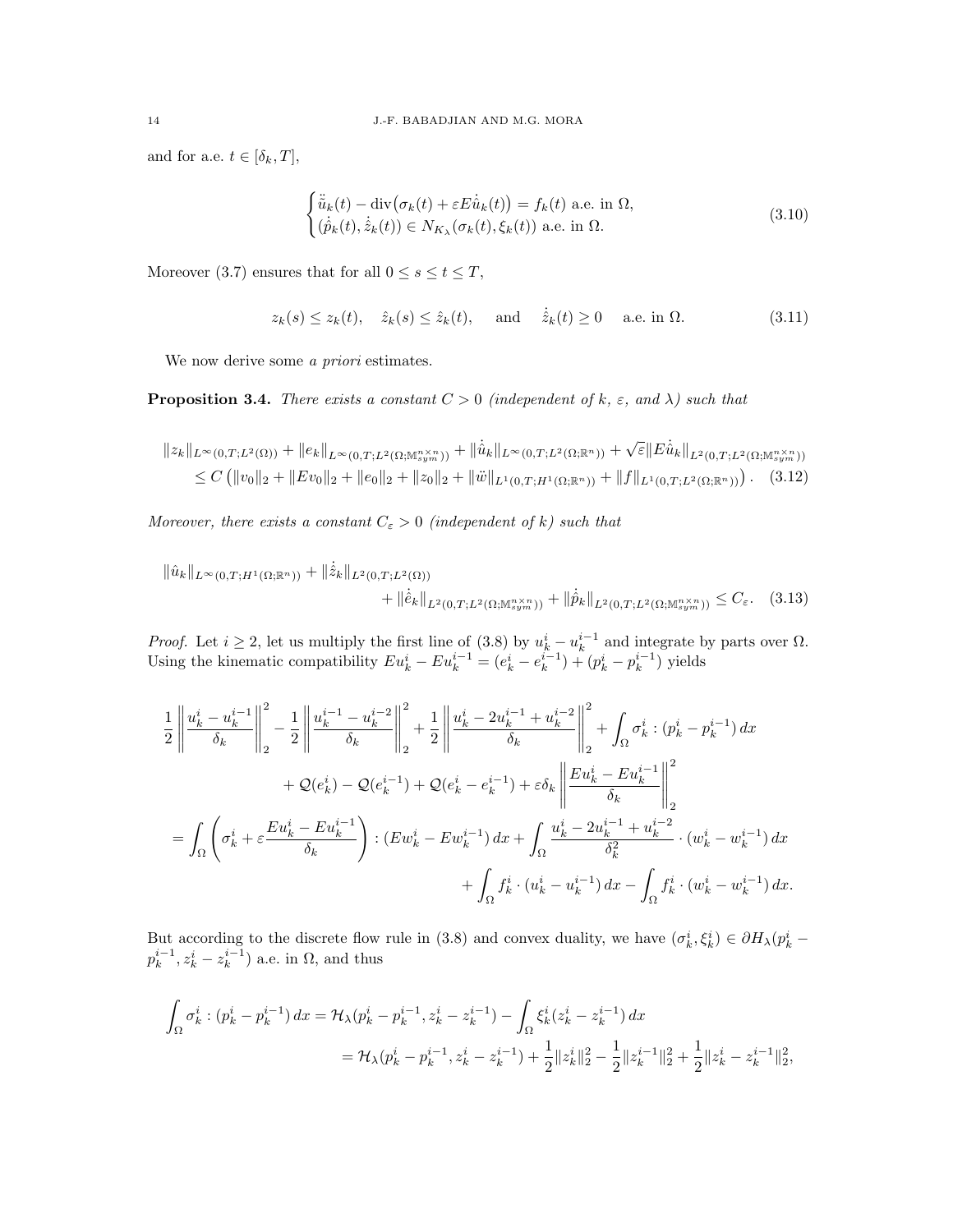and for a.e.  $t \in [\delta_k, T]$ ,

$$
\begin{cases}\n\ddot{\tilde{u}}_k(t) - \operatorname{div}(\sigma_k(t) + \varepsilon E \dot{\hat{u}}_k(t)) = f_k(t) \text{ a.e. in } \Omega, \\
(\dot{\hat{p}}_k(t), \dot{\hat{z}}_k(t)) \in N_{K_\lambda}(\sigma_k(t), \xi_k(t)) \text{ a.e. in } \Omega.\n\end{cases}
$$
\n(3.10)

Moreover (3.7) ensures that for all  $0\leq s\leq t\leq T,$ 

$$
z_k(s) \le z_k(t), \quad \hat{z}_k(s) \le \hat{z}_k(t), \quad \text{and} \quad \dot{\hat{z}}_k(t) \ge 0 \quad \text{a.e. in } \Omega. \tag{3.11}
$$

We now derive some *a priori* estimates.

# **Proposition 3.4.** There exists a constant  $C > 0$  (independent of k,  $\varepsilon$ , and  $\lambda$ ) such that

$$
||z_k||_{L^{\infty}(0,T;L^2(\Omega))} + ||e_k||_{L^{\infty}(0,T;L^2(\Omega;\mathbb{M}^{n\times n}_{sym}))} + ||\dot{u}_k||_{L^{\infty}(0,T;L^2(\Omega;\mathbb{R}^n))} + \sqrt{\varepsilon} ||E\dot{u}_k||_{L^2(0,T;L^2(\Omega;\mathbb{M}^{n\times n}_{sym}))}
$$
  
\n
$$
\leq C (||v_0||_2 + ||Ev_0||_2 + ||e_0||_2 + ||\dot{u}_0||_2 + ||\ddot{u}_0||_{L^1(0,T;H^1(\Omega;\mathbb{R}^n))} + ||f||_{L^1(0,T;L^2(\Omega;\mathbb{R}^n))}).
$$
 (3.12)

Moreover, there exists a constant  $C_{\varepsilon} > 0$  (independent of k) such that

$$
\|\hat{u}_k\|_{L^{\infty}(0,T;H^1(\Omega;\mathbb{R}^n))} + \|\dot{\hat{z}}_k\|_{L^2(0,T;L^2(\Omega))} + \|\dot{\hat{e}}_k\|_{L^2(0,T;L^2(\Omega;\mathbb{M}^{n\times n}_{sym}))} + \|\dot{\hat{p}}_k\|_{L^2(0,T;L^2(\Omega;\mathbb{M}^{n\times n}_{sym}))} \leq C_{\varepsilon}.
$$
 (3.13)

*Proof.* Let  $i \geq 2$ , let us multiply the first line of (3.8) by  $u_k^i - u_k^{i-1}$  and integrate by parts over  $\Omega$ . Using the kinematic compatibility  $E u_k^i - E u_k^{i-1} = (e_k^i - e_k^{i-1}) + (p_k^i - p_k^{i-1})$  yields

$$
\frac{1}{2} \left\| \frac{u_k^i - u_k^{i-1}}{\delta_k} \right\|_2^2 - \frac{1}{2} \left\| \frac{u_k^{i-1} - u_k^{i-2}}{\delta_k} \right\|_2^2 + \frac{1}{2} \left\| \frac{u_k^i - 2u_k^{i-1} + u_k^{i-2}}{\delta_k} \right\|_2^2 + \int_{\Omega} \sigma_k^i : (p_k^i - p_k^{i-1}) \, dx
$$
  
+  $\mathcal{Q}(e_k^i) - \mathcal{Q}(e_k^{i-1}) + \mathcal{Q}(e_k^i - e_k^{i-1}) + \varepsilon \delta_k \left\| \frac{E u_k^i - E u_k^{i-1}}{\delta_k} \right\|_2^2$   
=  $\int_{\Omega} \left( \sigma_k^i + \varepsilon \frac{E u_k^i - E u_k^{i-1}}{\delta_k} \right) : (E w_k^i - E w_k^{i-1}) \, dx + \int_{\Omega} \frac{u_k^i - 2u_k^{i-1} + u_k^{i-2}}{\delta_k^2} \cdot (w_k^i - w_k^{i-1}) \, dx$   
+  $\int_{\Omega} f_k^i \cdot (u_k^i - u_k^{i-1}) \, dx - \int_{\Omega} f_k^i \cdot (w_k^i - w_k^{i-1}) \, dx.$ 

But according to the discrete flow rule in (3.8) and convex duality, we have  $(\sigma_k^i, \xi_k^i) \in \partial H_\lambda(p_k^i$  $p_k^{i-1}, z_k^i - z_k^{i-1})$  a.e. in  $\Omega$ , and thus

$$
\int_{\Omega} \sigma_k^i : (p_k^i - p_k^{i-1}) dx = \mathcal{H}_{\lambda}(p_k^i - p_k^{i-1}, z_k^i - z_k^{i-1}) - \int_{\Omega} \xi_k^i (z_k^i - z_k^{i-1}) dx
$$
  
=  $\mathcal{H}_{\lambda}(p_k^i - p_k^{i-1}, z_k^i - z_k^{i-1}) + \frac{1}{2} ||z_k^i||_2^2 - \frac{1}{2} ||z_k^{i-1}||_2^2 + \frac{1}{2} ||z_k^i - z_k^{i-1}||_2^2,$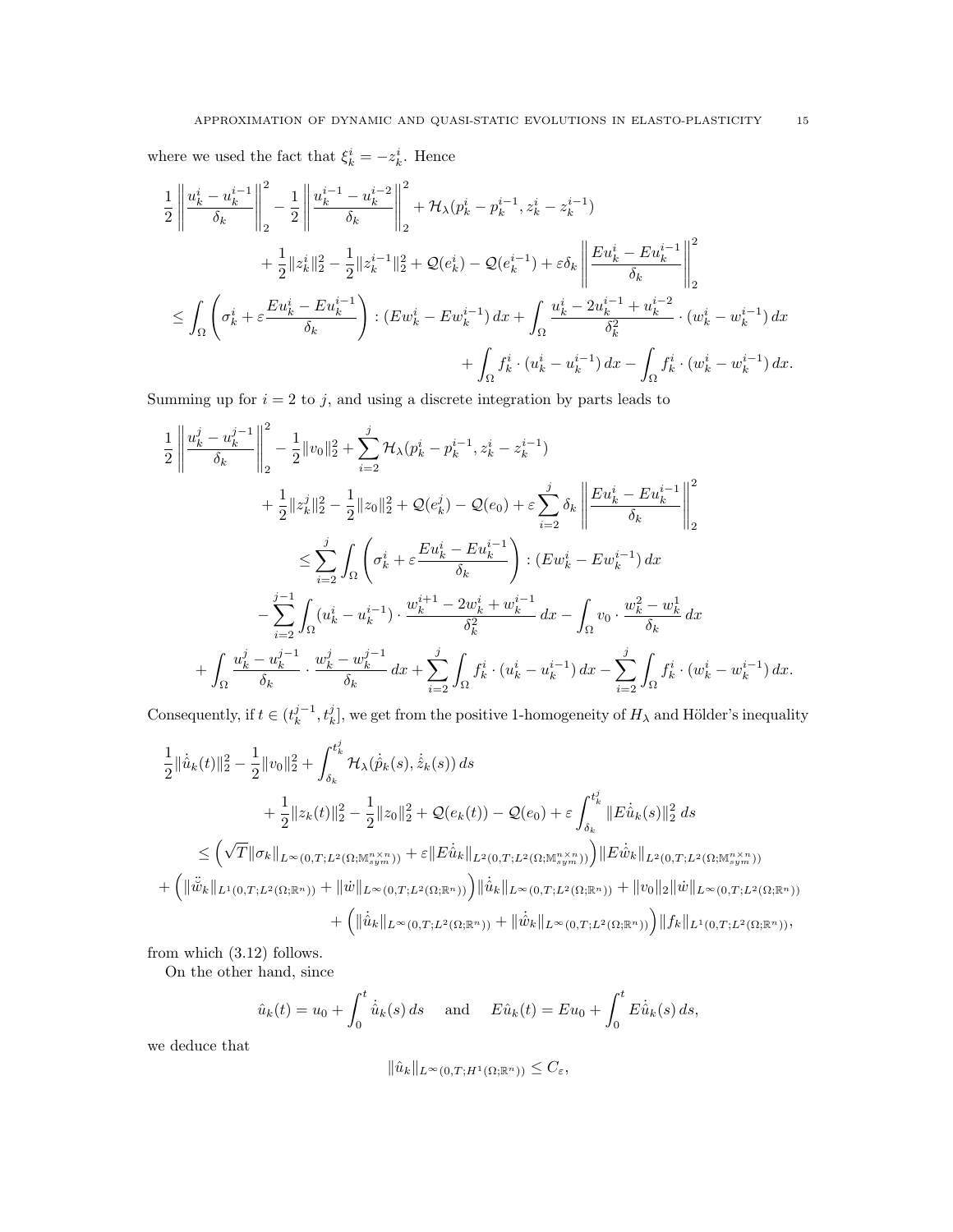where we used the fact that  $\xi_k^i = -z_k^i$ . Hence

$$
\begin{split} \frac{1}{2} \left\| \frac{u_k^i - u_k^{i-1}}{\delta_k} \right\|_2^2 & -\frac{1}{2} \left\| \frac{u_k^{i-1} - u_k^{i-2}}{\delta_k} \right\|_2^2 + \mathcal{H}_{\lambda} (p_k^i - p_k^{i-1}, z_k^i - z_k^{i-1}) \\ & + \frac{1}{2} \| z_k^i \|_2^2 - \frac{1}{2} \| z_k^{i-1} \|_2^2 + \mathcal{Q}(e_k^i) - \mathcal{Q}(e_k^{i-1}) + \varepsilon \delta_k \left\| \frac{E u_k^i - E u_k^{i-1}}{\delta_k} \right\|_2^2 \\ &\leq \int_{\Omega} \left( \sigma_k^i + \varepsilon \frac{E u_k^i - E u_k^{i-1}}{\delta_k} \right) : (E w_k^i - E w_k^{i-1}) \, dx + \int_{\Omega} \frac{u_k^i - 2u_k^{i-1} + u_k^{i-2}}{\delta_k^2} \cdot \left( w_k^i - w_k^{i-1} \right) dx \\ & + \int_{\Omega} f_k^i \cdot \left( u_k^i - u_k^{i-1} \right) dx - \int_{\Omega} f_k^i \cdot \left( w_k^i - w_k^{i-1} \right) dx. \end{split}
$$

Summing up for  $i = 2$  to  $j$ , and using a discrete integration by parts leads to

$$
\frac{1}{2} \left\| \frac{u_k^j - u_k^{j-1}}{\delta_k} \right\|_2^2 - \frac{1}{2} \|v_0\|_2^2 + \sum_{i=2}^j \mathcal{H}_{\lambda}(p_k^i - p_k^{i-1}, z_k^i - z_k^{i-1})
$$
  
+ 
$$
\frac{1}{2} \|z_k^j\|_2^2 - \frac{1}{2} \|z_0\|_2^2 + \mathcal{Q}(e_k^j) - \mathcal{Q}(e_0) + \varepsilon \sum_{i=2}^j \delta_k \left\| \frac{E u_k^i - E u_k^{i-1}}{\delta_k} \right\|_2^2
$$
  

$$
\leq \sum_{i=2}^j \int_{\Omega} \left( \sigma_k^i + \varepsilon \frac{E u_k^i - E u_k^{i-1}}{\delta_k} \right) : (E w_k^i - E w_k^{i-1}) dx
$$
  
- 
$$
\sum_{i=2}^{j-1} \int_{\Omega} (u_k^i - u_k^{i-1}) \cdot \frac{w_k^{i+1} - 2w_k^i + w_k^{i-1}}{\delta_k^2} dx - \int_{\Omega} v_0 \cdot \frac{w_k^2 - w_k^1}{\delta_k} dx
$$
  
+ 
$$
\int_{\Omega} \frac{u_k^j - u_k^{j-1}}{\delta_k} \cdot \frac{w_k^j - w_k^{j-1}}{\delta_k} dx + \sum_{i=2}^j \int_{\Omega} f_k^i \cdot (u_k^i - u_k^{i-1}) dx - \sum_{i=2}^j \int_{\Omega} f_k^i \cdot (w_k^i - w_k^{i-1}) dx.
$$

Consequently, if  $t \in (t_k^{j-1}, t_k^j]$ , we get from the positive 1-homogeneity of  $H_\lambda$  and Hölder's inequality

$$
\frac{1}{2} \|\dot{\hat{u}}_k(t)\|_2^2 - \frac{1}{2} \|v_0\|_2^2 + \int_{\delta_k}^{t_k^j} \mathcal{H}_{\lambda}(\dot{\hat{p}}_k(s), \dot{\hat{z}}_k(s)) ds \n+ \frac{1}{2} \|z_k(t)\|_2^2 - \frac{1}{2} \|z_0\|_2^2 + \mathcal{Q}(e_k(t)) - \mathcal{Q}(e_0) + \varepsilon \int_{\delta_k}^{t_k^j} \|E \dot{\hat{u}}_k(s)\|_2^2 ds \n\leq \left(\sqrt{T} \|\sigma_k\|_{L^{\infty}(0,T;L^2(\Omega; \mathbb{M}^{n \times n}_{sym}))} + \varepsilon \|E \dot{\hat{u}}_k\|_{L^2(0,T;L^2(\Omega; \mathbb{M}^{n \times n}_{sym}))}\right) \|E \dot{\hat{w}}_k\|_{L^2(0,T;L^2(\Omega; \mathbb{M}^{n \times n}_{sym}))} \n+ \left(\|\ddot{\hat{w}}_k\|_{L^1(0,T;L^2(\Omega; \mathbb{R}^n))} + \|\dot{w}\|_{L^{\infty}(0,T;L^2(\Omega; \mathbb{R}^n))}\right) \|\dot{\hat{u}}_k\|_{L^{\infty}(0,T;L^2(\Omega; \mathbb{R}^n))} + \|v_0\|_2 \|\dot{w}\|_{L^{\infty}(0,T;L^2(\Omega; \mathbb{R}^n))} \n+ \left(\|\dot{\hat{u}}_k\|_{L^{\infty}(0,T;L^2(\Omega; \mathbb{R}^n))} + \|\dot{\hat{w}}_k\|_{L^{\infty}(0,T;L^2(\Omega; \mathbb{R}^n))}\right) \|f_k\|_{L^1(0,T;L^2(\Omega; \mathbb{R}^n))},
$$

from which (3.12) follows.

On the other hand, since

$$
\hat{u}_k(t) = u_0 + \int_0^t \dot{\hat{u}}_k(s) ds
$$
 and  $E \hat{u}_k(t) = E u_0 + \int_0^t E \dot{\hat{u}}_k(s) ds$ ,

we deduce that

$$
\|\hat{u}_k\|_{L^\infty(0,T;H^1(\Omega;\mathbb{R}^n))} \leq C_{\varepsilon},
$$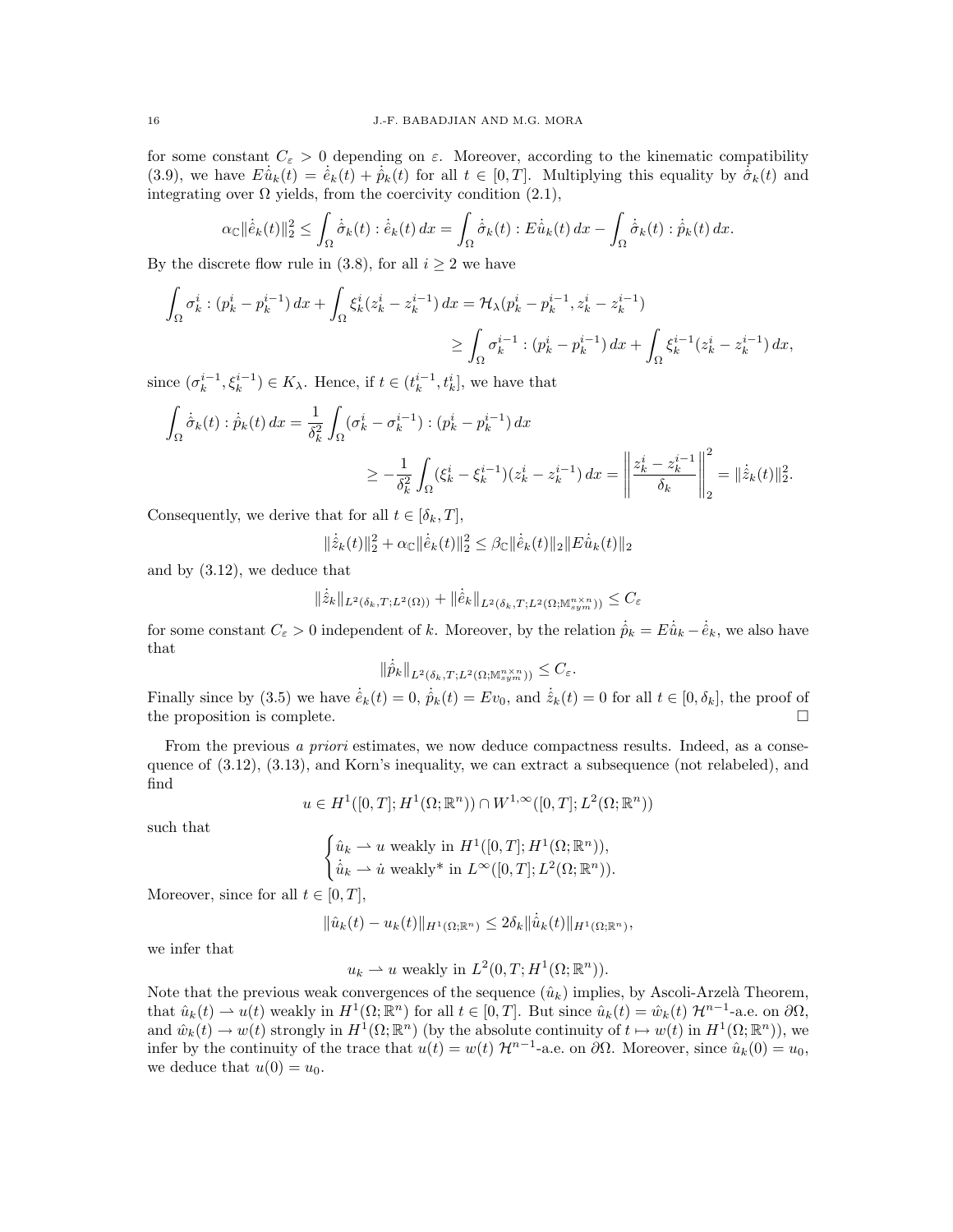for some constant  $C_{\varepsilon} > 0$  depending on  $\varepsilon$ . Moreover, according to the kinematic compatibility (3.9), we have  $E \hat{u}_k(t) = \hat{e}_k(t) + \hat{p}_k(t)$  for all  $t \in [0, T]$ . Multiplying this equality by  $\hat{\sigma}_k(t)$  and integrating over  $\Omega$  yields, from the coercivity condition (2.1),

$$
\alpha_{\mathbb{C}} \|\dot{\hat{e}}_k(t)\|_2^2 \leq \int_{\Omega} \dot{\hat{\sigma}}_k(t) : \dot{\hat{e}}_k(t) \, dx = \int_{\Omega} \dot{\hat{\sigma}}_k(t) : E \dot{\hat{u}}_k(t) \, dx - \int_{\Omega} \dot{\hat{\sigma}}_k(t) : \dot{\hat{p}}_k(t) \, dx.
$$

By the discrete flow rule in (3.8), for all  $i \geq 2$  we have

$$
\int_{\Omega} \sigma_k^i : (p_k^i - p_k^{i-1}) \, dx + \int_{\Omega} \xi_k^i (z_k^i - z_k^{i-1}) \, dx = \mathcal{H}_\lambda(p_k^i - p_k^{i-1}, z_k^i - z_k^{i-1})
$$
\n
$$
\geq \int_{\Omega} \sigma_k^{i-1} : (p_k^i - p_k^{i-1}) \, dx + \int_{\Omega} \xi_k^{i-1} (z_k^i - z_k^{i-1}) \, dx,
$$

since  $(\sigma_k^{i-1}, \xi_k^{i-1}) \in K_\lambda$ . Hence, if  $t \in (t_k^{i-1}, t_k^i]$ , we have that

$$
\int_{\Omega} \dot{\hat{\sigma}}_k(t) : \dot{\hat{p}}_k(t) dx = \frac{1}{\delta_k^2} \int_{\Omega} (\sigma_k^i - \sigma_k^{i-1}) : (p_k^i - p_k^{i-1}) dx
$$
\n
$$
\geq -\frac{1}{\delta_k^2} \int_{\Omega} (\xi_k^i - \xi_k^{i-1}) (z_k^i - z_k^{i-1}) dx = \left\| \frac{z_k^i - z_k^{i-1}}{\delta_k} \right\|_2^2 = \|\dot{\hat{z}}_k(t)\|_2^2.
$$

Consequently, we derive that for all  $t \in [\delta_k, T]$ ,

$$
\|\dot{\hat{z}}_k(t)\|_2^2 + \alpha_{\mathbb{C}} \|\dot{\hat{e}}_k(t)\|_2^2 \leq \beta_{\mathbb{C}} \|\dot{\hat{e}}_k(t)\|_2 \|E\dot{\hat{u}}_k(t)\|_2
$$

and by (3.12), we deduce that

$$
\|\dot{\hat{z}}_k\|_{L^2(\delta_k,T;L^2(\Omega))} + \|\dot{\hat{e}}_k\|_{L^2(\delta_k,T;L^2(\Omega;\mathbb{M}^{n\times n}_{sym}))} \leq C_\varepsilon
$$

for some constant  $C_{\varepsilon} > 0$  independent of k. Moreover, by the relation  $\dot{\hat{p}}_k = E \hat{u}_k - \dot{\hat{e}}_k$ , we also have that

$$
\|\dot{\hat{p}}_k\|_{L^2(\delta_k,T;L^2(\Omega;\mathbb{M}^{n\times n}_{sym}))}\leq C_\varepsilon.
$$

Finally since by (3.5) we have  $\dot{e}_k(t) = 0$ ,  $\dot{p}_k(t) = Ev_0$ , and  $\dot{z}_k(t) = 0$  for all  $t \in [0, \delta_k]$ , the proof of the proposition is complete.  $\Box$ 

From the previous *a priori* estimates, we now deduce compactness results. Indeed, as a consequence of (3.12), (3.13), and Korn's inequality, we can extract a subsequence (not relabeled), and find

$$
u \in H^1([0,T];H^1(\Omega;\mathbb{R}^n)) \cap W^{1,\infty}([0,T];L^2(\Omega;\mathbb{R}^n))
$$

such that

$$
\begin{cases} \hat{u}_k \rightharpoonup u \text{ weakly in } H^1([0,T]; H^1(\Omega; \mathbb{R}^n)), \\ \hat{u}_k \rightharpoonup \hat{u} \text{ weakly* in } L^\infty([0,T]; L^2(\Omega; \mathbb{R}^n)). \end{cases}
$$

Moreover, since for all  $t \in [0, T]$ ,

$$
\|\hat{u}_k(t) - u_k(t)\|_{H^1(\Omega; \mathbb{R}^n)} \le 2\delta_k \|\dot{u}_k(t)\|_{H^1(\Omega; \mathbb{R}^n)},
$$

we infer that

$$
u_k \rightharpoonup u
$$
 weakly in  $L^2(0,T;H^1(\Omega;\mathbb{R}^n)).$ 

Note that the previous weak convergences of the sequence  $(\hat{u}_k)$  implies, by Ascoli-Arzelà Theorem, that  $\hat{u}_k(t) \to u(t)$  weakly in  $H^1(\Omega; \mathbb{R}^n)$  for all  $t \in [0, T]$ . But since  $\hat{u}_k(t) = \hat{w}_k(t) \mathcal{H}^{n-1}$ -a.e. on  $\partial \Omega$ , and  $\hat{w}_k(t) \to w(t)$  strongly in  $H^1(\Omega; \mathbb{R}^n)$  (by the absolute continuity of  $t \mapsto w(t)$  in  $H^1(\Omega; \mathbb{R}^n)$ ), we infer by the continuity of the trace that  $u(t) = w(t) \mathcal{H}^{n-1}$ -a.e. on  $\partial\Omega$ . Moreover, since  $\hat{u}_k(0) = u_0$ , we deduce that  $u(0) = u_0$ .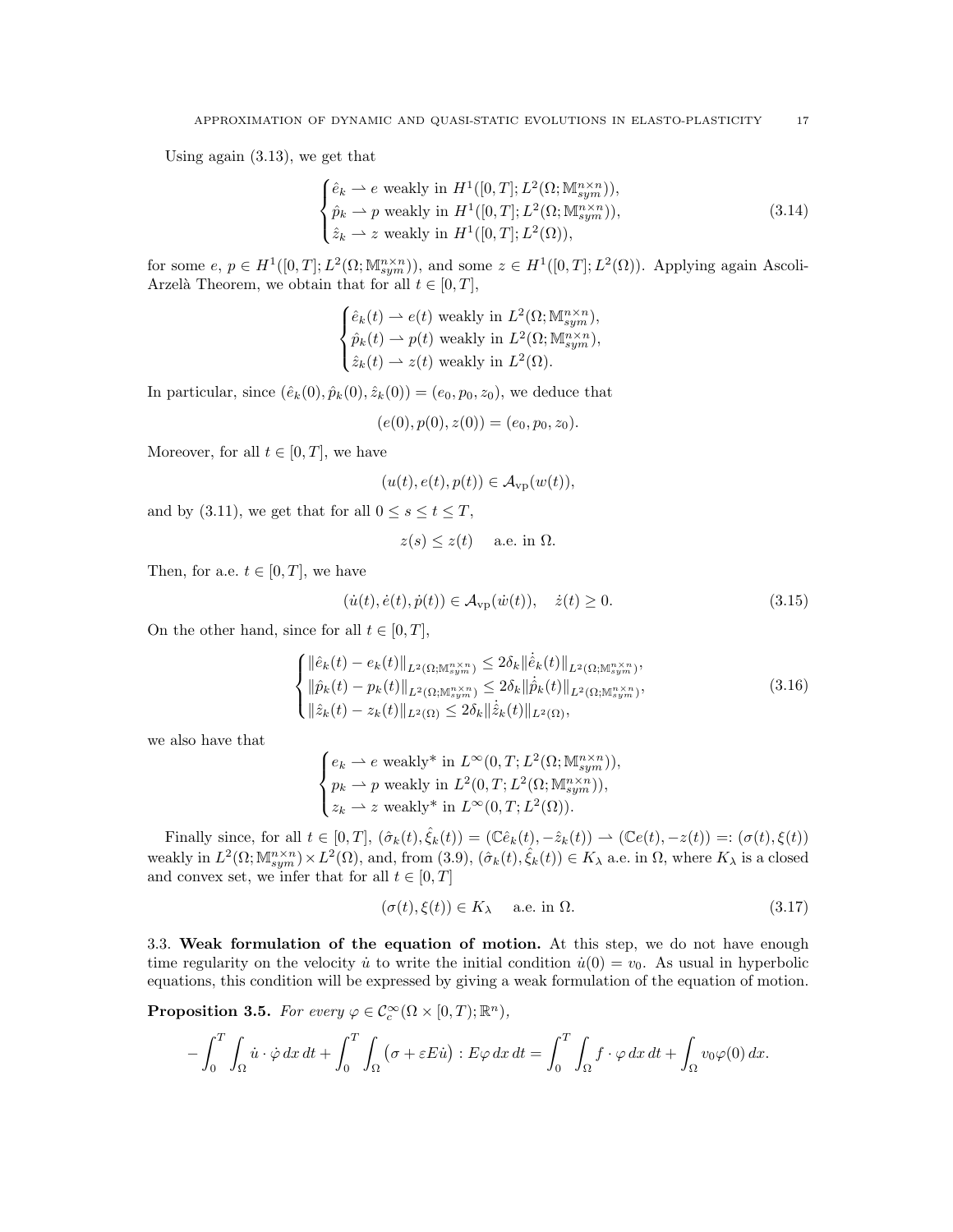Using again (3.13), we get that

$$
\begin{cases}\n\hat{e}_k \rightharpoonup e \text{ weakly in } H^1([0, T]; L^2(\Omega; \mathbb{M}_{sym}^{n \times n})), \\
\hat{p}_k \rightharpoonup p \text{ weakly in } H^1([0, T]; L^2(\Omega; \mathbb{M}_{sym}^{n \times n})), \\
\hat{z}_k \rightharpoonup z \text{ weakly in } H^1([0, T]; L^2(\Omega)),\n\end{cases}
$$
\n(3.14)

for some  $e, p \in H^1([0,T]; L^2(\Omega; \mathbb{M}^{n \times n}_{sym}))$ , and some  $z \in H^1([0,T]; L^2(\Omega))$ . Applying again Ascoli-Arzelà Theorem, we obtain that for all  $t \in [0, T]$ ,

$$
\begin{cases} \hat{e}_k(t) \rightharpoonup e(t) \text{ weakly in } L^2(\Omega; \mathbb{M}^{n \times n}_{sym}), \\ \hat{p}_k(t) \rightharpoonup p(t) \text{ weakly in } L^2(\Omega; \mathbb{M}^{n \times n}_{sym}), \\ \hat{z}_k(t) \rightharpoonup z(t) \text{ weakly in } L^2(\Omega). \end{cases}
$$

In particular, since  $(\hat{e}_k(0), \hat{p}_k(0), \hat{z}_k(0)) = (e_0, p_0, z_0)$ , we deduce that

$$
(e(0), p(0), z(0)) = (e_0, p_0, z_0).
$$

Moreover, for all  $t \in [0, T]$ , we have

$$
(u(t), e(t), p(t)) \in \mathcal{A}_{vp}(w(t)),
$$

and by (3.11), we get that for all  $0 \leq s \leq t \leq T$ ,

$$
z(s) \le z(t) \quad \text{ a.e. in } \Omega.
$$

Then, for a.e.  $t \in [0, T]$ , we have

$$
(\dot{u}(t), \dot{e}(t), \dot{p}(t)) \in \mathcal{A}_{vp}(\dot{w}(t)), \quad \dot{z}(t) \ge 0.
$$
\n
$$
(3.15)
$$

On the other hand, since for all  $t \in [0, T]$ ,

$$
\begin{cases} \|\hat{e}_k(t) - e_k(t)\|_{L^2(\Omega; \mathbb{M}^{n \times n}_{sym})} \leq 2\delta_k \|\dot{\hat{e}}_k(t)\|_{L^2(\Omega; \mathbb{M}^{n \times n}_{sym})},\\ \|\hat{p}_k(t) - p_k(t)\|_{L^2(\Omega; \mathbb{M}^{n \times n}_{sym})} \leq 2\delta_k \|\dot{\hat{p}}_k(t)\|_{L^2(\Omega; \mathbb{M}^{n \times n}_{sym})},\\ \|\hat{z}_k(t) - z_k(t)\|_{L^2(\Omega)} \leq 2\delta_k \|\dot{\hat{z}}_k(t)\|_{L^2(\Omega)}, \end{cases} \tag{3.16}
$$

we also have that

$$
\begin{cases} e_k \rightharpoonup e \text{ weakly* in } L^{\infty}(0,T; L^2(\Omega; \mathbb{M}^{n \times n}_{sym})), \\ p_k \rightharpoonup p \text{ weakly in } L^2(0,T; L^2(\Omega; \mathbb{M}^{n \times n}_{sym})), \\ z_k \rightharpoonup z \text{ weakly* in } L^{\infty}(0,T; L^2(\Omega)). \end{cases}
$$

Finally since, for all  $t \in [0,T]$ ,  $(\hat{\sigma}_k(t), \hat{\xi}_k(t)) = (\mathbb{C}\hat{e}_k(t), -\hat{z}_k(t)) \rightarrow (\mathbb{C}e(t), -z(t)) =: (\sigma(t), \xi(t))$ weakly in  $L^2(\Omega; \mathbb{M}^{n \times n}_{sym}) \times L^2(\Omega)$ , and, from  $(3.9)$ ,  $(\hat{\sigma}_k(t), \hat{\xi}_k(t)) \in K_\lambda$  a.e. in  $\Omega$ , where  $K_\lambda$  is a closed and convex set, we infer that for all  $t \in [0, T]$ 

$$
(\sigma(t), \xi(t)) \in K_{\lambda} \quad \text{ a.e. in } \Omega.
$$
 (3.17)

3.3. Weak formulation of the equation of motion. At this step, we do not have enough time regularity on the velocity  $\dot{u}$  to write the initial condition  $\dot{u}(0) = v_0$ . As usual in hyperbolic equations, this condition will be expressed by giving a weak formulation of the equation of motion.

**Proposition 3.5.** For every  $\varphi \in C_c^{\infty}(\Omega \times [0, T); \mathbb{R}^n)$ ,

$$
-\int_0^T \int_{\Omega} \dot{u} \cdot \dot{\varphi} \, dx \, dt + \int_0^T \int_{\Omega} \left( \sigma + \varepsilon E \dot{u} \right) : E \varphi \, dx \, dt = \int_0^T \int_{\Omega} f \cdot \varphi \, dx \, dt + \int_{\Omega} v_0 \varphi(0) \, dx.
$$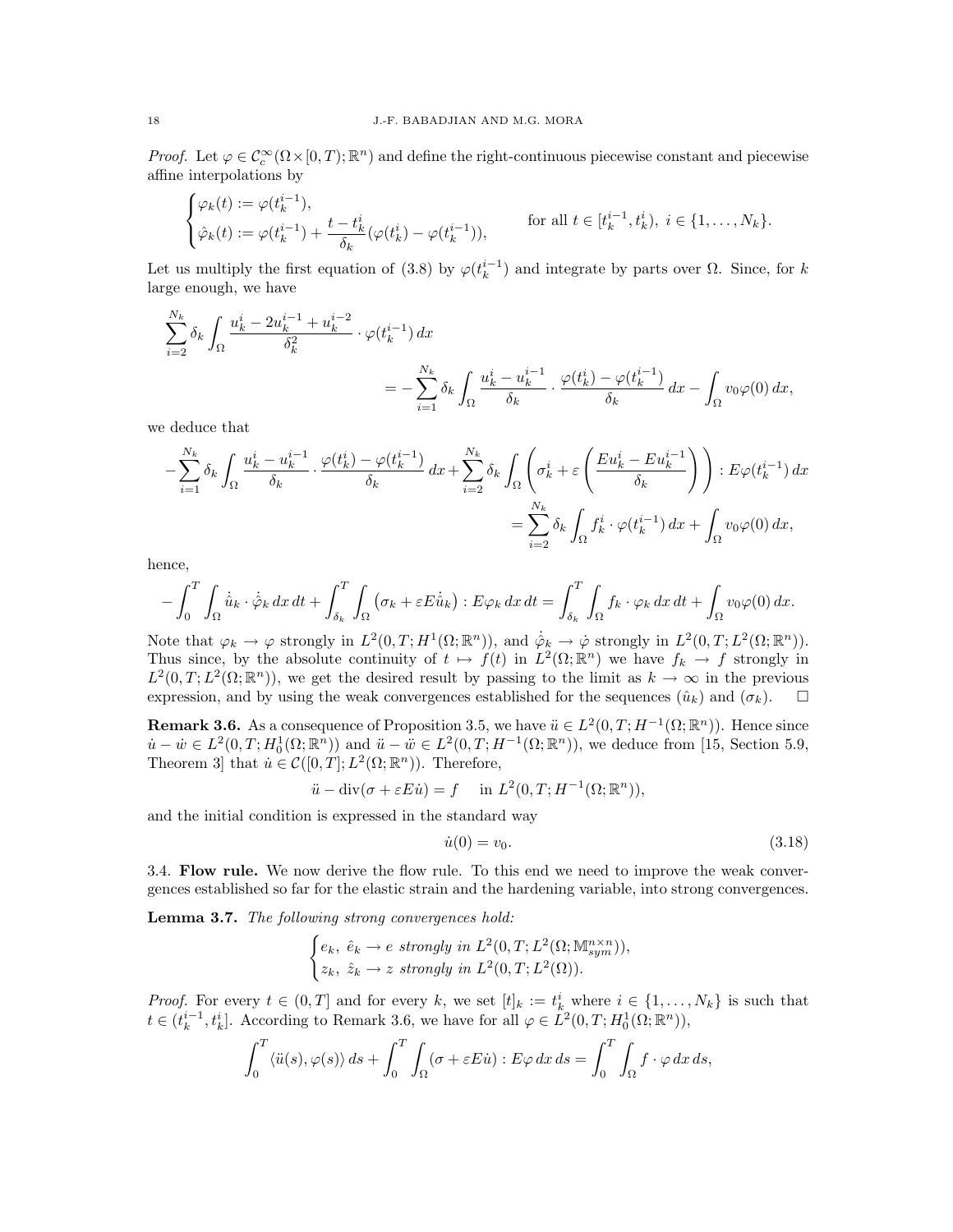*Proof.* Let  $\varphi \in C_c^{\infty}(\Omega \times [0, T); \mathbb{R}^n)$  and define the right-continuous piecewise constant and piecewise affine interpolations by

$$
\begin{cases} \varphi_k(t) := \varphi(t_k^{i-1}), \\ \hat{\varphi}_k(t) := \varphi(t_k^{i-1}) + \frac{t - t_k^i}{\delta_k} (\varphi(t_k^i) - \varphi(t_k^{i-1})), \end{cases} \text{ for all } t \in [t_k^{i-1}, t_k^i), i \in \{1, ..., N_k\}.
$$

Let us multiply the first equation of (3.8) by  $\varphi(t_k^{i-1})$  and integrate by parts over  $\Omega$ . Since, for k large enough, we have

$$
\sum_{i=2}^{N_k} \delta_k \int_{\Omega} \frac{u_k^i - 2u_k^{i-1} + u_k^{i-2}}{\delta_k^2} \cdot \varphi(t_k^{i-1}) dx \n= -\sum_{i=1}^{N_k} \delta_k \int_{\Omega} \frac{u_k^i - u_k^{i-1}}{\delta_k} \cdot \frac{\varphi(t_k^i) - \varphi(t_k^{i-1})}{\delta_k} dx - \int_{\Omega} v_0 \varphi(0) dx,
$$

we deduce that

$$
-\sum_{i=1}^{N_k} \delta_k \int_{\Omega} \frac{u_k^i - u_k^{i-1}}{\delta_k} \cdot \frac{\varphi(t_k^i) - \varphi(t_k^{i-1})}{\delta_k} dx + \sum_{i=2}^{N_k} \delta_k \int_{\Omega} \left( \sigma_k^i + \varepsilon \left( \frac{E u_k^i - E u_k^{i-1}}{\delta_k} \right) \right) : E \varphi(t_k^{i-1}) dx
$$

$$
= \sum_{i=2}^{N_k} \delta_k \int_{\Omega} f_k^i \cdot \varphi(t_k^{i-1}) dx + \int_{\Omega} v_0 \varphi(0) dx,
$$

hence,

$$
-\int_0^T \int_{\Omega} \dot{\hat{u}}_k \cdot \dot{\hat{\varphi}}_k \, dx \, dt + \int_{\delta_k}^T \int_{\Omega} \left( \sigma_k + \varepsilon E \dot{\hat{u}}_k \right) : E \varphi_k \, dx \, dt = \int_{\delta_k}^T \int_{\Omega} f_k \cdot \varphi_k \, dx \, dt + \int_{\Omega} v_0 \varphi(0) \, dx.
$$

Note that  $\varphi_k \to \varphi$  strongly in  $L^2(0,T;H^1(\Omega;\mathbb{R}^n))$ , and  $\dot{\varphi}_k \to \dot{\varphi}$  strongly in  $L^2(0,T;L^2(\Omega;\mathbb{R}^n))$ . Thus since, by the absolute continuity of  $t \mapsto f(t)$  in  $L^2(\Omega;\mathbb{R}^n)$  we have  $f_k \to f$  strongly in  $L^2(0,T;L^2(\Omega;\mathbb{R}^n))$ , we get the desired result by passing to the limit as  $k \to \infty$  in the previous expression, and by using the weak convergences established for the sequences  $(\hat{u}_k)$  and  $(\sigma_k)$ .  $\square$ 

**Remark 3.6.** As a consequence of Proposition 3.5, we have  $\ddot{u} \in L^2(0,T;H^{-1}(\Omega;\mathbb{R}^n))$ . Hence since  $\dot{u} - \dot{w} \in L^2(0,T;H_0^1(\Omega;\mathbb{R}^n))$  and  $\ddot{u} - \ddot{w} \in L^2(0,T;H^{-1}(\Omega;\mathbb{R}^n))$ , we deduce from [15, Section 5.9, Theorem 3 that  $\dot{u} \in \mathcal{C}([0,T];L^2(\Omega;\mathbb{R}^n))$ . Therefore,

$$
\ddot{u} - \operatorname{div}(\sigma + \varepsilon E \dot{u}) = f \quad \text{in } L^2(0, T; H^{-1}(\Omega; \mathbb{R}^n)),
$$

and the initial condition is expressed in the standard way

$$
\dot{u}(0) = v_0. \tag{3.18}
$$

3.4. Flow rule. We now derive the flow rule. To this end we need to improve the weak convergences established so far for the elastic strain and the hardening variable, into strong convergences.

Lemma 3.7. The following strong convergences hold:

$$
\begin{cases} e_k, \ \hat{e}_k \to e \ \text{ strongly in } L^2(0,T; L^2(\Omega; \mathbb{M}^{n \times n}_{sym})), \\ z_k, \ \hat{z}_k \to z \ \text{strongly in } L^2(0,T; L^2(\Omega)). \end{cases}
$$

*Proof.* For every  $t \in (0, T]$  and for every k, we set  $[t]_k := t_k^i$  where  $i \in \{1, ..., N_k\}$  is such that  $t \in (t_k^{i-1}, t_k^i]$ . According to Remark 3.6, we have for all  $\varphi \in L^2(0, T; H_0^1(\Omega; \mathbb{R}^n))$ ,

$$
\int_0^T \langle \ddot{u}(s), \varphi(s) \rangle ds + \int_0^T \int_\Omega (\sigma + \varepsilon E \dot{u}) : E \varphi dx ds = \int_0^T \int_\Omega f \cdot \varphi dx ds,
$$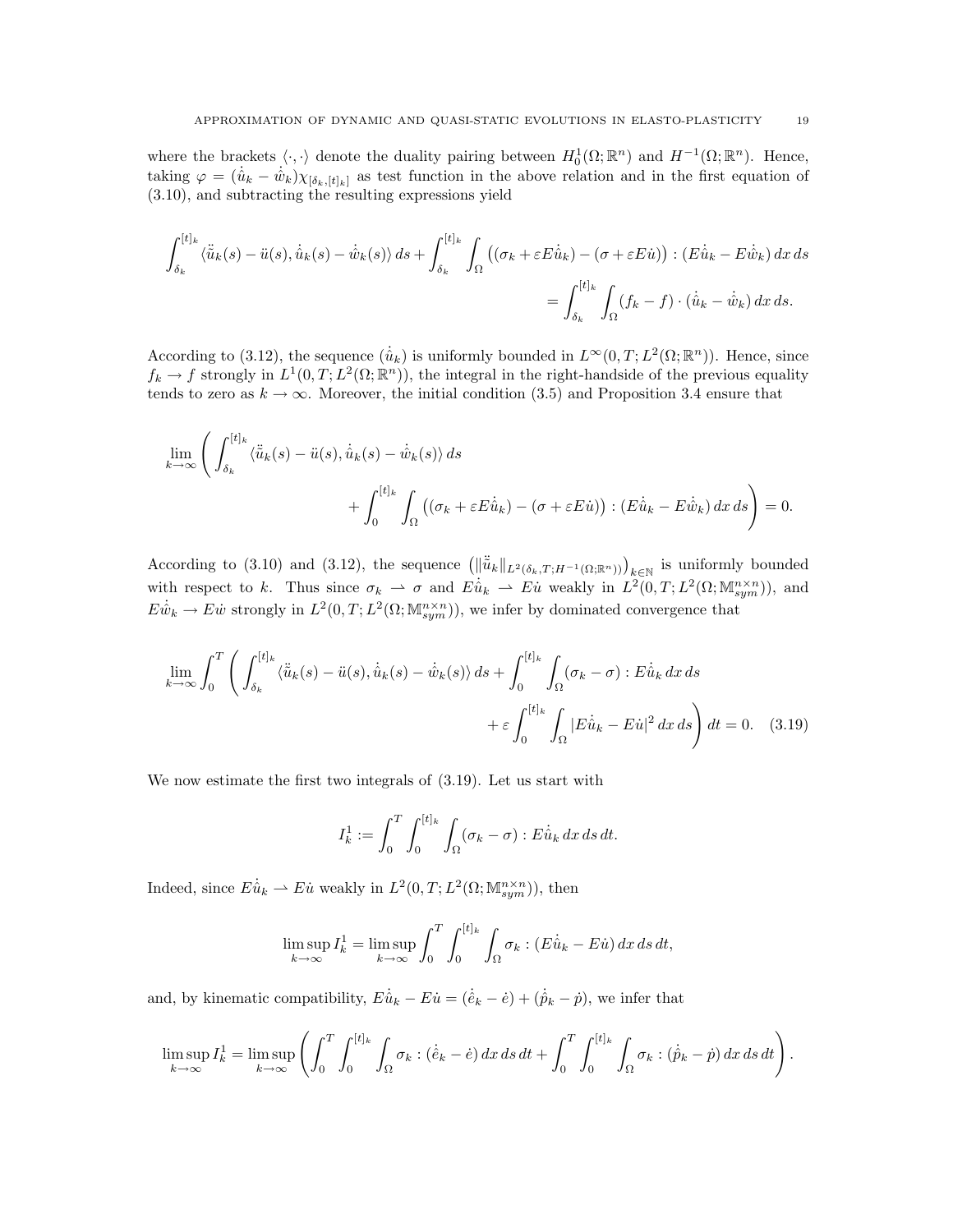where the brackets  $\langle \cdot, \cdot \rangle$  denote the duality pairing between  $H_0^1(\Omega; \mathbb{R}^n)$  and  $H^{-1}(\Omega; \mathbb{R}^n)$ . Hence, taking  $\varphi = (\hat{u}_k - \hat{w}_k)\chi_{[\delta_k,[t]_k]}$  as test function in the above relation and in the first equation of (3.10), and subtracting the resulting expressions yield

$$
\int_{\delta_k}^{[t]_k} \langle \ddot{\tilde{u}}_k(s) - \ddot{u}(s), \dot{\hat{u}}_k(s) - \dot{\hat{w}}_k(s) \rangle ds + \int_{\delta_k}^{[t]_k} \int_{\Omega} \left( (\sigma_k + \varepsilon E \dot{\hat{u}}_k) - (\sigma + \varepsilon E \dot{u}) \right) : (E \dot{\hat{u}}_k - E \dot{\hat{w}}_k) dx ds
$$
  
= 
$$
\int_{\delta_k}^{[t]_k} \int_{\Omega} (f_k - f) \cdot (\dot{\hat{u}}_k - \dot{\hat{w}}_k) dx ds.
$$

According to (3.12), the sequence  $(\dot{u}_k)$  is uniformly bounded in  $L^{\infty}(0,T; L^2(\Omega;\mathbb{R}^n))$ . Hence, since  $f_k \to f$  strongly in  $L^1(0,T;L^2(\Omega;\mathbb{R}^n))$ , the integral in the right-handside of the previous equality tends to zero as  $k \to \infty$ . Moreover, the initial condition (3.5) and Proposition 3.4 ensure that

$$
\lim_{k \to \infty} \left( \int_{\delta_k}^{[t]_k} \langle \ddot{\ddot{u}}_k(s) - \ddot{u}(s), \dot{\hat{u}}_k(s) - \dot{\hat{w}}_k(s) \rangle ds + \int_0^{[t]_k} \int_{\Omega} \left( (\sigma_k + \varepsilon E \dot{\hat{u}}_k) - (\sigma + \varepsilon E \dot{u}) \right) : (E \dot{\hat{u}}_k - E \dot{\hat{w}}_k) dx ds \right) = 0.
$$

According to (3.10) and (3.12), the sequence  $(\|\ddot{u}_k\|_{L^2(\delta_k,T;H^{-1}(\Omega;\mathbb{R}^n))})_{k\in\mathbb{N}}$  is uniformly bounded with respect to k. Thus since  $\sigma_k \rightharpoonup \sigma$  and  $E\dot{\hat{u}}_k \rightharpoonup E\dot{u}$  weakly in  $L^2(0,T;L^2(\Omega;\mathbb{M}^{n\times n}_{sym}))$ , and  $E\dot{\hat{w}}_k \to E\dot{w}$  strongly in  $L^2(0,T;L^2(\Omega; \mathbb{M}^{n \times n}_{sym}))$ , we infer by dominated convergence that

$$
\lim_{k \to \infty} \int_0^T \left( \int_{\delta_k}^{[t]_k} \langle \ddot{\tilde{u}}_k(s) - \ddot{u}(s), \dot{\tilde{u}}_k(s) - \dot{\tilde{w}}_k(s) \rangle ds + \int_0^{[t]_k} \int_{\Omega} (\sigma_k - \sigma) : E \dot{\tilde{u}}_k \, dx \, ds \right. \\
\left. + \varepsilon \int_0^{[t]_k} \int_{\Omega} |E \dot{\tilde{u}}_k - E \dot{u}|^2 \, dx \, ds \right) dt = 0. \quad (3.19)
$$

We now estimate the first two integrals of (3.19). Let us start with

$$
I_k^1 := \int_0^T \int_0^{[t]_k} \int_{\Omega} (\sigma_k - \sigma) : E \dot{\hat{u}}_k \, dx \, ds \, dt.
$$

Indeed, since  $E\dot{\hat{u}}_k \rightharpoonup E\dot{u}$  weakly in  $L^2(0,T;L^2(\Omega; \mathbb{M}^{n \times n}_{sym}))$ , then

$$
\limsup_{k \to \infty} I_k^1 = \limsup_{k \to \infty} \int_0^T \int_0^{[t]_k} \int_{\Omega} \sigma_k : (E\dot{\hat{u}}_k - E\dot{u}) \, dx \, ds \, dt,
$$

and, by kinematic compatibility,  $E \dot{u}_k - E \dot{u} = (\dot{\hat{e}}_k - \dot{e}) + (\dot{\hat{p}}_k - \dot{p})$ , we infer that

$$
\limsup_{k \to \infty} I_k^1 = \limsup_{k \to \infty} \left( \int_0^T \int_0^{\lbrack t \rbrack_k} \int_{\Omega} \sigma_k : (\dot{e}_k - \dot{e}) \, dx \, ds \, dt + \int_0^T \int_0^{\lbrack t \rbrack_k} \int_{\Omega} \sigma_k : (\dot{p}_k - \dot{p}) \, dx \, ds \, dt \right).
$$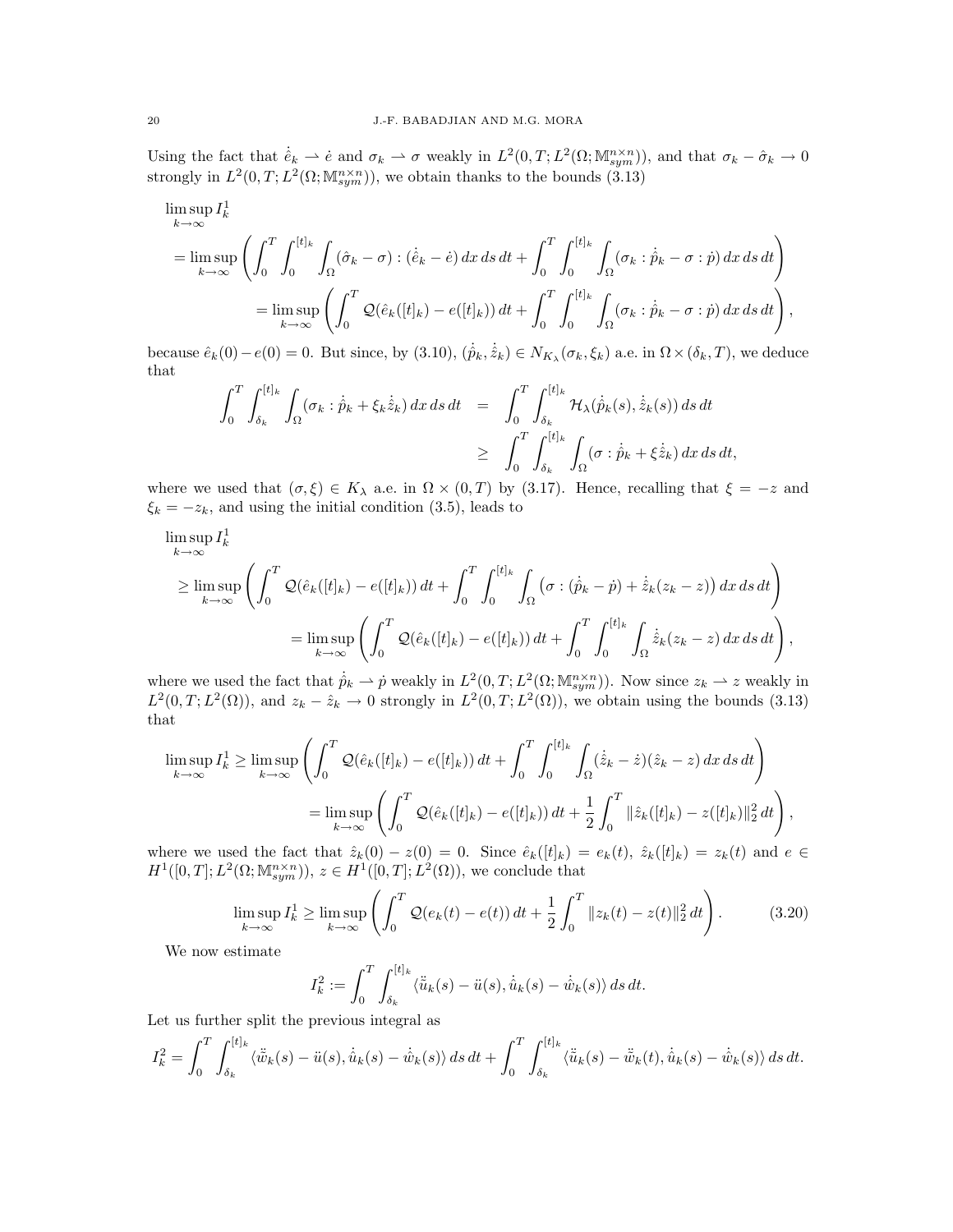Using the fact that  $\dot{\hat{e}}_k \rightharpoonup \dot{e}$  and  $\sigma_k \rightharpoonup \sigma$  weakly in  $L^2(0,T;L^2(\Omega;\mathbb{M}^{n\times n}_{sym}))$ , and that  $\sigma_k - \hat{\sigma}_k \rightharpoonup 0$ strongly in  $L^2(0,T; L^2(\Omega; \mathbb{M}^{n \times n}_{sym}))$ , we obtain thanks to the bounds  $(3.13)$ 

$$
\limsup_{k \to \infty} I_k^1\n= \limsup_{k \to \infty} \left( \int_0^T \int_0^{[t]_k} \int_{\Omega} (\hat{\sigma}_k - \sigma) : (\hat{e}_k - \hat{e}) dx ds dt + \int_0^T \int_0^{[t]_k} \int_{\Omega} (\sigma_k : \hat{p}_k - \sigma : \hat{p}) dx ds dt \right)\n= \limsup_{k \to \infty} \left( \int_0^T \mathcal{Q}(\hat{e}_k([t]_k) - e([t]_k)) dt + \int_0^T \int_0^{[t]_k} \int_{\Omega} (\sigma_k : \hat{p}_k - \sigma : \hat{p}) dx ds dt \right),
$$

because  $\hat{e}_k(0) - e(0) = 0$ . But since, by  $(3.10)$ ,  $(\dot{\hat{p}}_k, \dot{\hat{z}}_k) \in N_{K_\lambda}(\sigma_k, \xi_k)$  a.e. in  $\Omega \times (\delta_k, T)$ , we deduce that

$$
\int_0^T \int_{\delta_k}^{[t]_k} \int_{\Omega} (\sigma_k : \dot{\hat{p}}_k + \xi_k \dot{\hat{z}}_k) dx ds dt = \int_0^T \int_{\delta_k}^{[t]_k} \mathcal{H}_{\lambda}(\dot{\hat{p}}_k(s), \dot{\hat{z}}_k(s)) ds dt
$$
  

$$
\geq \int_0^T \int_{\delta_k}^{[t]_k} \int_{\Omega} (\sigma : \dot{\hat{p}}_k + \xi \dot{\hat{z}}_k) dx ds dt,
$$

where we used that  $(\sigma, \xi) \in K_\lambda$  a.e. in  $\Omega \times (0, T)$  by (3.17). Hence, recalling that  $\xi = -z$  and  $\xi_k = -z_k$ , and using the initial condition (3.5), leads to

$$
\limsup_{k \to \infty} I_k^1
$$
\n
$$
\geq \limsup_{k \to \infty} \left( \int_0^T \mathcal{Q}(\hat{e}_k([t]_k) - e([t]_k)) dt + \int_0^T \int_0^{[t]_k} \int_{\Omega} (\sigma : (\dot{\hat{p}}_k - \dot{p}) + \dot{\hat{z}}_k(z_k - z)) dx ds dt \right)
$$
\n
$$
= \limsup_{k \to \infty} \left( \int_0^T \mathcal{Q}(\hat{e}_k([t]_k) - e([t]_k)) dt + \int_0^T \int_0^{[t]_k} \int_{\Omega} \dot{\hat{z}}_k(z_k - z) dx ds dt \right),
$$

where we used the fact that  $\dot{\hat{p}}_k \to \dot{p}$  weakly in  $L^2(0,T;L^2(\Omega;\mathbb{M}^{n\times n}_{sym}))$ . Now since  $z_k \to z$  weakly in  $L^2(0,T;L^2(\Omega))$ , and  $z_k - \hat{z}_k \to 0$  strongly in  $L^2(0,T;L^2(\Omega))$ , we obtain using the bounds (3.13) that

$$
\limsup_{k \to \infty} I_k^1 \ge \limsup_{k \to \infty} \left( \int_0^T \mathcal{Q}(\hat{e}_k([t]_k) - e([t]_k)) dt + \int_0^T \int_0^{[t]_k} \int_{\Omega} (\dot{\hat{z}}_k - \dot{z}) (\hat{z}_k - z) dx ds dt \right)
$$
  
= 
$$
\limsup_{k \to \infty} \left( \int_0^T \mathcal{Q}(\hat{e}_k([t]_k) - e([t]_k)) dt + \frac{1}{2} \int_0^T ||\hat{z}_k([t]_k) - z([t]_k)||_2^2 dt \right),
$$

where we used the fact that  $\hat{z}_k(0) - z(0) = 0$ . Since  $\hat{e}_k([t]_k) = e_k(t), \hat{z}_k([t]_k) = z_k(t)$  and  $e \in$  $H^1([0,T];L^2(\Omega; \mathbb{M}^{n \times n}_{sym})), z \in H^1([0,T];L^2(\Omega)),$  we conclude that

$$
\limsup_{k \to \infty} I_k^1 \ge \limsup_{k \to \infty} \left( \int_0^T \mathcal{Q}(e_k(t) - e(t)) dt + \frac{1}{2} \int_0^T \|z_k(t) - z(t)\|_2^2 dt \right).
$$
 (3.20)

We now estimate

$$
I_k^2 := \int_0^T \int_{\delta_k}^{[t]_k} \langle \ddot{\tilde{u}}_k(s) - \ddot{u}(s), \dot{\tilde{u}}_k(s) - \dot{\tilde{w}}_k(s) \rangle \, ds \, dt.
$$

Let us further split the previous integral as

$$
I_k^2 = \int_0^T \int_{\delta_k}^{[t]_k} \langle \ddot{\tilde{w}}_k(s) - \ddot{u}(s), \dot{\tilde{u}}_k(s) - \dot{\tilde{w}}_k(s) \rangle \, ds \, dt + \int_0^T \int_{\delta_k}^{[t]_k} \langle \ddot{\tilde{u}}_k(s) - \ddot{\tilde{w}}_k(t), \dot{\tilde{u}}_k(s) - \dot{\tilde{w}}_k(s) \rangle \, ds \, dt.
$$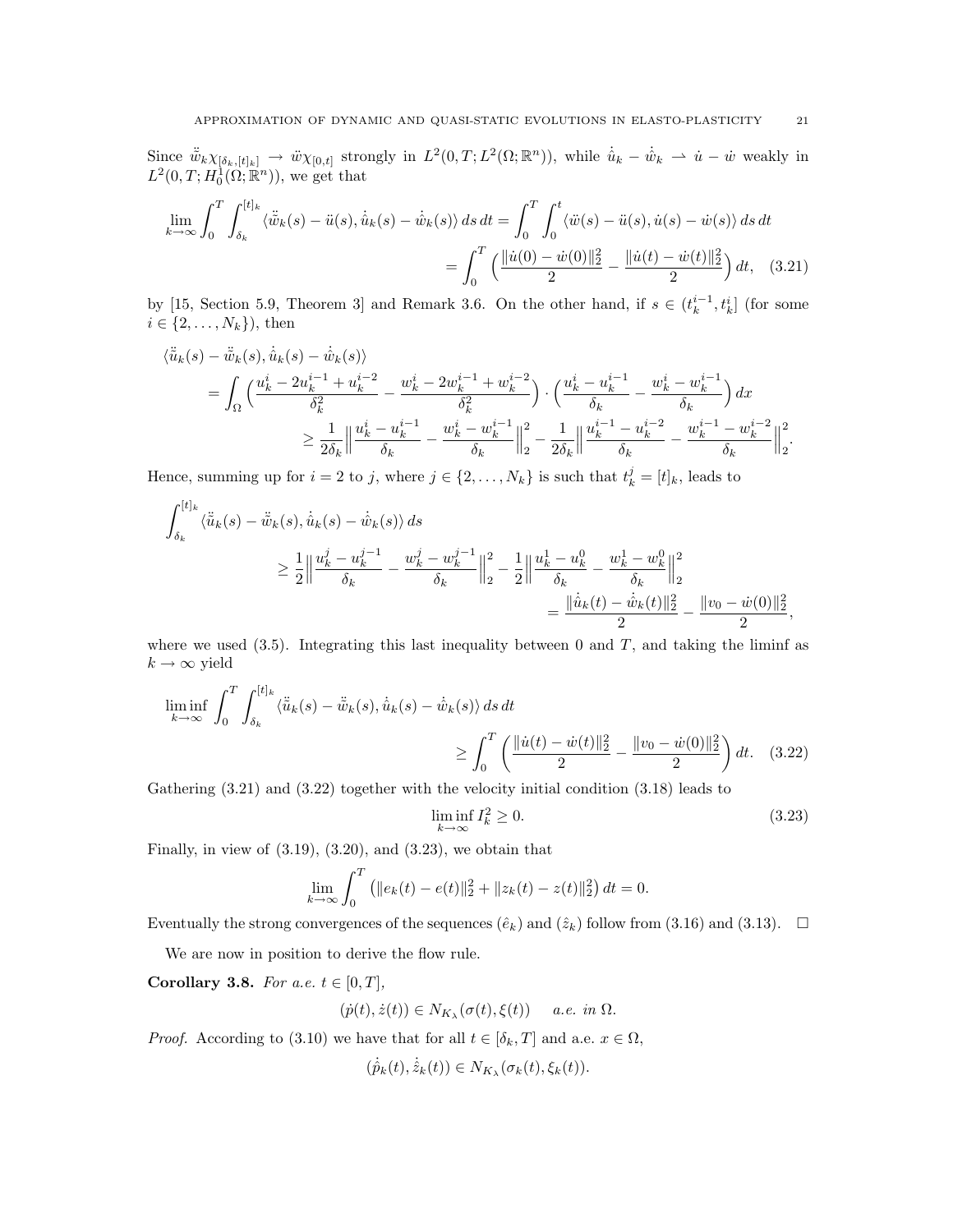Since  $\ddot{\hat{w}}_k \chi_{\delta_k, [t]_k]} \to \ddot{w} \chi_{[0,t]}$  strongly in  $L^2(0,T; L^2(\Omega;\mathbb{R}^n))$ , while  $\dot{\hat{u}}_k - \dot{\hat{w}}_k \to \dot{u} - \dot{w}$  weakly in  $L^2(0,T;H_0^1(\Omega;\mathbb{R}^n))$ , we get that

$$
\lim_{k \to \infty} \int_0^T \int_{\delta_k}^{[t]_k} \langle \ddot{\tilde{w}}_k(s) - \ddot{u}(s), \dot{\tilde{u}}_k(s) - \dot{\tilde{w}}_k(s) \rangle \, ds \, dt = \int_0^T \int_0^t \langle \ddot{w}(s) - \ddot{u}(s), \dot{u}(s) - \dot{w}(s) \rangle \, ds \, dt
$$
\n
$$
= \int_0^T \left( \frac{\|\dot{u}(0) - \dot{w}(0)\|_2^2}{2} - \frac{\|\dot{u}(t) - \dot{w}(t)\|_2^2}{2} \right) dt, \quad (3.21)
$$

by [15, Section 5.9, Theorem 3] and Remark 3.6. On the other hand, if  $s \in (t_k^{i-1}, t_k^i]$  (for some  $i \in \{2, ..., N_k\}$ , then

$$
\langle \ddot{\hat{u}}_{k}(s) - \ddot{\hat{w}}_{k}(s), \dot{\hat{u}}_{k}(s) - \dot{\hat{w}}_{k}(s) \rangle
$$
\n
$$
= \int_{\Omega} \left( \frac{u_{k}^{i} - 2u_{k}^{i-1} + u_{k}^{i-2}}{\delta_{k}^{2}} - \frac{w_{k}^{i} - 2w_{k}^{i-1} + w_{k}^{i-2}}{\delta_{k}^{2}} \right) \cdot \left( \frac{u_{k}^{i} - u_{k}^{i-1}}{\delta_{k}} - \frac{w_{k}^{i} - w_{k}^{i-1}}{\delta_{k}} \right) dx
$$
\n
$$
\geq \frac{1}{2\delta_{k}} \left\| \frac{u_{k}^{i} - u_{k}^{i-1}}{\delta_{k}} - \frac{w_{k}^{i} - w_{k}^{i-1}}{\delta_{k}} \right\|_{2}^{2} - \frac{1}{2\delta_{k}} \left\| \frac{u_{k}^{i-1} - u_{k}^{i-2}}{\delta_{k}} - \frac{w_{k}^{i-1} - w_{k}^{i-2}}{\delta_{k}} \right\|_{2}^{2}.
$$

Hence, summing up for  $i = 2$  to j, where  $j \in \{2, ..., N_k\}$  is such that  $t_k^j = [t]_k$ , leads to

$$
\int_{\delta_k}^{[t]_k} \langle \ddot{\tilde{u}}_k(s) - \ddot{\tilde{w}}_k(s), \dot{\tilde{u}}_k(s) - \dot{\tilde{w}}_k(s) \rangle ds
$$
  
\n
$$
\geq \frac{1}{2} \left\| \frac{u_k^j - u_k^{j-1}}{\delta_k} - \frac{w_k^j - w_k^{j-1}}{\delta_k} \right\|_2^2 - \frac{1}{2} \left\| \frac{u_k^1 - u_k^0}{\delta_k} - \frac{w_k^1 - w_k^0}{\delta_k} \right\|_2^2
$$
  
\n
$$
= \frac{\|\dot{\tilde{u}}_k(t) - \dot{\tilde{w}}_k(t)\|_2^2}{2} - \frac{\|v_0 - \dot{w}(0)\|_2^2}{2},
$$

where we used  $(3.5)$ . Integrating this last inequality between 0 and T, and taking the liminf as  $k \to \infty$  yield

$$
\liminf_{k \to \infty} \int_0^T \int_{\delta_k}^{[t]_k} \langle \ddot{\tilde{u}}_k(s) - \ddot{\tilde{w}}_k(s), \dot{\tilde{u}}_k(s) - \dot{\tilde{w}}_k(s) \rangle \, ds \, dt
$$
\n
$$
\geq \int_0^T \left( \frac{\|\dot{u}(t) - \dot{w}(t)\|_2^2}{2} - \frac{\|v_0 - \dot{w}(0)\|_2^2}{2} \right) dt. \tag{3.22}
$$

Gathering  $(3.21)$  and  $(3.22)$  together with the velocity initial condition  $(3.18)$  leads to

$$
\liminf_{k \to \infty} I_k^2 \ge 0. \tag{3.23}
$$

Finally, in view of  $(3.19)$ ,  $(3.20)$ , and  $(3.23)$ , we obtain that

$$
\lim_{k \to \infty} \int_0^T \left( ||e_k(t) - e(t)||_2^2 + ||z_k(t) - z(t)||_2^2 \right) dt = 0.
$$

Eventually the strong convergences of the sequences  $(\hat{e}_k)$  and  $(\hat{z}_k)$  follow from (3.16) and (3.13).  $\Box$ 

We are now in position to derive the flow rule.

Corollary 3.8. For a.e.  $t \in [0, T]$ ,

$$
(\dot{p}(t), \dot{z}(t)) \in N_{K_{\lambda}}(\sigma(t), \xi(t)) \quad a.e. \text{ in } \Omega.
$$

*Proof.* According to (3.10) we have that for all  $t \in [\delta_k, T]$  and a.e.  $x \in \Omega$ ,

$$
(\dot{\hat{p}}_k(t), \dot{\hat{z}}_k(t)) \in N_{K_\lambda}(\sigma_k(t), \xi_k(t)).
$$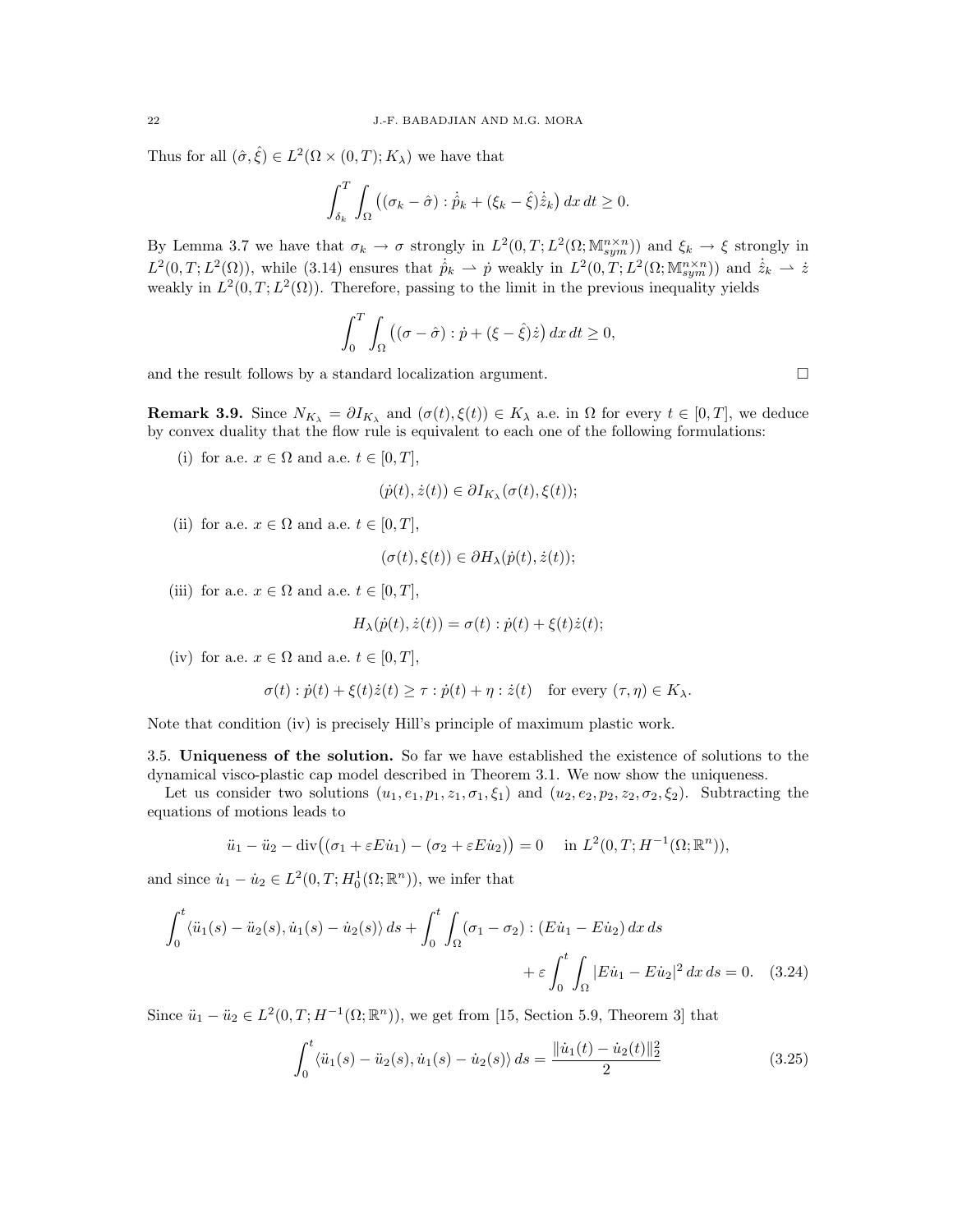Thus for all  $(\hat{\sigma}, \hat{\xi}) \in L^2(\Omega \times (0,T); K_\lambda)$  we have that

$$
\int_{\delta_k}^T \int_{\Omega} \left( (\sigma_k - \hat{\sigma}) : \dot{\hat{p}}_k + (\xi_k - \hat{\xi}) \dot{\hat{z}}_k \right) dx dt \ge 0.
$$

By Lemma 3.7 we have that  $\sigma_k \to \sigma$  strongly in  $L^2(0,T;L^2(\Omega;\mathbb{M}^{n\times n}_{sym}))$  and  $\xi_k \to \xi$  strongly in  $L^2(0,T;L^2(\Omega))$ , while (3.14) ensures that  $\dot{\hat{p}}_k \to \dot{p}$  weakly in  $L^2(0,T;L^2(\Omega;\mathbb{M}^{n\times n}_{sym}))$  and  $\dot{\hat{z}}_k \to \dot{z}$ weakly in  $L^2(0,T;L^2(\Omega))$ . Therefore, passing to the limit in the previous inequality yields

$$
\int_0^T \int_{\Omega} \left( (\sigma - \hat{\sigma}) : \dot{p} + (\xi - \hat{\xi}) \dot{z} \right) dx dt \ge 0,
$$

and the result follows by a standard localization argument.

**Remark 3.9.** Since  $N_{K_{\lambda}} = \partial I_{K_{\lambda}}$  and  $(\sigma(t), \xi(t)) \in K_{\lambda}$  a.e. in  $\Omega$  for every  $t \in [0, T]$ , we deduce by convex duality that the flow rule is equivalent to each one of the following formulations:

(i) for a.e.  $x \in \Omega$  and a.e.  $t \in [0, T]$ ,

$$
(\dot{p}(t), \dot{z}(t)) \in \partial I_{K_{\lambda}}(\sigma(t), \xi(t));
$$

(ii) for a.e.  $x \in \Omega$  and a.e.  $t \in [0, T]$ ,

$$
(\sigma(t),\xi(t))\in \partial H_{\lambda}(\dot{p}(t),\dot{z}(t));
$$

(iii) for a.e.  $x \in \Omega$  and a.e.  $t \in [0, T]$ ,

$$
H_{\lambda}(\dot{p}(t), \dot{z}(t)) = \sigma(t) : \dot{p}(t) + \xi(t)\dot{z}(t);
$$

(iv) for a.e.  $x \in \Omega$  and a.e.  $t \in [0, T]$ ,

$$
\sigma(t): \dot{p}(t) + \xi(t)\dot{z}(t) \geq \tau : \dot{p}(t) + \eta : \dot{z}(t) \quad \text{for every } (\tau, \eta) \in K_{\lambda}.
$$

Note that condition (iv) is precisely Hill's principle of maximum plastic work.

3.5. Uniqueness of the solution. So far we have established the existence of solutions to the dynamical visco-plastic cap model described in Theorem 3.1. We now show the uniqueness.

Let us consider two solutions  $(u_1, e_1, p_1, z_1, \sigma_1, \xi_1)$  and  $(u_2, e_2, p_2, z_2, \sigma_2, \xi_2)$ . Subtracting the equations of motions leads to

$$
\ddot{u}_1 - \ddot{u}_2 - \text{div}\big((\sigma_1 + \varepsilon E \dot{u}_1) - (\sigma_2 + \varepsilon E \dot{u}_2)\big) = 0 \quad \text{in } L^2(0, T; H^{-1}(\Omega; \mathbb{R}^n)),
$$

and since  $\dot{u}_1 - \dot{u}_2 \in L^2(0,T;H_0^1(\Omega;\mathbb{R}^n))$ , we infer that

$$
\int_0^t \langle \ddot{u}_1(s) - \ddot{u}_2(s), \dot{u}_1(s) - \dot{u}_2(s) \rangle ds + \int_0^t \int_{\Omega} (\sigma_1 - \sigma_2) : (E\dot{u}_1 - E\dot{u}_2) dx ds + \varepsilon \int_0^t \int_{\Omega} |E\dot{u}_1 - E\dot{u}_2|^2 dx ds = 0.
$$
 (3.24)

Since  $\ddot{u}_1 - \ddot{u}_2 \in L^2(0,T;H^{-1}(\Omega;\mathbb{R}^n))$ , we get from [15, Section 5.9, Theorem 3] that

$$
\int_0^t \langle \ddot{u}_1(s) - \ddot{u}_2(s), \dot{u}_1(s) - \dot{u}_2(s) \rangle ds = \frac{\|\dot{u}_1(t) - \dot{u}_2(t)\|_2^2}{2}
$$
(3.25)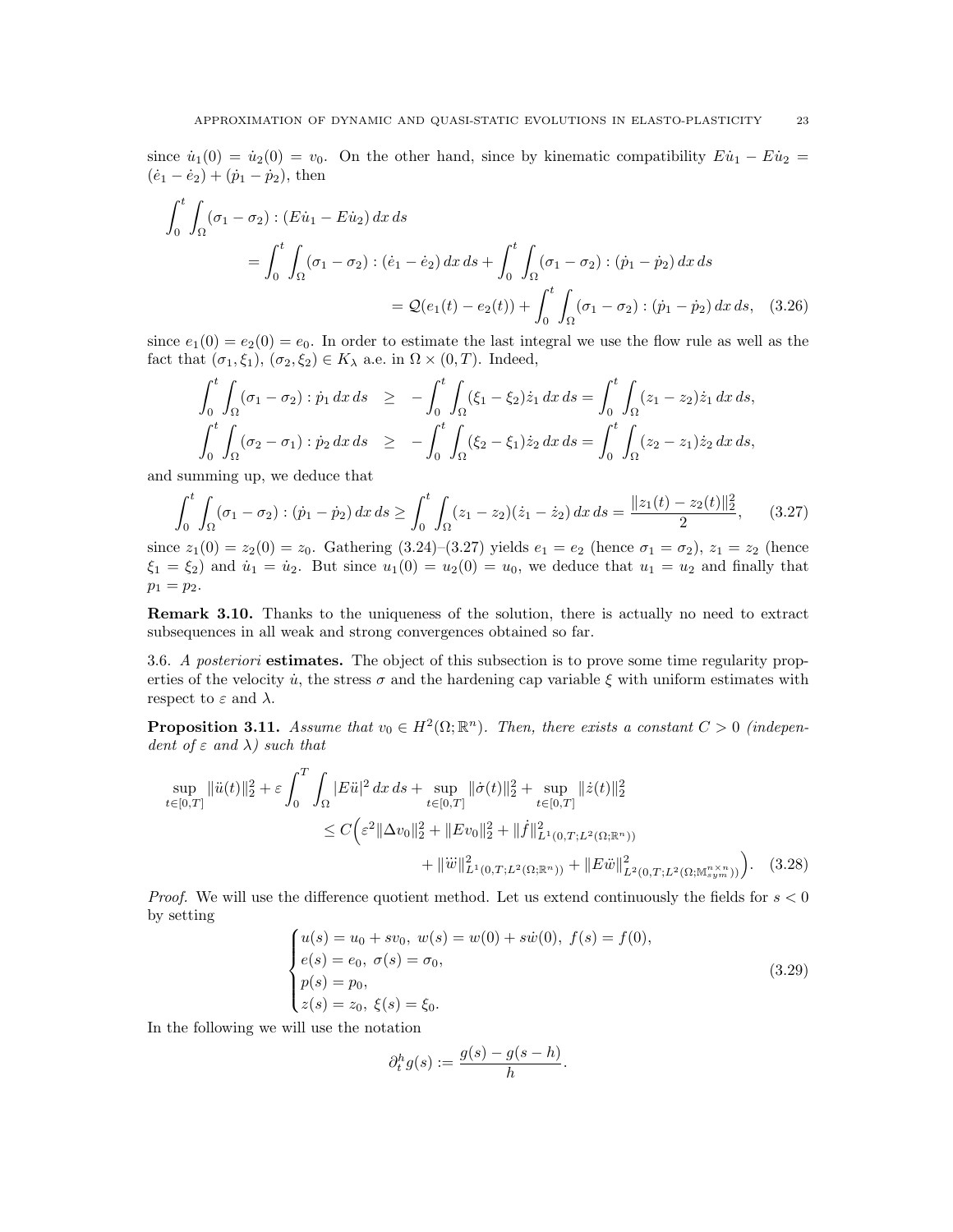since  $\dot{u}_1(0) = \dot{u}_2(0) = v_0$ . On the other hand, since by kinematic compatibility  $E\dot{u}_1 - E\dot{u}_2 =$  $(\dot{e}_1 - \dot{e}_2) + (\dot{p}_1 - \dot{p}_2)$ , then

$$
\int_{0}^{t} \int_{\Omega} (\sigma_{1} - \sigma_{2}) : (E\dot{u}_{1} - E\dot{u}_{2}) dx ds
$$
  
= 
$$
\int_{0}^{t} \int_{\Omega} (\sigma_{1} - \sigma_{2}) : (\dot{e}_{1} - \dot{e}_{2}) dx ds + \int_{0}^{t} \int_{\Omega} (\sigma_{1} - \sigma_{2}) : (\dot{p}_{1} - \dot{p}_{2}) dx ds
$$
  
= 
$$
\mathcal{Q}(e_{1}(t) - e_{2}(t)) + \int_{0}^{t} \int_{\Omega} (\sigma_{1} - \sigma_{2}) : (\dot{p}_{1} - \dot{p}_{2}) dx ds, (3.26)
$$

since  $e_1(0) = e_2(0) = e_0$ . In order to estimate the last integral we use the flow rule as well as the fact that  $(\sigma_1, \xi_1), (\sigma_2, \xi_2) \in K_\lambda$  a.e. in  $\Omega \times (0, T)$ . Indeed,

$$
\int_0^t \int_{\Omega} (\sigma_1 - \sigma_2) : \dot{p}_1 \, dx \, ds \ge - \int_0^t \int_{\Omega} (\xi_1 - \xi_2) \dot{z}_1 \, dx \, ds = \int_0^t \int_{\Omega} (z_1 - z_2) \dot{z}_1 \, dx \, ds,
$$
  

$$
\int_0^t \int_{\Omega} (\sigma_2 - \sigma_1) : \dot{p}_2 \, dx \, ds \ge - \int_0^t \int_{\Omega} (\xi_2 - \xi_1) \dot{z}_2 \, dx \, ds = \int_0^t \int_{\Omega} (z_2 - z_1) \dot{z}_2 \, dx \, ds,
$$

and summing up, we deduce that

$$
\int_0^t \int_{\Omega} (\sigma_1 - \sigma_2) : (\dot{p}_1 - \dot{p}_2) \, dx \, ds \ge \int_0^t \int_{\Omega} (z_1 - z_2)(\dot{z}_1 - \dot{z}_2) \, dx \, ds = \frac{\|z_1(t) - z_2(t)\|_2^2}{2},\qquad(3.27)
$$

since  $z_1(0) = z_2(0) = z_0$ . Gathering (3.24)–(3.27) yields  $e_1 = e_2$  (hence  $\sigma_1 = \sigma_2$ ),  $z_1 = z_2$  (hence  $\xi_1 = \xi_2$  and  $\dot{u}_1 = \dot{u}_2$ . But since  $u_1(0) = u_2(0) = u_0$ , we deduce that  $u_1 = u_2$  and finally that  $p_1 = p_2.$ 

Remark 3.10. Thanks to the uniqueness of the solution, there is actually no need to extract subsequences in all weak and strong convergences obtained so far.

3.6. A posteriori estimates. The object of this subsection is to prove some time regularity properties of the velocity  $\dot{u}$ , the stress  $\sigma$  and the hardening cap variable  $\xi$  with uniform estimates with respect to  $\varepsilon$  and  $\lambda$ .

**Proposition 3.11.** Assume that  $v_0 \in H^2(\Omega; \mathbb{R}^n)$ . Then, there exists a constant  $C > 0$  (independent of  $\varepsilon$  and  $\lambda$ ) such that

$$
\sup_{t \in [0,T]} \|\ddot{u}(t)\|_{2}^{2} + \varepsilon \int_{0}^{T} \int_{\Omega} |E\ddot{u}|^{2} dx ds + \sup_{t \in [0,T]} \|\dot{\sigma}(t)\|_{2}^{2} + \sup_{t \in [0,T]} \|\dot{z}(t)\|_{2}^{2}
$$
  
\n
$$
\leq C \Big( \varepsilon^{2} \|\Delta v_{0}\|_{2}^{2} + \|Ev_{0}\|_{2}^{2} + \|f\|_{L^{1}(0,T;L^{2}(\Omega; \mathbb{R}^{n}))}^{2}
$$
  
\n
$$
+ \|\dddot{w}\|_{L^{1}(0,T;L^{2}(\Omega; \mathbb{R}^{n}))}^{2} + \|E\ddot{w}\|_{L^{2}(0,T;L^{2}(\Omega; \mathbb{M}^{n} \times n))}^{2} \Big).
$$
 (3.28)

*Proof.* We will use the difference quotient method. Let us extend continuously the fields for  $s < 0$ by setting

$$
\begin{cases}\nu(s) = u_0 + sv_0, & w(s) = w(0) + sw(0), & f(s) = f(0), \\
e(s) = e_0, & \sigma(s) = \sigma_0, \\
p(s) = p_0, & z(s) = z_0, & \xi(s) = \xi_0.\n\end{cases}
$$
\n(3.29)

In the following we will use the notation

$$
\partial_t^h g(s) := \frac{g(s) - g(s - h)}{h}.
$$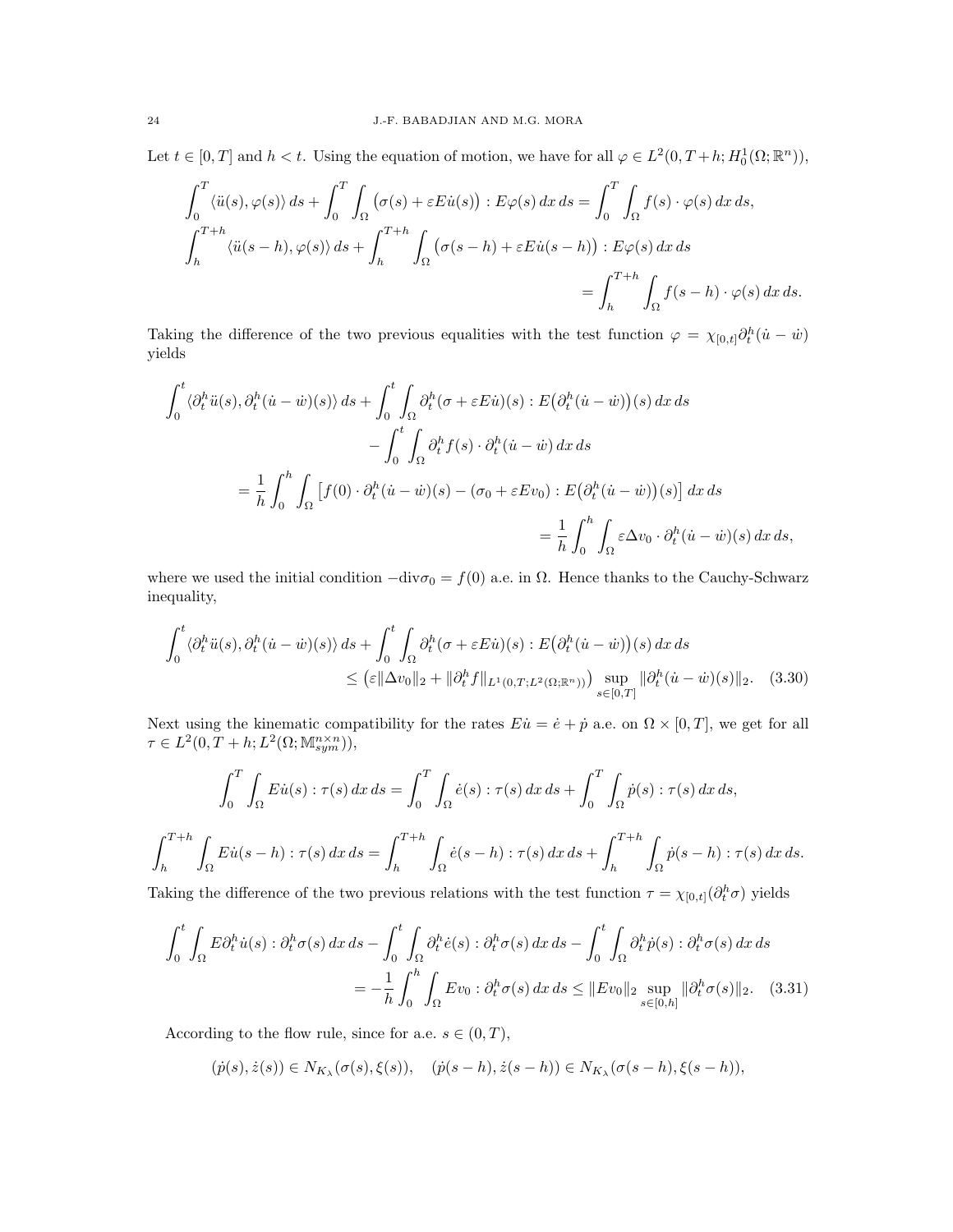Let  $t \in [0, T]$  and  $h < t$ . Using the equation of motion, we have for all  $\varphi \in L^2(0, T + h; H_0^1(\Omega; \mathbb{R}^n))$ ,

$$
\int_0^T \langle \ddot{u}(s), \varphi(s) \rangle ds + \int_0^T \int_{\Omega} \left( \sigma(s) + \varepsilon E \dot{u}(s) \right) : E \varphi(s) \, dx \, ds = \int_0^T \int_{\Omega} f(s) \cdot \varphi(s) \, dx \, ds,
$$
  

$$
\int_h^{T+h} \langle \ddot{u}(s-h), \varphi(s) \rangle \, ds + \int_h^{T+h} \int_{\Omega} \left( \sigma(s-h) + \varepsilon E \dot{u}(s-h) \right) : E \varphi(s) \, dx \, ds
$$
  

$$
= \int_h^{T+h} \int_{\Omega} f(s-h) \cdot \varphi(s) \, dx \, ds.
$$

Taking the difference of the two previous equalities with the test function  $\varphi = \chi_{[0,t]} \partial_t^h (\dot{u} - \dot{w})$ yields

$$
\int_0^t \langle \partial_t^h \ddot{u}(s), \partial_t^h (\dot{u} - \dot{w})(s) \rangle ds + \int_0^t \int_{\Omega} \partial_t^h (\sigma + \varepsilon E \dot{u})(s) : E \big( \partial_t^h (\dot{u} - \dot{w}) \big)(s) dx ds
$$
  

$$
- \int_0^t \int_{\Omega} \partial_t^h f(s) \cdot \partial_t^h (\dot{u} - \dot{w}) dx ds
$$
  

$$
= \frac{1}{h} \int_0^h \int_{\Omega} \big[ f(0) \cdot \partial_t^h (\dot{u} - \dot{w})(s) - (\sigma_0 + \varepsilon E v_0) : E \big( \partial_t^h (\dot{u} - \dot{w}) \big)(s) \big] dx ds
$$
  

$$
= \frac{1}{h} \int_0^h \int_{\Omega} \varepsilon \Delta v_0 \cdot \partial_t^h (\dot{u} - \dot{w})(s) dx ds,
$$

where we used the initial condition  $-\text{div}\sigma_0 = f(0)$  a.e. in  $\Omega$ . Hence thanks to the Cauchy-Schwarz inequality,

$$
\int_0^t \langle \partial_t^h \ddot{u}(s), \partial_t^h (\dot{u} - \dot{w})(s) \rangle ds + \int_0^t \int_\Omega \partial_t^h (\sigma + \varepsilon E \dot{u})(s) : E\big(\partial_t^h (\dot{u} - \dot{w})(s) \, dx \, ds
$$
  

$$
\leq (\varepsilon \|\Delta v_0\|_2 + \|\partial_t^h f\|_{L^1(0,T;L^2(\Omega; \mathbb{R}^n))}) \sup_{s \in [0,T]} \|\partial_t^h (\dot{u} - \dot{w})(s)\|_2. \tag{3.30}
$$

Next using the kinematic compatibility for the rates  $E\dot{u} = \dot{e} + \dot{p}$  a.e. on  $\Omega \times [0, T]$ , we get for all  $\tau \in L^2(0, T+h; L^2(\Omega; \mathbb{M}^{n \times n}_{sym})),$ 

$$
\int_0^T \int_{\Omega} E \dot{u}(s) : \tau(s) \, dx \, ds = \int_0^T \int_{\Omega} \dot{e}(s) : \tau(s) \, dx \, ds + \int_0^T \int_{\Omega} \dot{p}(s) : \tau(s) \, dx \, ds,
$$

$$
\int_h^{T+h} \int_{\Omega} E \dot{u}(s-h) : \tau(s) \, dx \, ds = \int_h^{T+h} \int_{\Omega} \dot{e}(s-h) : \tau(s) \, dx \, ds + \int_h^{T+h} \int_{\Omega} \dot{p}(s-h) : \tau(s) \, dx \, ds.
$$

Taking the difference of the two previous relations with the test function  $\tau = \chi_{[0,t]}(\partial_t^h \sigma)$  yields

$$
\int_0^t \int_{\Omega} E \partial_t^h \dot{u}(s) : \partial_t^h \sigma(s) \, dx \, ds - \int_0^t \int_{\Omega} \partial_t^h \dot{e}(s) : \partial_t^h \sigma(s) \, dx \, ds - \int_0^t \int_{\Omega} \partial_t^h \dot{p}(s) : \partial_t^h \sigma(s) \, dx \, ds
$$
\n
$$
= -\frac{1}{h} \int_0^h \int_{\Omega} E v_0 : \partial_t^h \sigma(s) \, dx \, ds \leq ||Ev_0||_2 \sup_{s \in [0, h]} ||\partial_t^h \sigma(s)||_2. \tag{3.31}
$$

According to the flow rule, since for a.e.  $s \in (0, T)$ ,

$$
(\dot{p}(s), \dot{z}(s)) \in N_{K_{\lambda}}(\sigma(s), \xi(s)), \quad (\dot{p}(s-h), \dot{z}(s-h)) \in N_{K_{\lambda}}(\sigma(s-h), \xi(s-h)),
$$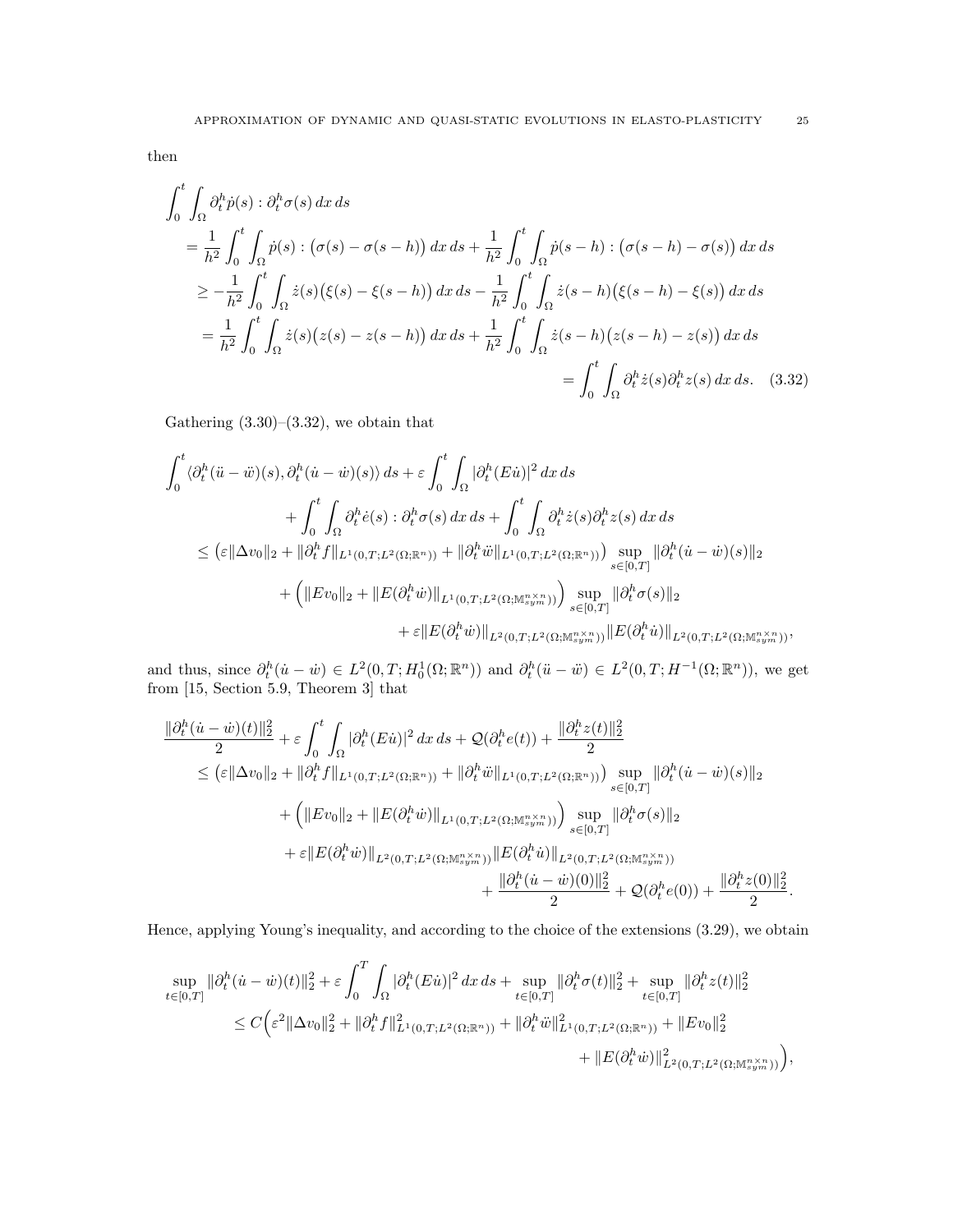then

$$
\int_0^t \int_{\Omega} \partial_t^h \dot{p}(s) : \partial_t^h \sigma(s) dx ds
$$
\n
$$
= \frac{1}{h^2} \int_0^t \int_{\Omega} \dot{p}(s) : (\sigma(s) - \sigma(s - h)) dx ds + \frac{1}{h^2} \int_0^t \int_{\Omega} \dot{p}(s - h) : (\sigma(s - h) - \sigma(s)) dx ds
$$
\n
$$
\geq -\frac{1}{h^2} \int_0^t \int_{\Omega} \dot{z}(s) (\xi(s) - \xi(s - h)) dx ds - \frac{1}{h^2} \int_0^t \int_{\Omega} \dot{z}(s - h) (\xi(s - h) - \xi(s)) dx ds
$$
\n
$$
= \frac{1}{h^2} \int_0^t \int_{\Omega} \dot{z}(s) (z(s) - z(s - h)) dx ds + \frac{1}{h^2} \int_0^t \int_{\Omega} \dot{z}(s - h) (z(s - h) - z(s)) dx ds
$$
\n
$$
= \int_0^t \int_{\Omega} \partial_t^h \dot{z}(s) \partial_t^h z(s) dx ds. \quad (3.32)
$$

Gathering  $(3.30)$ – $(3.32)$ , we obtain that

$$
\int_{0}^{t} \langle \partial_{t}^{h} (\ddot{u} - \ddot{w})(s), \partial_{t}^{h} (\dot{u} - \dot{w})(s) \rangle ds + \varepsilon \int_{0}^{t} \int_{\Omega} |\partial_{t}^{h} (E\dot{u})|^{2} dx ds \n+ \int_{0}^{t} \int_{\Omega} \partial_{t}^{h} \dot{e}(s) : \partial_{t}^{h} \sigma(s) dx ds + \int_{0}^{t} \int_{\Omega} \partial_{t}^{h} \dot{z}(s) \partial_{t}^{h} z(s) dx ds \n\leq (\varepsilon ||\Delta v_{0}||_{2} + ||\partial_{t}^{h} f||_{L^{1}(0,T;L^{2}(\Omega; \mathbb{R}^{n}))} + ||\partial_{t}^{h} \ddot{w}||_{L^{1}(0,T;L^{2}(\Omega; \mathbb{R}^{n}))}) \sup_{s \in [0,T]} ||\partial_{t}^{h} (\dot{u} - \dot{w})(s)||_{2} \n+ (||Ev_{0}||_{2} + ||E(\partial_{t}^{h} \dot{w})||_{L^{1}(0,T;L^{2}(\Omega; \mathbb{M}^{n \times n}_{sym}))}) \sup_{s \in [0,T]} ||\partial_{t}^{h} \sigma(s)||_{2} \n+ \varepsilon ||E(\partial_{t}^{h} \dot{w})||_{L^{2}(0,T;L^{2}(\Omega; \mathbb{M}^{n \times m}_{sym}))} ||E(\partial_{t}^{h} \dot{u})||_{L^{2}(0,T;L^{2}(\Omega; \mathbb{M}^{n \times n}_{sym}))},
$$

and thus, since  $\partial_t^h(\dot{u}-\dot{w}) \in L^2(0,T;H_0^1(\Omega;\mathbb{R}^n))$  and  $\partial_t^h(\ddot{u}-\ddot{w}) \in L^2(0,T;H^{-1}(\Omega;\mathbb{R}^n))$ , we get from [15, Section 5.9, Theorem 3] that

$$
\frac{\|\partial_t^h(i-\dot{w})(t)\|_2^2}{2} + \varepsilon \int_0^t \int_{\Omega} |\partial_t^h(E\dot{u})|^2 dx ds + \mathcal{Q}(\partial_t^h e(t)) + \frac{\|\partial_t^h z(t)\|_2^2}{2} \n\leq (\varepsilon \|\Delta v_0\|_2 + \|\partial_t^h f\|_{L^1(0,T;L^2(\Omega;\mathbb{R}^n))} + \|\partial_t^h \ddot{w}\|_{L^1(0,T;L^2(\Omega;\mathbb{R}^n))}) \sup_{s\in[0,T]} \|\partial_t^h (\dot{u} - \dot{w})(s)\|_2 \n+ \left( \|Ev_0\|_2 + \|E(\partial_t^h \dot{w})\|_{L^1(0,T;L^2(\Omega;\mathbb{M}^{n\times n}_{sym}))} \right) \sup_{s\in[0,T]} \|\partial_t^h \sigma(s)\|_2 \n+ \varepsilon \|E(\partial_t^h \dot{w})\|_{L^2(0,T;L^2(\Omega;\mathbb{M}^{n\times n}_{sym}))} \|E(\partial_t^h \dot{u})\|_{L^2(0,T;L^2(\Omega;\mathbb{M}^{n\times n}_{sym}))} \n+ \frac{\|\partial_t^h(\dot{u} - \dot{w})(0)\|_2^2}{2} + \mathcal{Q}(\partial_t^h e(0)) + \frac{\|\partial_t^h z(0)\|_2^2}{2}.
$$

Hence, applying Young's inequality, and according to the choice of the extensions (3.29), we obtain

$$
\sup_{t\in[0,T]} \|\partial_t^h(\dot{u}-\dot{w})(t)\|_2^2 + \varepsilon \int_0^T \int_{\Omega} |\partial_t^h(E\dot{u})|^2 dx ds + \sup_{t\in[0,T]} \|\partial_t^h \sigma(t)\|_2^2 + \sup_{t\in[0,T]} \|\partial_t^h z(t)\|_2^2
$$
  

$$
\leq C \Big( \varepsilon^2 \|\Delta v_0\|_2^2 + \|\partial_t^h f\|_{L^1(0,T;L^2(\Omega;\mathbb{R}^n))}^2 + \|\partial_t^h \ddot{w}\|_{L^1(0,T;L^2(\Omega;\mathbb{R}^n))}^2 + \|Ev_0\|_2^2
$$
  

$$
+ \|E(\partial_t^h \dot{w})\|_{L^2(0,T;L^2(\Omega;\mathbb{M}^{n\times n}_{sym}))}^2 \Big),
$$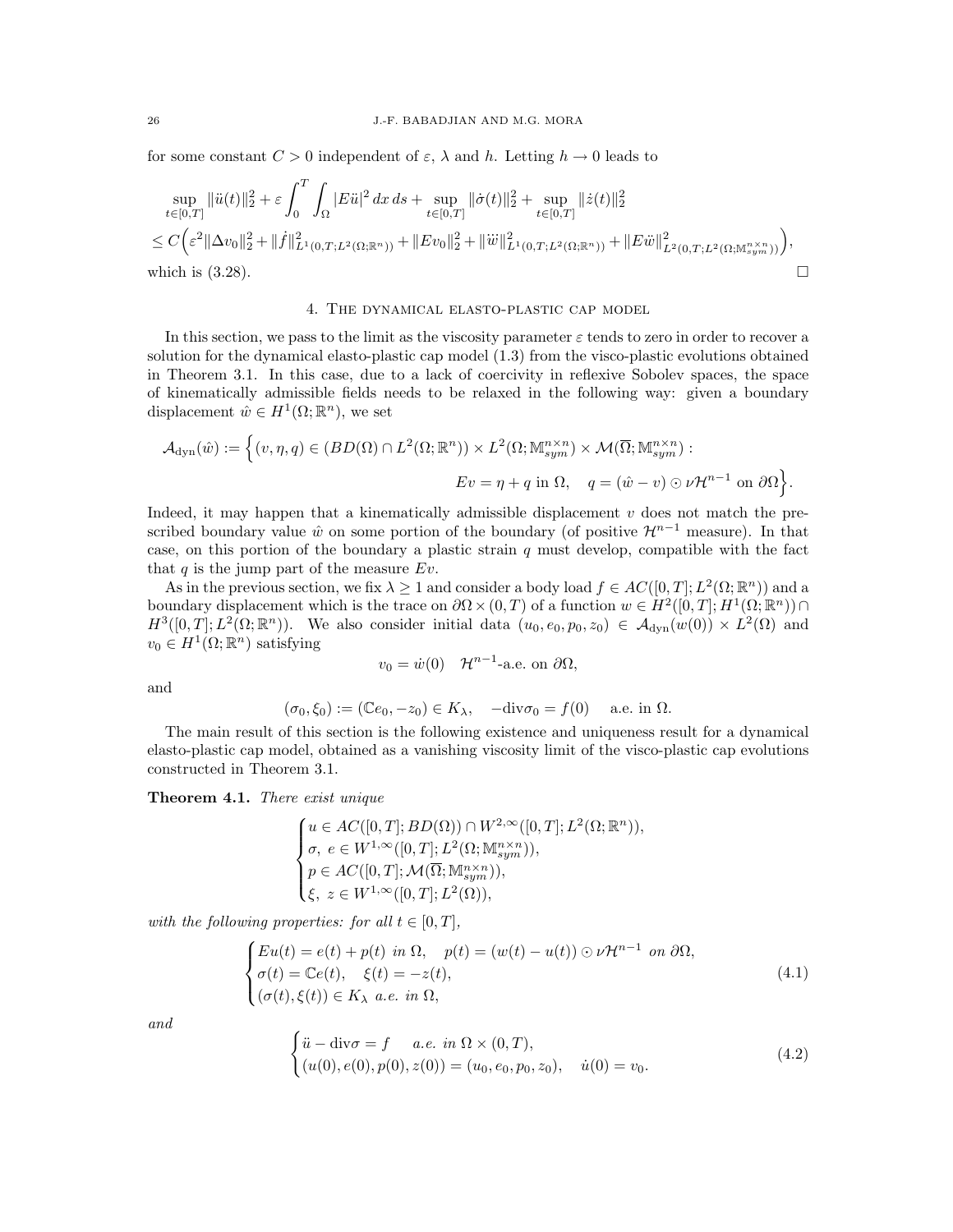for some constant  $C > 0$  independent of  $\varepsilon$ ,  $\lambda$  and  $h$ . Letting  $h \to 0$  leads to

$$
\sup_{t\in[0,T]} \|\ddot{u}(t)\|_{2}^{2} + \varepsilon \int_{0}^{T} \int_{\Omega} |E\ddot{u}|^{2} dx ds + \sup_{t\in[0,T]} \|\dot{\sigma}(t)\|_{2}^{2} + \sup_{t\in[0,T]} \|\dot{z}(t)\|_{2}^{2}
$$
\n
$$
\leq C \Big( \varepsilon^{2} \|\Delta v_{0}\|_{2}^{2} + \|\dot{f}\|_{L^{1}(0,T;L^{2}(\Omega;\mathbb{R}^{n}))}^{2} + \|Ev_{0}\|_{2}^{2} + \|\dddot{w}\|_{L^{1}(0,T;L^{2}(\Omega;\mathbb{R}^{n}))}^{2} + \|E\ddot{w}\|_{L^{2}(0,T;L^{2}(\Omega;\mathbb{M}^{n\times n}_{sym}))}^{2} \Big),
$$
\nwhich is (3.28).

# 4. The dynamical elasto-plastic cap model

In this section, we pass to the limit as the viscosity parameter  $\varepsilon$  tends to zero in order to recover a solution for the dynamical elasto-plastic cap model (1.3) from the visco-plastic evolutions obtained in Theorem 3.1. In this case, due to a lack of coercivity in reflexive Sobolev spaces, the space of kinematically admissible fields needs to be relaxed in the following way: given a boundary displacement  $\hat{w} \in H^1(\Omega; \mathbb{R}^n)$ , we set

$$
\mathcal{A}_{\text{dyn}}(\hat{w}) := \left\{ (v, \eta, q) \in (BD(\Omega) \cap L^2(\Omega; \mathbb{R}^n)) \times L^2(\Omega; \mathbb{M}_{sym}^{n \times n}) \times \mathcal{M}(\overline{\Omega}; \mathbb{M}_{sym}^{n \times n}) : Ev = \eta + q \text{ in } \Omega, \quad q = (\hat{w} - v) \odot \nu \mathcal{H}^{n-1} \text{ on } \partial\Omega \right\}.
$$

Indeed, it may happen that a kinematically admissible displacement  $v$  does not match the prescribed boundary value  $\hat{w}$  on some portion of the boundary (of positive  $\mathcal{H}^{n-1}$  measure). In that case, on this portion of the boundary a plastic strain  $q$  must develop, compatible with the fact that  $q$  is the jump part of the measure  $Ev$ .

As in the previous section, we fix  $\lambda \geq 1$  and consider a body load  $f \in AC([0, T]; L^2(\Omega; \mathbb{R}^n))$  and a boundary displacement which is the trace on  $\partial\Omega \times (0,T)$  of a function  $w \in H^2([0,T]; H^1(\Omega;\mathbb{R}^n)) \cap$  $H^3([0,T];L^2(\Omega;\mathbb{R}^n))$ . We also consider initial data  $(u_0,e_0,p_0,z_0) \in \mathcal{A}_{dyn}(w(0)) \times L^2(\Omega)$  and  $v_0 \in H^1(\Omega;\mathbb{R}^n)$  satisfying

$$
v_0 = \dot{w}(0)
$$
  $\mathcal{H}^{n-1}$ -a.e. on  $\partial\Omega$ ,

and

$$
(\sigma_0, \xi_0) := (\mathbb{C}e_0, -z_0) \in K_{\lambda}, \quad -\mathrm{div}\sigma_0 = f(0) \quad \text{a.e. in } \Omega.
$$

The main result of this section is the following existence and uniqueness result for a dynamical elasto-plastic cap model, obtained as a vanishing viscosity limit of the visco-plastic cap evolutions constructed in Theorem 3.1.

Theorem 4.1. There exist unique

$$
\begin{cases} u\in AC([0,T];BD(\Omega))\cap W^{2,\infty}([0,T];L^2(\Omega;\mathbb{R}^n)),\\ \sigma,\; e\in W^{1,\infty}([0,T];L^2(\Omega;\mathbb{M}^{n\times n}_{sym})),\\ p\in AC([0,T];\mathcal{M}(\overline{\Omega};\mathbb{M}^{n\times n}_{sym})),\\ \xi,\; z\in W^{1,\infty}([0,T];L^2(\Omega)), \end{cases}
$$

with the following properties: for all  $t \in [0, T]$ ,

$$
\begin{cases}\nEu(t) = e(t) + p(t) \text{ in } \Omega, & p(t) = (w(t) - u(t)) \odot \nu \mathcal{H}^{n-1} \text{ on } \partial\Omega, \\
\sigma(t) = \mathbb{C}e(t), & \xi(t) = -z(t), \\
(\sigma(t), \xi(t)) \in K_{\lambda} \text{ a.e. in } \Omega,\n\end{cases}
$$
\n(4.1)

and

$$
\begin{cases}\n\ddot{u} - \text{div}\sigma = f & a.e. \in \Omega \times (0, T), \\
(u(0), e(0), p(0), z(0)) = (u_0, e_0, p_0, z_0), & \dot{u}(0) = v_0.\n\end{cases}
$$
\n(4.2)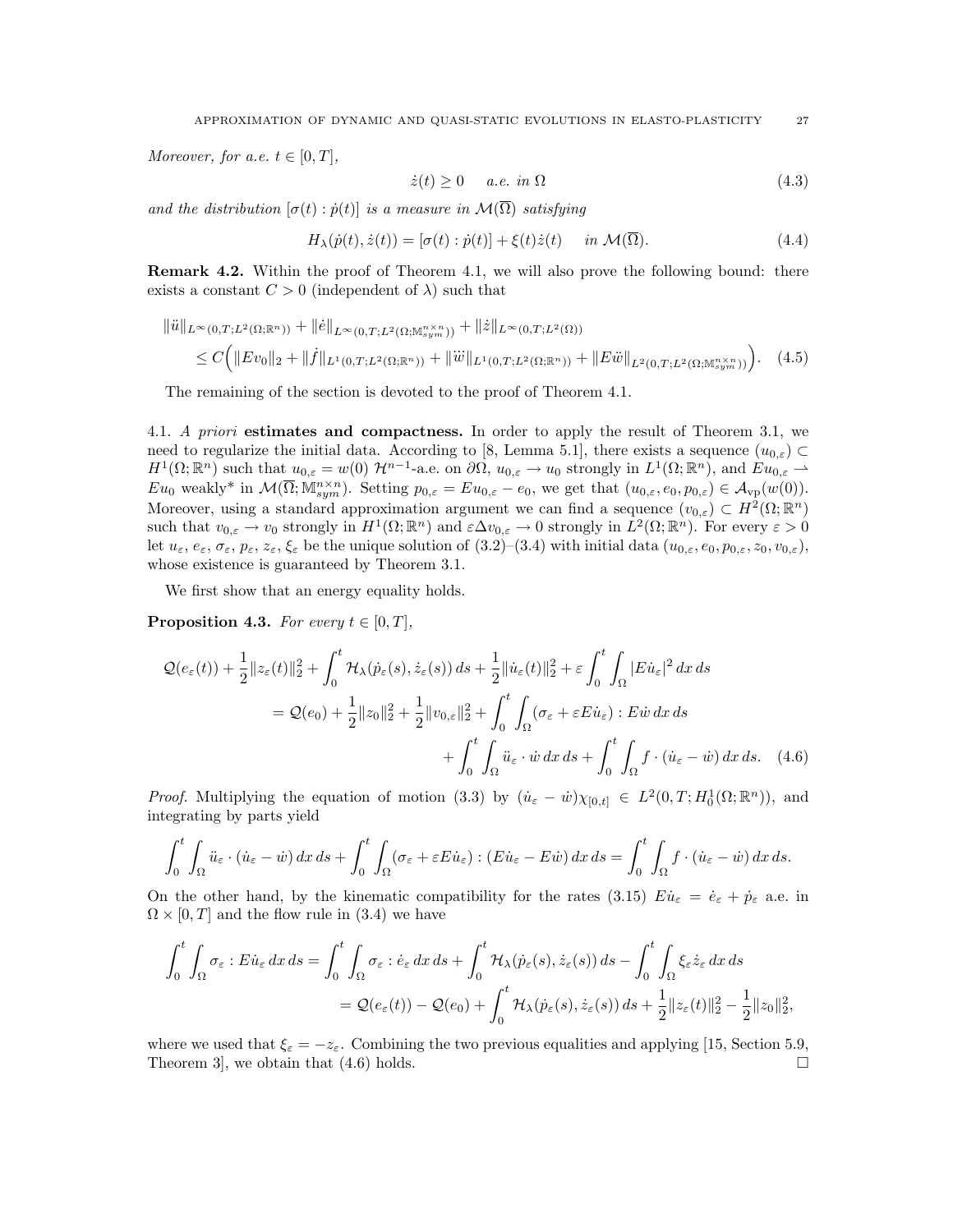Moreover, for a.e.  $t \in [0, T]$ ,

$$
\dot{z}(t) \ge 0 \qquad a.e. \in \Omega \tag{4.3}
$$

and the distribution  $[\sigma(t) : \dot{p}(t)]$  is a measure in  $\mathcal{M}(\overline{\Omega})$  satisfying

$$
H_{\lambda}(\dot{p}(t), \dot{z}(t)) = [\sigma(t) : \dot{p}(t)] + \xi(t)\dot{z}(t) \quad \text{in } \mathcal{M}(\overline{\Omega}). \tag{4.4}
$$

Remark 4.2. Within the proof of Theorem 4.1, we will also prove the following bound: there exists a constant  $C > 0$  (independent of  $\lambda$ ) such that

$$
\begin{split} \|\ddot{u}\|_{L^{\infty}(0,T;L^{2}(\Omega;\mathbb{R}^{n}))} + \|\dot{e}\|_{L^{\infty}(0,T;L^{2}(\Omega;\mathbb{M}^{n\times n}_{sym}))} + \|\dot{z}\|_{L^{\infty}(0,T;L^{2}(\Omega))} \\ &\leq C\Big(\|Ev_{0}\|_{2} + \|\dot{f}\|_{L^{1}(0,T;L^{2}(\Omega;\mathbb{R}^{n}))} + \|\dddot{w}\|_{L^{1}(0,T;L^{2}(\Omega;\mathbb{R}^{n}))} + \|E\ddot{w}\|_{L^{2}(0,T;L^{2}(\Omega;\mathbb{M}^{n\times n}_{sym}))}\Big). \end{split} \tag{4.5}
$$

The remaining of the section is devoted to the proof of Theorem 4.1.

4.1. A priori estimates and compactness. In order to apply the result of Theorem 3.1, we need to regularize the initial data. According to [8, Lemma 5.1], there exists a sequence  $(u_{0,\varepsilon}) \subset$  $H^1(\Omega;\mathbb{R}^n)$  such that  $u_{0,\varepsilon} = w(0)$   $\mathcal{H}^{n-1}$ -a.e. on  $\partial\Omega, u_{0,\varepsilon} \to u_0$  strongly in  $L^1(\Omega;\mathbb{R}^n)$ , and  $Eu_{0,\varepsilon} \to$  $Eu_0$  weakly\* in  $\mathcal{M}(\overline{\Omega}; \mathbb{M}^{n \times n}_{sym})$ . Setting  $p_{0,\varepsilon} = Eu_{0,\varepsilon} - e_0$ , we get that  $(u_{0,\varepsilon}, e_0, p_{0,\varepsilon}) \in \mathcal{A}_{vp}(w(0))$ . Moreover, using a standard approximation argument we can find a sequence  $(v_{0,\varepsilon}) \subset H^2(\Omega;\mathbb{R}^n)$ such that  $v_{0,\varepsilon} \to v_0$  strongly in  $H^1(\Omega;\mathbb{R}^n)$  and  $\varepsilon \Delta v_{0,\varepsilon} \to 0$  strongly in  $L^2(\Omega;\mathbb{R}^n)$ . For every  $\varepsilon > 0$ let  $u_{\varepsilon}, e_{\varepsilon}, \sigma_{\varepsilon}, p_{\varepsilon}, z_{\varepsilon}, \xi_{\varepsilon}$  be the unique solution of  $(3.2)-(3.4)$  with initial data  $(u_{0,\varepsilon}, e_0, p_{0,\varepsilon}, z_0, v_{0,\varepsilon}),$ whose existence is guaranteed by Theorem 3.1.

We first show that an energy equality holds.

**Proposition 4.3.** For every  $t \in [0, T]$ ,

$$
\mathcal{Q}(e_{\varepsilon}(t)) + \frac{1}{2} ||z_{\varepsilon}(t)||_2^2 + \int_0^t \mathcal{H}_{\lambda}(\dot{p}_{\varepsilon}(s), \dot{z}_{\varepsilon}(s)) ds + \frac{1}{2} ||\dot{u}_{\varepsilon}(t)||_2^2 + \varepsilon \int_0^t \int_{\Omega} |E\dot{u}_{\varepsilon}|^2 dx ds
$$
  

$$
= \mathcal{Q}(e_0) + \frac{1}{2} ||z_0||_2^2 + \frac{1}{2} ||v_{0,\varepsilon}||_2^2 + \int_0^t \int_{\Omega} (\sigma_{\varepsilon} + \varepsilon E \dot{u}_{\varepsilon}) : E\dot{w} dx ds
$$
  

$$
+ \int_0^t \int_{\Omega} \ddot{u}_{\varepsilon} \cdot \dot{w} dx ds + \int_0^t \int_{\Omega} f \cdot (\dot{u}_{\varepsilon} - \dot{w}) dx ds. \quad (4.6)
$$

*Proof.* Multiplying the equation of motion (3.3) by  $(\dot{u}_{\varepsilon} - \dot{w})\chi_{[0,t]} \in L^2(0,T;H_0^1(\Omega;\mathbb{R}^n))$ , and integrating by parts yield

$$
\int_0^t \int_{\Omega} \ddot{u}_{\varepsilon} \cdot (\dot{u}_{\varepsilon} - \dot{w}) \, dx \, ds + \int_0^t \int_{\Omega} (\sigma_{\varepsilon} + \varepsilon E \dot{u}_{\varepsilon}) : (E \dot{u}_{\varepsilon} - E \dot{w}) \, dx \, ds = \int_0^t \int_{\Omega} f \cdot (\dot{u}_{\varepsilon} - \dot{w}) \, dx \, ds.
$$

On the other hand, by the kinematic compatibility for the rates (3.15)  $E\dot{u}_{\varepsilon} = \dot{e}_{\varepsilon} + \dot{p}_{\varepsilon}$  a.e. in  $\Omega \times [0, T]$  and the flow rule in (3.4) we have

$$
\int_0^t \int_{\Omega} \sigma_{\varepsilon} : E \dot{u}_{\varepsilon} dx ds = \int_0^t \int_{\Omega} \sigma_{\varepsilon} : \dot{e}_{\varepsilon} dx ds + \int_0^t \mathcal{H}_{\lambda}(\dot{p}_{\varepsilon}(s), \dot{z}_{\varepsilon}(s)) ds - \int_0^t \int_{\Omega} \xi_{\varepsilon} \dot{z}_{\varepsilon} dx ds
$$
  
=  $\mathcal{Q}(e_{\varepsilon}(t)) - \mathcal{Q}(e_0) + \int_0^t \mathcal{H}_{\lambda}(\dot{p}_{\varepsilon}(s), \dot{z}_{\varepsilon}(s)) ds + \frac{1}{2} ||z_{\varepsilon}(t)||_2^2 - \frac{1}{2} ||z_0||_2^2$ ,

where we used that  $\xi_{\varepsilon} = -z_{\varepsilon}$ . Combining the two previous equalities and applying [15, Section 5.9, Theorem 3, we obtain that  $(4.6)$  holds.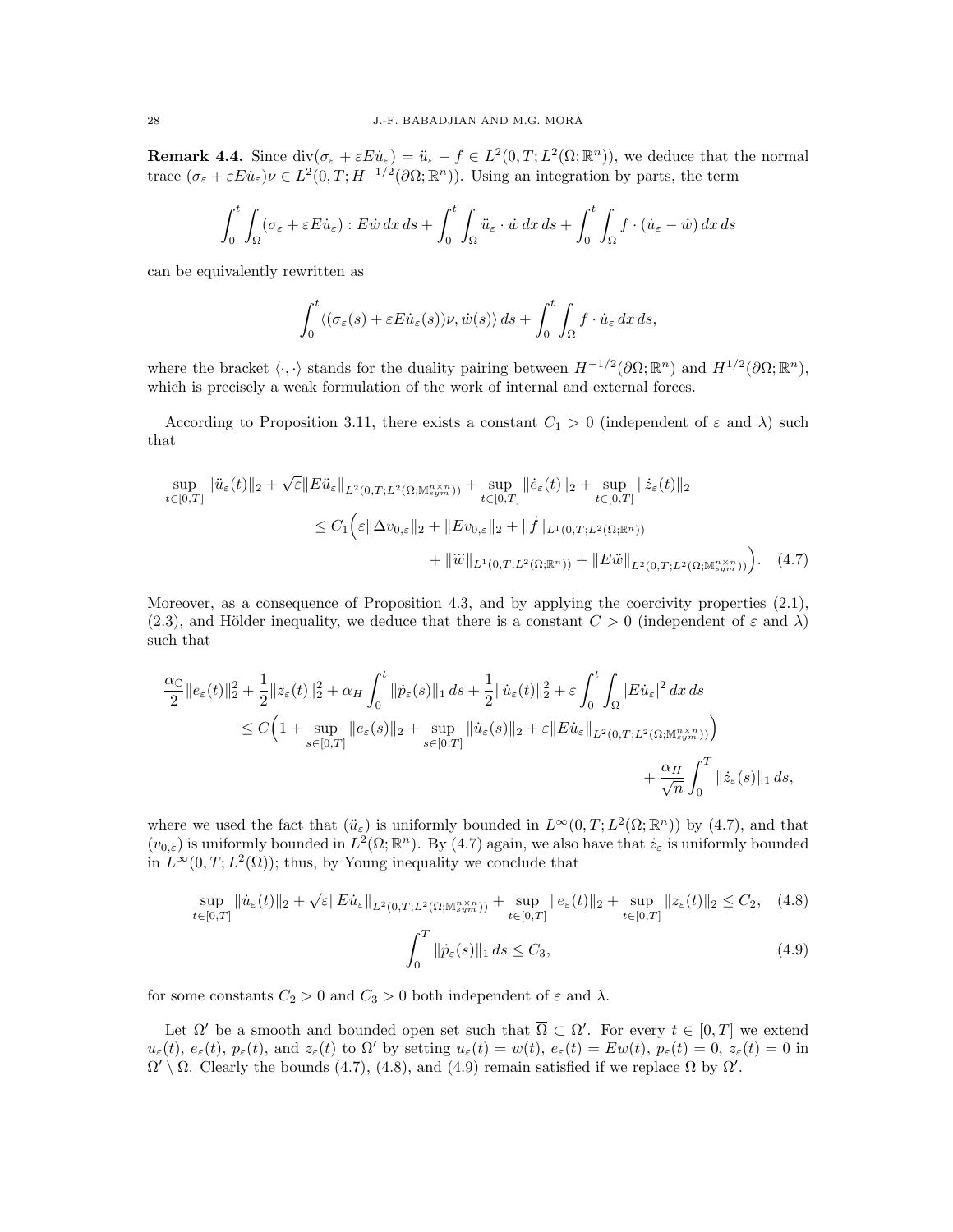**Remark 4.4.** Since  $\text{div}(\sigma_{\varepsilon} + \varepsilon E \dot{u}_{\varepsilon}) = \ddot{u}_{\varepsilon} - f \in L^2(0,T; L^2(\Omega;\mathbb{R}^n))$ , we deduce that the normal trace  $(\sigma_{\varepsilon} + \varepsilon E \dot{u}_{\varepsilon}) \nu \in L^2(0,T;H^{-1/2}(\partial \Omega;\mathbb{R}^n))$ . Using an integration by parts, the term

$$
\int_0^t \int_{\Omega} (\sigma_{\varepsilon} + \varepsilon E \dot{u}_{\varepsilon}) : E \dot{w} \, dx \, ds + \int_0^t \int_{\Omega} \ddot{u}_{\varepsilon} \cdot \dot{w} \, dx \, ds + \int_0^t \int_{\Omega} f \cdot (\dot{u}_{\varepsilon} - \dot{w}) \, dx \, ds
$$

can be equivalently rewritten as

$$
\int_0^t \langle (\sigma_\varepsilon(s) + \varepsilon E \dot u_\varepsilon(s)) \nu, \dot w(s) \rangle \, ds + \int_0^t \int_{\Omega} f \cdot \dot u_\varepsilon \, dx \, ds,
$$

where the bracket  $\langle \cdot, \cdot \rangle$  stands for the duality pairing between  $H^{-1/2}(\partial\Omega; \mathbb{R}^n)$  and  $H^{1/2}(\partial\Omega; \mathbb{R}^n)$ , which is precisely a weak formulation of the work of internal and external forces.

According to Proposition 3.11, there exists a constant  $C_1 > 0$  (independent of  $\varepsilon$  and  $\lambda$ ) such that

$$
\sup_{t \in [0,T]} \|\ddot{u}_{\varepsilon}(t)\|_{2} + \sqrt{\varepsilon} \|E\ddot{u}_{\varepsilon}\|_{L^{2}(0,T;L^{2}(\Omega; \mathbb{M}^{n \times n}_{sym}))} + \sup_{t \in [0,T]} \|\dot{e}_{\varepsilon}(t)\|_{2} + \sup_{t \in [0,T]} \|\dot{z}_{\varepsilon}(t)\|_{2}
$$
\n
$$
\leq C_{1} \Big( \varepsilon \|\Delta v_{0,\varepsilon}\|_{2} + \|Ev_{0,\varepsilon}\|_{2} + \|\dot{f}\|_{L^{1}(0,T;L^{2}(\Omega; \mathbb{R}^{n}))} + \|\dddot{w}\|_{L^{1}(0,T;L^{2}(\Omega; \mathbb{R}^{n}))} + \|E\ddot{w}\|_{L^{2}(0,T;L^{2}(\Omega; \mathbb{M}^{n \times n}_{sym}))} \Big). \tag{4.7}
$$

Moreover, as a consequence of Proposition 4.3, and by applying the coercivity properties  $(2.1)$ , (2.3), and Hölder inequality, we deduce that there is a constant  $C > 0$  (independent of  $\varepsilon$  and  $\lambda$ ) such that

$$
\frac{\alpha_{\mathbb{C}}}{2} \|e_{\varepsilon}(t)\|_{2}^{2} + \frac{1}{2} \|z_{\varepsilon}(t)\|_{2}^{2} + \alpha_{H} \int_{0}^{t} \|\dot{p}_{\varepsilon}(s)\|_{1} ds + \frac{1}{2} \|\dot{u}_{\varepsilon}(t)\|_{2}^{2} + \varepsilon \int_{0}^{t} \int_{\Omega} |E\dot{u}_{\varepsilon}|^{2} dx ds
$$
\n
$$
\leq C \Big( 1 + \sup_{s \in [0,T]} \|e_{\varepsilon}(s)\|_{2} + \sup_{s \in [0,T]} \|\dot{u}_{\varepsilon}(s)\|_{2} + \varepsilon \|E\dot{u}_{\varepsilon}\|_{L^{2}(0,T;L^{2}(\Omega; \mathbb{M}^{n \times n}_{sym}))} \Big) + \frac{\alpha_{H}}{\sqrt{n}} \int_{0}^{T} \|\dot{z}_{\varepsilon}(s)\|_{1} ds,
$$

where we used the fact that  $(\ddot{u}_{\varepsilon})$  is uniformly bounded in  $L^{\infty}(0,T; L^{2}(\Omega;\mathbb{R}^{n}))$  by  $(4.7)$ , and that  $(v_{0,\varepsilon})$  is uniformly bounded in  $L^2(\Omega;\mathbb{R}^n)$ . By (4.7) again, we also have that  $\dot{z}_\varepsilon$  is uniformly bounded in  $L^{\infty}(0,T; L^2(\Omega))$ ; thus, by Young inequality we conclude that

$$
\sup_{t \in [0,T]} \|\dot{u}_{\varepsilon}(t)\|_{2} + \sqrt{\varepsilon} \|E\dot{u}_{\varepsilon}\|_{L^{2}(0,T;L^{2}(\Omega; \mathbb{M}_{sym}^{n \times n}))} + \sup_{t \in [0,T]} \|e_{\varepsilon}(t)\|_{2} + \sup_{t \in [0,T]} \|z_{\varepsilon}(t)\|_{2} \leq C_{2}, \quad (4.8)
$$
\n
$$
\int_{0}^{T} \|\dot{p}_{\varepsilon}(s)\|_{1} ds \leq C_{3}, \tag{4.9}
$$

for some constants  $C_2 > 0$  and  $C_3 > 0$  both independent of  $\varepsilon$  and  $\lambda$ .

Let  $\Omega'$  be a smooth and bounded open set such that  $\overline{\Omega} \subset \Omega'$ . For every  $t \in [0, T]$  we extend  $u_{\varepsilon}(t), e_{\varepsilon}(t), p_{\varepsilon}(t),$  and  $z_{\varepsilon}(t)$  to  $\Omega'$  by setting  $u_{\varepsilon}(t) = w(t), e_{\varepsilon}(t) = Ew(t), p_{\varepsilon}(t) = 0, z_{\varepsilon}(t) = 0$  in  $\Omega' \setminus \Omega$ . Clearly the bounds (4.7), (4.8), and (4.9) remain satisfied if we replace  $\Omega$  by  $\Omega'$ .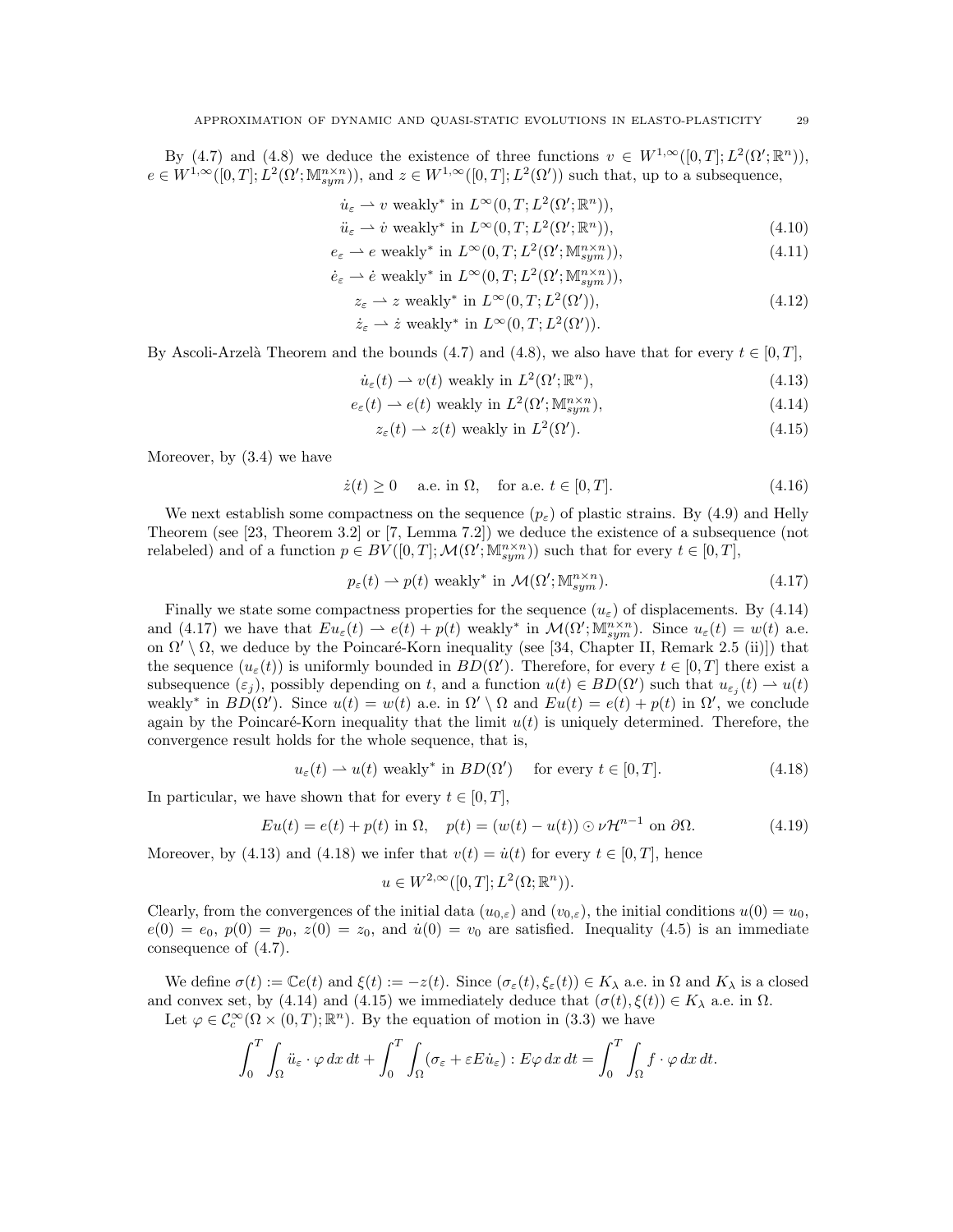By (4.7) and (4.8) we deduce the existence of three functions  $v \in W^{1,\infty}([0,T]; L^2(\Omega'; \mathbb{R}^n))$ ,  $e \in W^{1,\infty}([0,T]; L^2(\Omega'; \mathbb{M}^{n \times n}_{sym})),$  and  $z \in W^{1,\infty}([0,T]; L^2(\Omega'))$  such that, up to a subsequence,

$$
\dot{u}_{\varepsilon} \rightharpoonup v \text{ weakly* in } L^{\infty}(0, T; L^{2}(\Omega'; \mathbb{R}^{n})),
$$
  

$$
\ddot{u}_{\varepsilon} \rightharpoonup \dot{v} \text{ weakly* in } L^{\infty}(0, T; L^{2}(\Omega'; \mathbb{R}^{n})),
$$
\n(4.10)

$$
e_{\varepsilon} \rightharpoonup e \text{ weakly* in } L^{\infty}(0, T; L^{2}(\Omega'; \mathbb{M}^{n \times n}_{sym})),
$$
\n(4.11)

$$
\dot{e}_{\varepsilon} \rightharpoonup \dot{e}
$$
 weakly\* in  $L^{\infty}(0,T; L^{2}(\Omega'; \mathbb{M}^{n \times n}_{sym})),$ 

$$
z_{\varepsilon} \rightharpoonup z \text{ weakly* in } L^{\infty}(0, T; L^{2}(\Omega')),
$$
  
\n
$$
\dot{z}_{\varepsilon} \rightharpoonup \dot{z} \text{ weakly* in } L^{\infty}(0, T; L^{2}(\Omega')).
$$
\n(4.12)

By Ascoli-Arzelà Theorem and the bounds (4.7) and (4.8), we also have that for every 
$$
t \in [0, T]
$$
,

$$
\dot{u}_{\varepsilon}(t) \rightharpoonup v(t) \text{ weakly in } L^{2}(\Omega'; \mathbb{R}^{n}),\tag{4.13}
$$

$$
e_{\varepsilon}(t) \rightharpoonup e(t) \text{ weakly in } L^{2}(\Omega'; \mathbb{M}^{n \times n}_{sym}),
$$
\n(4.14)

$$
z_{\varepsilon}(t) \rightharpoonup z(t) \text{ weakly in } L^2(\Omega'). \tag{4.15}
$$

Moreover, by (3.4) we have

$$
\dot{z}(t) \ge 0 \quad \text{ a.e. in } \Omega, \quad \text{for a.e. } t \in [0, T]. \tag{4.16}
$$

We next establish some compactness on the sequence  $(p_{\varepsilon})$  of plastic strains. By (4.9) and Helly Theorem (see [23, Theorem 3.2] or [7, Lemma 7.2]) we deduce the existence of a subsequence (not relabeled) and of a function  $p \in BV([0,T]; \mathcal{M}(\Omega'; \mathbb{M}^{n \times n}_{sym}))$  such that for every  $t \in [0,T]$ ,

$$
p_{\varepsilon}(t) \rightharpoonup p(t) \text{ weakly* in } \mathcal{M}(\Omega'; \mathbb{M}^{n \times n}_{sym}).
$$
\n(4.17)

Finally we state some compactness properties for the sequence  $(u_{\varepsilon})$  of displacements. By (4.14) and (4.17) we have that  $Eu_{\varepsilon}(t) \rightharpoonup e(t) + p(t)$  weakly<sup>\*</sup> in  $\mathcal{M}(\Omega'; \mathbb{M}^{n \times n}_{sym})$ . Since  $u_{\varepsilon}(t) = w(t)$  a.e. on  $\Omega' \setminus \Omega$ , we deduce by the Poincaré-Korn inequality (see [34, Chapter II, Remark 2.5 (ii)]) that the sequence  $(u_\varepsilon(t))$  is uniformly bounded in  $BD(\Omega')$ . Therefore, for every  $t \in [0, T]$  there exist a subsequence  $(\varepsilon_j)$ , possibly depending on t, and a function  $u(t) \in BD(\Omega')$  such that  $u_{\varepsilon_j}(t) \to u(t)$ weakly<sup>\*</sup> in  $BD(\Omega')$ . Since  $u(t) = w(t)$  a.e. in  $\Omega' \setminus \Omega$  and  $Eu(t) = e(t) + p(t)$  in  $\Omega'$ , we conclude again by the Poincaré-Korn inequality that the limit  $u(t)$  is uniquely determined. Therefore, the convergence result holds for the whole sequence, that is,

$$
u_{\varepsilon}(t) \rightharpoonup u(t) \text{ weakly* in } BD(\Omega') \quad \text{ for every } t \in [0, T]. \tag{4.18}
$$

In particular, we have shown that for every  $t \in [0, T]$ ,

$$
Eu(t) = e(t) + p(t) \text{ in } \Omega, \quad p(t) = (w(t) - u(t)) \odot \nu \mathcal{H}^{n-1} \text{ on } \partial \Omega.
$$
 (4.19)

Moreover, by (4.13) and (4.18) we infer that  $v(t) = \dot{u}(t)$  for every  $t \in [0, T]$ , hence

$$
u \in W^{2,\infty}([0,T]; L^2(\Omega; \mathbb{R}^n)).
$$

Clearly, from the convergences of the initial data  $(u_{0,\varepsilon})$  and  $(v_{0,\varepsilon})$ , the initial conditions  $u(0) = u_0$ ,  $e(0) = e_0$ ,  $p(0) = p_0$ ,  $z(0) = z_0$ , and  $\dot{u}(0) = v_0$  are satisfied. Inequality (4.5) is an immediate consequence of (4.7).

We define  $\sigma(t) := \mathbb{C}e(t)$  and  $\xi(t) := -z(t)$ . Since  $(\sigma_{\varepsilon}(t), \xi_{\varepsilon}(t)) \in K_{\lambda}$  a.e. in  $\Omega$  and  $K_{\lambda}$  is a closed and convex set, by (4.14) and (4.15) we immediately deduce that  $(\sigma(t), \xi(t)) \in K_\lambda$  a.e. in  $\Omega$ . Let  $\varphi \in \mathcal{C}_c^{\infty}(\Omega \times (0,T);\mathbb{R}^n)$ . By the equation of motion in (3.3) we have

$$
\int_0^T \int_{\Omega} \ddot{u}_{\varepsilon} \cdot \varphi \, dx \, dt + \int_0^T \int_{\Omega} (\sigma_{\varepsilon} + \varepsilon E \dot{u}_{\varepsilon}) : E \varphi \, dx \, dt = \int_0^T \int_{\Omega} f \cdot \varphi \, dx \, dt.
$$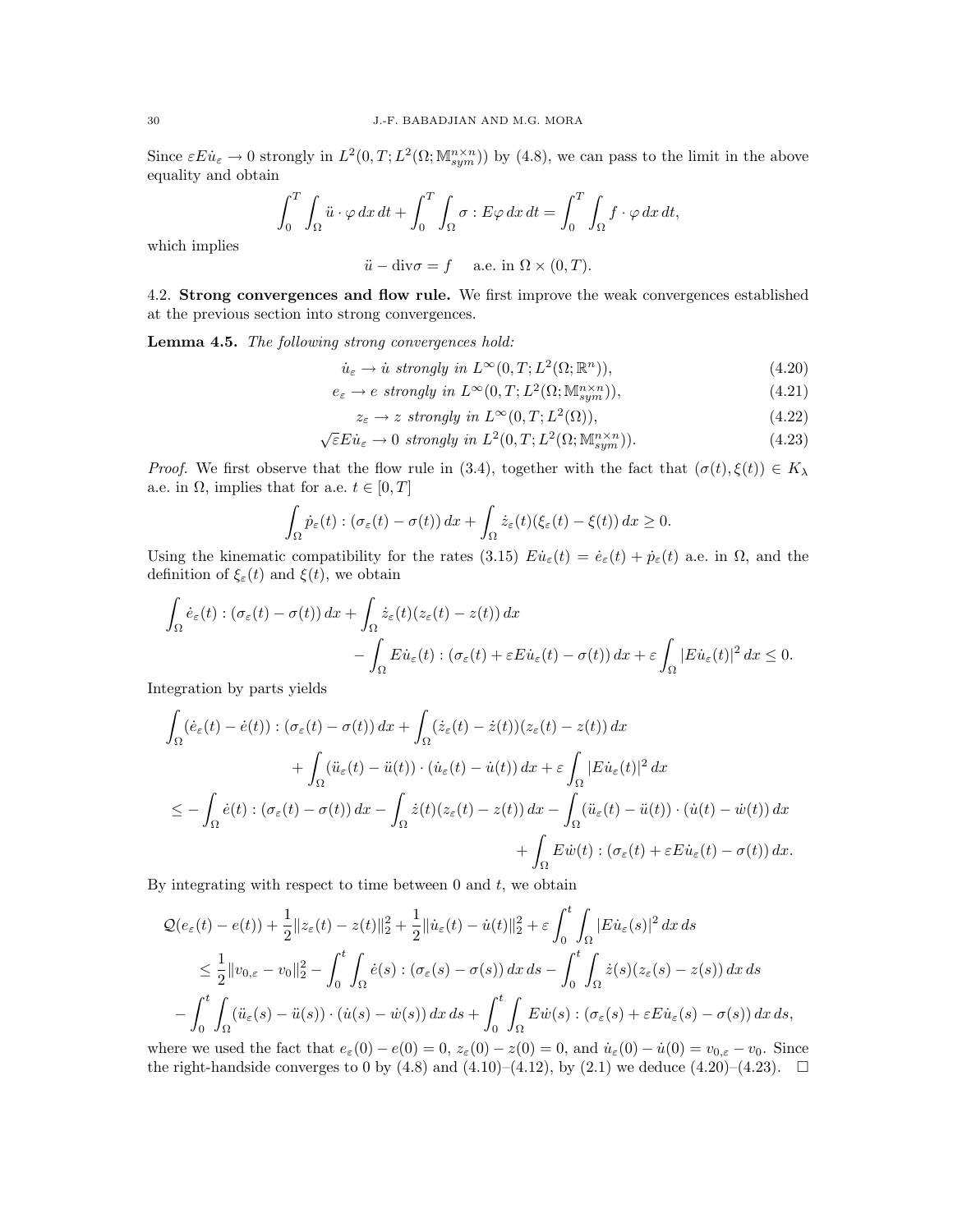Since  $\varepsilon E \dot{u}_{\varepsilon} \to 0$  strongly in  $L^2(0,T;L^2(\Omega;\mathbb{M}^{n\times n}_{sym}))$  by (4.8), we can pass to the limit in the above equality and obtain

$$
\int_0^T \int_{\Omega} \ddot{u} \cdot \varphi \, dx \, dt + \int_0^T \int_{\Omega} \sigma : E \varphi \, dx \, dt = \int_0^T \int_{\Omega} f \cdot \varphi \, dx \, dt,
$$

which implies

$$
\ddot{u} - \text{div}\sigma = f \quad \text{ a.e. in } \Omega \times (0, T).
$$

4.2. Strong convergences and flow rule. We first improve the weak convergences established at the previous section into strong convergences.

Lemma 4.5. The following strong convergences hold:

$$
\dot{u}_{\varepsilon} \to \dot{u} \ \text{strongly in } L^{\infty}(0, T; L^{2}(\Omega; \mathbb{R}^{n})), \tag{4.20}
$$

$$
e_{\varepsilon} \to e \ \text{ strongly in } L^{\infty}(0, T; L^{2}(\Omega; \mathbb{M}^{n \times n}_{sym})), \tag{4.21}
$$

$$
z_{\varepsilon} \to z \ strongly \ in \ L^{\infty}(0, T; L^{2}(\Omega)), \tag{4.22}
$$

$$
\sqrt{\varepsilon} E \dot{u}_{\varepsilon} \to 0 \text{ strongly in } L^2(0, T; L^2(\Omega; \mathbb{M}^{n \times n}_{sym})). \tag{4.23}
$$

*Proof.* We first observe that the flow rule in (3.4), together with the fact that  $(\sigma(t), \xi(t)) \in K_\lambda$ a.e. in  $\Omega$ , implies that for a.e.  $t \in [0, T]$ 

$$
\int_{\Omega} \dot{p}_{\varepsilon}(t) : (\sigma_{\varepsilon}(t) - \sigma(t)) dx + \int_{\Omega} \dot{z}_{\varepsilon}(t) (\xi_{\varepsilon}(t) - \xi(t)) dx \ge 0.
$$

Using the kinematic compatibility for the rates (3.15)  $E\dot{u}_{\varepsilon}(t) = \dot{e}_{\varepsilon}(t) + \dot{p}_{\varepsilon}(t)$  a.e. in  $\Omega$ , and the definition of  $\xi_{\varepsilon}(t)$  and  $\xi(t)$ , we obtain

$$
\int_{\Omega} \dot{e}_{\varepsilon}(t) : (\sigma_{\varepsilon}(t) - \sigma(t)) dx + \int_{\Omega} \dot{z}_{\varepsilon}(t) (z_{\varepsilon}(t) - z(t)) dx \n- \int_{\Omega} E \dot{u}_{\varepsilon}(t) : (\sigma_{\varepsilon}(t) + \varepsilon E \dot{u}_{\varepsilon}(t) - \sigma(t)) dx + \varepsilon \int_{\Omega} |E \dot{u}_{\varepsilon}(t)|^2 dx \le 0.
$$

Integration by parts yields

$$
\int_{\Omega} (\dot{e}_{\varepsilon}(t) - \dot{e}(t)) : (\sigma_{\varepsilon}(t) - \sigma(t)) dx + \int_{\Omega} (\dot{z}_{\varepsilon}(t) - \dot{z}(t)) (z_{\varepsilon}(t) - z(t)) dx \n+ \int_{\Omega} (\ddot{u}_{\varepsilon}(t) - \ddot{u}(t)) \cdot (\dot{u}_{\varepsilon}(t) - \dot{u}(t)) dx + \varepsilon \int_{\Omega} |E \dot{u}_{\varepsilon}(t)|^2 dx \n\leq - \int_{\Omega} \dot{e}(t) : (\sigma_{\varepsilon}(t) - \sigma(t)) dx - \int_{\Omega} \dot{z}(t) (z_{\varepsilon}(t) - z(t)) dx - \int_{\Omega} (\ddot{u}_{\varepsilon}(t) - \ddot{u}(t)) \cdot (\dot{u}(t) - \dot{w}(t)) dx \n+ \int_{\Omega} E \dot{w}(t) : (\sigma_{\varepsilon}(t) + \varepsilon E \dot{u}_{\varepsilon}(t) - \sigma(t)) dx.
$$

By integrating with respect to time between  $0$  and  $t$ , we obtain

$$
\mathcal{Q}(e_{\varepsilon}(t) - e(t)) + \frac{1}{2} \|z_{\varepsilon}(t) - z(t)\|_{2}^{2} + \frac{1}{2} \| \dot{u}_{\varepsilon}(t) - \dot{u}(t) \|_{2}^{2} + \varepsilon \int_{0}^{t} \int_{\Omega} |E\dot{u}_{\varepsilon}(s)|^{2} dx ds
$$
  
\n
$$
\leq \frac{1}{2} \|v_{0,\varepsilon} - v_{0}\|_{2}^{2} - \int_{0}^{t} \int_{\Omega} \dot{e}(s) : (\sigma_{\varepsilon}(s) - \sigma(s)) dx ds - \int_{0}^{t} \int_{\Omega} \dot{z}(s)(z_{\varepsilon}(s) - z(s)) dx ds
$$
  
\n
$$
- \int_{0}^{t} \int_{\Omega} (\ddot{u}_{\varepsilon}(s) - \ddot{u}(s)) \cdot (\dot{u}(s) - \dot{w}(s)) dx ds + \int_{0}^{t} \int_{\Omega} E\dot{w}(s) : (\sigma_{\varepsilon}(s) + \varepsilon E\dot{u}_{\varepsilon}(s) - \sigma(s)) dx ds,
$$

where we used the fact that  $e_{\varepsilon}(0) - e(0) = 0$ ,  $z_{\varepsilon}(0) - z(0) = 0$ , and  $\dot{u}_{\varepsilon}(0) - \dot{u}(0) = v_{0,\varepsilon} - v_0$ . Since the right-handside converges to 0 by (4.8) and (4.10)–(4.12), by (2.1) we deduce (4.20)–(4.23).  $\Box$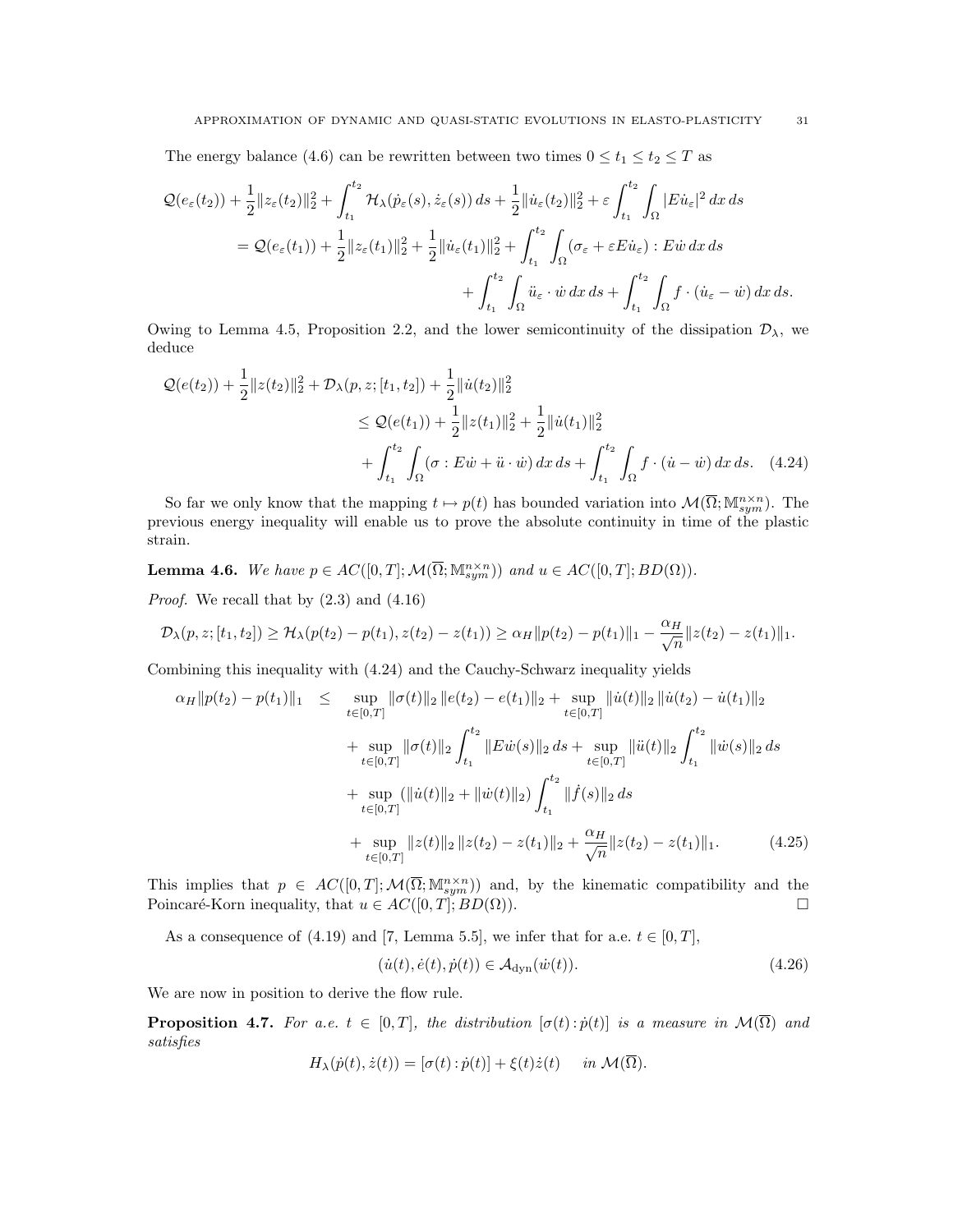The energy balance (4.6) can be rewritten between two times  $0 \le t_1 \le t_2 \le T$  as

$$
\mathcal{Q}(e_{\varepsilon}(t_2)) + \frac{1}{2} \|z_{\varepsilon}(t_2)\|_{2}^{2} + \int_{t_1}^{t_2} \mathcal{H}_{\lambda}(\dot{p}_{\varepsilon}(s), \dot{z}_{\varepsilon}(s)) ds + \frac{1}{2} \|\dot{u}_{\varepsilon}(t_2)\|_{2}^{2} + \varepsilon \int_{t_1}^{t_2} \int_{\Omega} |E\dot{u}_{\varepsilon}|^{2} dx ds
$$
  
\n
$$
= \mathcal{Q}(e_{\varepsilon}(t_1)) + \frac{1}{2} \|z_{\varepsilon}(t_1)\|_{2}^{2} + \frac{1}{2} \|\dot{u}_{\varepsilon}(t_1)\|_{2}^{2} + \int_{t_1}^{t_2} \int_{\Omega} (\sigma_{\varepsilon} + \varepsilon E \dot{u}_{\varepsilon}) : E\dot{w} dx ds
$$
  
\n
$$
+ \int_{t_1}^{t_2} \int_{\Omega} \ddot{u}_{\varepsilon} \cdot \dot{w} dx ds + \int_{t_1}^{t_2} \int_{\Omega} f \cdot (\dot{u}_{\varepsilon} - \dot{w}) dx ds.
$$

Owing to Lemma 4.5, Proposition 2.2, and the lower semicontinuity of the dissipation  $\mathcal{D}_{\lambda}$ , we deduce

$$
\mathcal{Q}(e(t_2)) + \frac{1}{2} ||z(t_2)||_2^2 + \mathcal{D}_{\lambda}(p, z; [t_1, t_2]) + \frac{1}{2} ||\dot{u}(t_2)||_2^2
$$
  
\n
$$
\leq \mathcal{Q}(e(t_1)) + \frac{1}{2} ||z(t_1)||_2^2 + \frac{1}{2} ||\dot{u}(t_1)||_2^2
$$
  
\n
$$
+ \int_{t_1}^{t_2} \int_{\Omega} (\sigma : E\dot{w} + \ddot{u} \cdot \dot{w}) dx ds + \int_{t_1}^{t_2} \int_{\Omega} f \cdot (\dot{u} - \dot{w}) dx ds. \quad (4.24)
$$

So far we only know that the mapping  $t \mapsto p(t)$  has bounded variation into  $\mathcal{M}(\overline{\Omega}; \mathbb{M}^{n \times n}_{sym})$ . The previous energy inequality will enable us to prove the absolute continuity in time of the plastic strain.

**Lemma 4.6.** We have  $p \in AC([0, T]; \mathcal{M}(\overline{\Omega}; \mathbb{M}^{n \times n}_{sym}))$  and  $u \in AC([0, T]; BD(\Omega)).$ 

*Proof.* We recall that by  $(2.3)$  and  $(4.16)$ 

$$
\mathcal{D}_{\lambda}(p,z; [t_1, t_2]) \geq \mathcal{H}_{\lambda}(p(t_2) - p(t_1), z(t_2) - z(t_1)) \geq \alpha_H \|p(t_2) - p(t_1)\|_1 - \frac{\alpha_H}{\sqrt{n}} \|z(t_2) - z(t_1)\|_1.
$$

Combining this inequality with (4.24) and the Cauchy-Schwarz inequality yields

$$
\alpha_H ||p(t_2) - p(t_1)||_1 \leq \sup_{t \in [0,T]} ||\sigma(t)||_2 ||e(t_2) - e(t_1)||_2 + \sup_{t \in [0,T]} ||\dot{u}(t)||_2 ||\dot{u}(t_2) - \dot{u}(t_1)||_2
$$
  
+ 
$$
\sup_{t \in [0,T]} ||\sigma(t)||_2 \int_{t_1}^{t_2} ||E\dot{w}(s)||_2 ds + \sup_{t \in [0,T]} ||\ddot{u}(t)||_2 \int_{t_1}^{t_2} ||\dot{w}(s)||_2 ds
$$
  
+ 
$$
\sup_{t \in [0,T]} (||\dot{u}(t)||_2 + ||\dot{w}(t)||_2) \int_{t_1}^{t_2} ||\dot{f}(s)||_2 ds
$$
  
+ 
$$
\sup_{t \in [0,T]} ||z(t)||_2 ||z(t_2) - z(t_1)||_2 + \frac{\alpha_H}{\sqrt{n}} ||z(t_2) - z(t_1)||_1.
$$
 (4.25)

This implies that  $p \in AC([0,T]; \mathcal{M}(\overline{\Omega}; \mathbb{M}^{n \times n}_{sym}))$  and, by the kinematic compatibility and the Poincaré-Korn inequality, that  $u \in AC([0, T]; BD(\Omega)).$ 

As a consequence of (4.19) and [7, Lemma 5.5], we infer that for a.e.  $t \in [0, T]$ ,

$$
(\dot{u}(t), \dot{e}(t), \dot{p}(t)) \in \mathcal{A}_{\text{dyn}}(\dot{w}(t)).\tag{4.26}
$$

We are now in position to derive the flow rule.

**Proposition 4.7.** For a.e.  $t \in [0,T]$ , the distribution  $[\sigma(t): \dot{p}(t)]$  is a measure in  $\mathcal{M}(\overline{\Omega})$  and satisfies

$$
H_{\lambda}(\dot{p}(t), \dot{z}(t)) = [\sigma(t) : \dot{p}(t)] + \xi(t)\dot{z}(t) \quad in \mathcal{M}(\Omega).
$$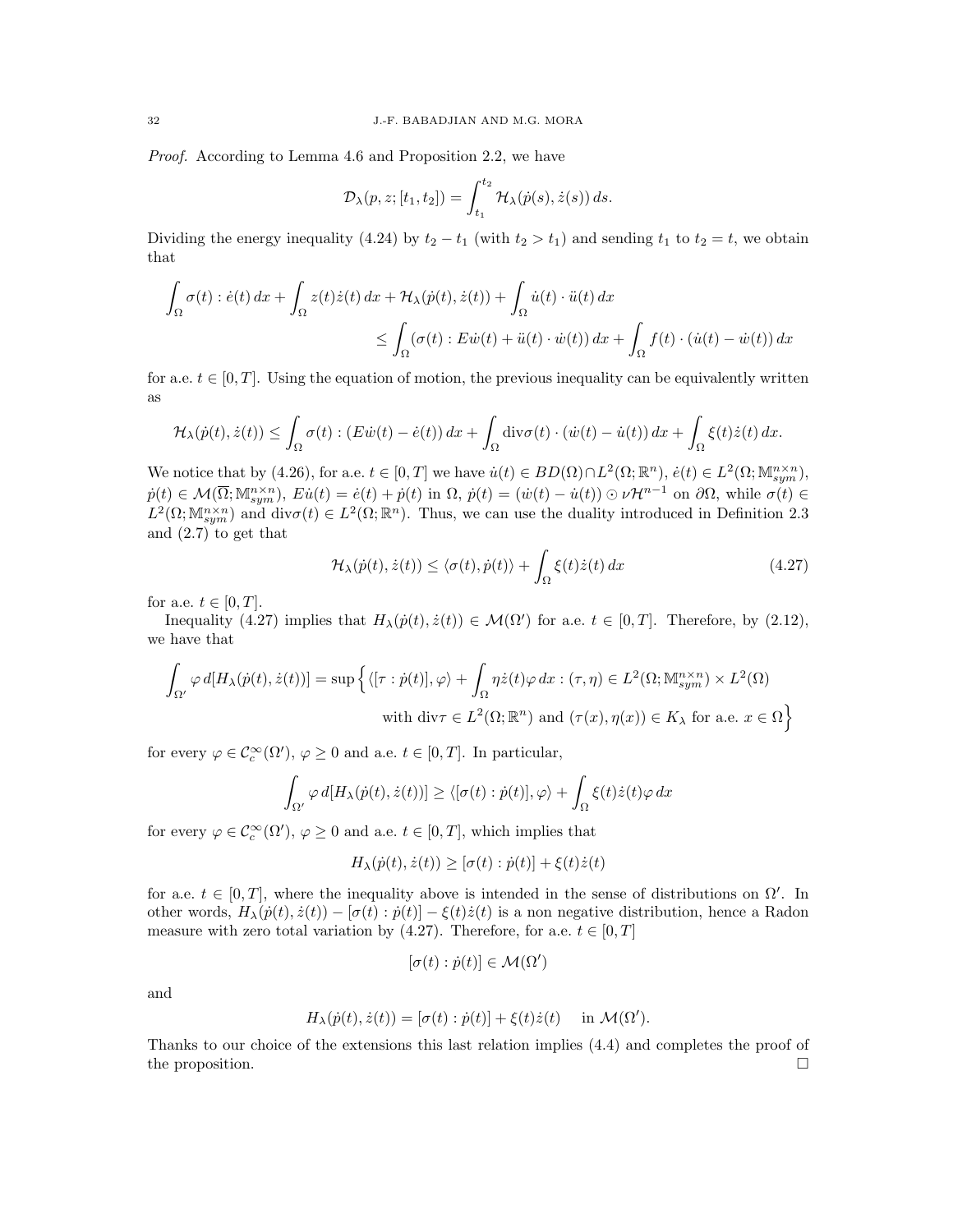Proof. According to Lemma 4.6 and Proposition 2.2, we have

$$
\mathcal{D}_{\lambda}(p,z; [t_1, t_2]) = \int_{t_1}^{t_2} \mathcal{H}_{\lambda}(\dot{p}(s), \dot{z}(s)) ds.
$$

Dividing the energy inequality (4.24) by  $t_2 - t_1$  (with  $t_2 > t_1$ ) and sending  $t_1$  to  $t_2 = t$ , we obtain that

$$
\int_{\Omega} \sigma(t) : \dot{e}(t) dx + \int_{\Omega} z(t) \dot{z}(t) dx + \mathcal{H}_{\lambda}(\dot{p}(t), \dot{z}(t)) + \int_{\Omega} \dot{u}(t) \cdot \ddot{u}(t) dx
$$
\n
$$
\leq \int_{\Omega} (\sigma(t) : E\dot{w}(t) + \ddot{u}(t) \cdot \dot{w}(t)) dx + \int_{\Omega} f(t) \cdot (\dot{u}(t) - \dot{w}(t)) dx
$$

for a.e.  $t \in [0, T]$ . Using the equation of motion, the previous inequality can be equivalently written as

$$
\mathcal{H}_{\lambda}(\dot{p}(t),\dot{z}(t)) \leq \int_{\Omega} \sigma(t) : (E\dot{w}(t) - \dot{e}(t)) dx + \int_{\Omega} \text{div}\sigma(t) \cdot (\dot{w}(t) - \dot{u}(t)) dx + \int_{\Omega} \xi(t)\dot{z}(t) dx.
$$

We notice that by (4.26), for a.e.  $t \in [0, T]$  we have  $\dot{u}(t) \in BD(\Omega) \cap L^2(\Omega; \mathbb{R}^n)$ ,  $\dot{e}(t) \in L^2(\Omega; \mathbb{M}^{n \times n}_{sym})$ ,  $\dot{p}(t) \in \mathcal{M}(\overline{\Omega}; \mathbb{M}^{n \times n}_{sym}), \ E\dot{u}(t) = \dot{e}(t) + \dot{p}(t) \text{ in } \Omega, \ \dot{p}(t) = (\dot{w}(t) - \dot{u}(t)) \odot \nu \mathcal{H}^{n-1} \text{ on } \partial\Omega, \text{ while } \sigma(t) \in \Omega$  $L^2(\Omega; \mathbb{M}^{n \times n}_{sym})$  and  $\text{div}\,\sigma(t) \in L^2(\Omega; \mathbb{R}^n)$ . Thus, we can use the duality introduced in Definition 2.3 and (2.7) to get that

$$
\mathcal{H}_{\lambda}(\dot{p}(t), \dot{z}(t)) \le \langle \sigma(t), \dot{p}(t) \rangle + \int_{\Omega} \xi(t)\dot{z}(t) \, dx \tag{4.27}
$$

for a.e.  $t \in [0, T]$ .

Inequality (4.27) implies that  $H_{\lambda}(\dot{p}(t), \dot{z}(t)) \in \mathcal{M}(\Omega')$  for a.e.  $t \in [0, T]$ . Therefore, by (2.12), we have that

$$
\int_{\Omega'} \varphi \, d[H_\lambda(\dot{p}(t), \dot{z}(t))] = \sup \left\{ \langle [\tau : \dot{p}(t)], \varphi \rangle + \int_{\Omega} \eta \dot{z}(t) \varphi \, dx : (\tau, \eta) \in L^2(\Omega; \mathbb{M}^{n \times n}_{sym}) \times L^2(\Omega) \right\}
$$
  
with  $\text{div}\tau \in L^2(\Omega; \mathbb{R}^n)$  and  $(\tau(x), \eta(x)) \in K_\lambda$  for a.e.  $x \in \Omega \right\}$ 

for every  $\varphi \in \mathcal{C}_c^{\infty}(\Omega'), \varphi \ge 0$  and a.e.  $t \in [0, T]$ . In particular,

$$
\int_{\Omega'} \varphi \, d[H_\lambda(\dot{p}(t), \dot{z}(t))] \ge \langle [\sigma(t) : \dot{p}(t)], \varphi \rangle + \int_{\Omega} \xi(t) \dot{z}(t) \varphi \, dx
$$

for every  $\varphi \in \mathcal{C}_c^{\infty}(\Omega'), \varphi \ge 0$  and a.e.  $t \in [0, T],$  which implies that

$$
H_{\lambda}(\dot{p}(t), \dot{z}(t)) \geq [\sigma(t) : \dot{p}(t)] + \xi(t)\dot{z}(t)
$$

for a.e.  $t \in [0, T]$ , where the inequality above is intended in the sense of distributions on  $\Omega'$ . In other words,  $H_{\lambda}(\dot{p}(t), \dot{z}(t)) - [\sigma(t) : \dot{p}(t)] - \xi(t)\dot{z}(t)$  is a non negative distribution, hence a Radon measure with zero total variation by (4.27). Therefore, for a.e.  $t \in [0, T]$ 

$$
[\sigma(t) : \dot{p}(t)] \in \mathcal{M}(\Omega')
$$

and

$$
H_{\lambda}(\dot{p}(t), \dot{z}(t)) = [\sigma(t) : \dot{p}(t)] + \xi(t)\dot{z}(t) \quad \text{ in } \mathcal{M}(\Omega').
$$

Thanks to our choice of the extensions this last relation implies (4.4) and completes the proof of the proposition.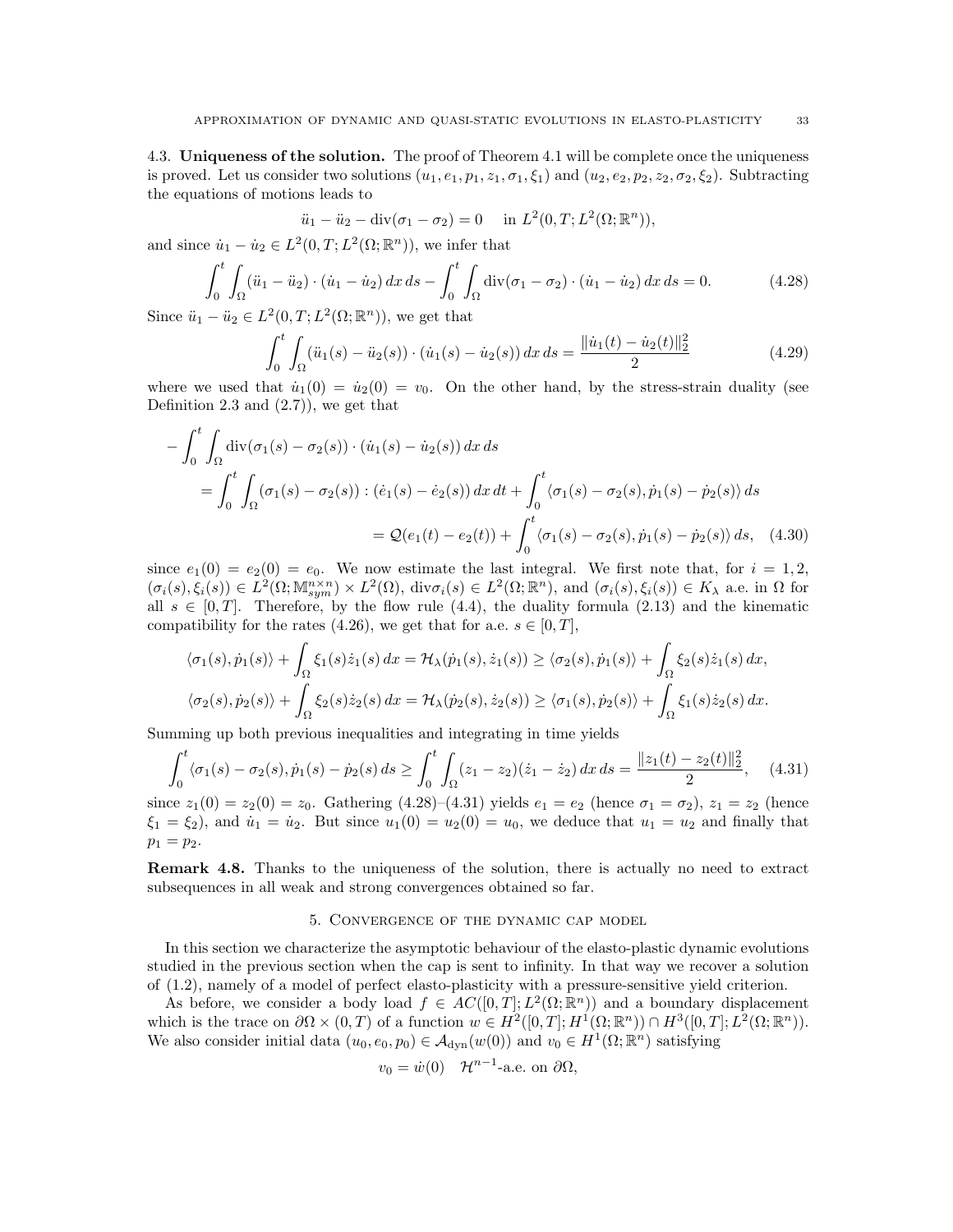4.3. Uniqueness of the solution. The proof of Theorem 4.1 will be complete once the uniqueness is proved. Let us consider two solutions  $(u_1, e_1, p_1, z_1, \sigma_1, \xi_1)$  and  $(u_2, e_2, p_2, z_2, \sigma_2, \xi_2)$ . Subtracting the equations of motions leads to

$$
\ddot{u}_1 - \ddot{u}_2 - \text{div}(\sigma_1 - \sigma_2) = 0
$$
 in  $L^2(0, T; L^2(\Omega; \mathbb{R}^n)),$ 

and since  $\dot{u}_1 - \dot{u}_2 \in L^2(0,T; L^2(\Omega;\mathbb{R}^n))$ , we infer that

$$
\int_0^t \int_{\Omega} (\ddot{u}_1 - \ddot{u}_2) \cdot (\dot{u}_1 - \dot{u}_2) \, dx \, ds - \int_0^t \int_{\Omega} \text{div}(\sigma_1 - \sigma_2) \cdot (\dot{u}_1 - \dot{u}_2) \, dx \, ds = 0. \tag{4.28}
$$

Since  $\ddot{u}_1 - \ddot{u}_2 \in L^2(0,T; L^2(\Omega;\mathbb{R}^n))$ , we get that

$$
\int_0^t \int_{\Omega} (\ddot{u}_1(s) - \ddot{u}_2(s)) \cdot (\dot{u}_1(s) - \dot{u}_2(s)) \, dx \, ds = \frac{\|\dot{u}_1(t) - \dot{u}_2(t)\|_2^2}{2} \tag{4.29}
$$

where we used that  $\dot{u}_1(0) = \dot{u}_2(0) = v_0$ . On the other hand, by the stress-strain duality (see Definition 2.3 and  $(2.7)$ , we get that

$$
-\int_{0}^{t} \int_{\Omega} \operatorname{div}(\sigma_{1}(s) - \sigma_{2}(s)) \cdot (\dot{u}_{1}(s) - \dot{u}_{2}(s)) dx ds
$$
  
= 
$$
\int_{0}^{t} \int_{\Omega} (\sigma_{1}(s) - \sigma_{2}(s)) \cdot (\dot{e}_{1}(s) - \dot{e}_{2}(s)) dx dt + \int_{0}^{t} \langle \sigma_{1}(s) - \sigma_{2}(s), \dot{p}_{1}(s) - \dot{p}_{2}(s) \rangle ds
$$
  
= 
$$
\mathcal{Q}(e_{1}(t) - e_{2}(t)) + \int_{0}^{t} \langle \sigma_{1}(s) - \sigma_{2}(s), \dot{p}_{1}(s) - \dot{p}_{2}(s) \rangle ds, \quad (4.30)
$$

since  $e_1(0) = e_2(0) = e_0$ . We now estimate the last integral. We first note that, for  $i = 1, 2$ ,  $(\sigma_i(s), \xi_i(s)) \in L^2(\Omega; \mathbb{M}^{n \times n}_{sym}) \times L^2(\Omega), \text{ div}\sigma_i(s) \in L^2(\Omega; \mathbb{R}^n), \text{ and } (\sigma_i(s), \xi_i(s)) \in K_\lambda \text{ a.e. in } \Omega \text{ for } \Omega.$ all  $s \in [0, T]$ . Therefore, by the flow rule (4.4), the duality formula (2.13) and the kinematic compatibility for the rates (4.26), we get that for a.e.  $s \in [0, T]$ ,

$$
\langle \sigma_1(s), \dot{p}_1(s) \rangle + \int_{\Omega} \xi_1(s)\dot{z}_1(s) \, dx = \mathcal{H}_{\lambda}(\dot{p}_1(s), \dot{z}_1(s)) \ge \langle \sigma_2(s), \dot{p}_1(s) \rangle + \int_{\Omega} \xi_2(s)\dot{z}_1(s) \, dx,
$$
  

$$
\langle \sigma_2(s), \dot{p}_2(s) \rangle + \int_{\Omega} \xi_2(s)\dot{z}_2(s) \, dx = \mathcal{H}_{\lambda}(\dot{p}_2(s), \dot{z}_2(s)) \ge \langle \sigma_1(s), \dot{p}_2(s) \rangle + \int_{\Omega} \xi_1(s)\dot{z}_2(s) \, dx.
$$

Summing up both previous inequalities and integrating in time yields

$$
\int_0^t \langle \sigma_1(s) - \sigma_2(s), \dot{p}_1(s) - \dot{p}_2(s) \, ds \ge \int_0^t \int_{\Omega} (z_1 - z_2)(\dot{z}_1 - \dot{z}_2) \, dx \, ds = \frac{\|z_1(t) - z_2(t)\|_2^2}{2},\tag{4.31}
$$

since  $z_1(0) = z_2(0) = z_0$ . Gathering  $(4.28)$ – $(4.31)$  yields  $e_1 = e_2$  (hence  $\sigma_1 = \sigma_2$ ),  $z_1 = z_2$  (hence  $\xi_1 = \xi_2$ , and  $\dot{u}_1 = \dot{u}_2$ . But since  $u_1(0) = u_2(0) = u_0$ , we deduce that  $u_1 = u_2$  and finally that  $p_1 = p_2.$ 

Remark 4.8. Thanks to the uniqueness of the solution, there is actually no need to extract subsequences in all weak and strong convergences obtained so far.

### 5. Convergence of the dynamic cap model

In this section we characterize the asymptotic behaviour of the elasto-plastic dynamic evolutions studied in the previous section when the cap is sent to infinity. In that way we recover a solution of (1.2), namely of a model of perfect elasto-plasticity with a pressure-sensitive yield criterion.

As before, we consider a body load  $f \in AC([0,T]; L^2(\Omega;\mathbb{R}^n))$  and a boundary displacement which is the trace on  $\partial\Omega \times (0,T)$  of a function  $w \in H^2([0,T]; H^1(\Omega;\mathbb{R}^n)) \cap H^3([0,T]; L^2(\Omega;\mathbb{R}^n)).$ We also consider initial data  $(u_0, e_0, p_0) \in \mathcal{A}_{dyn}(w(0))$  and  $v_0 \in H^1(\Omega; \mathbb{R}^n)$  satisfying

$$
v_0 = \dot{w}(0)
$$
  $\mathcal{H}^{n-1}$ -a.e. on  $\partial\Omega$ ,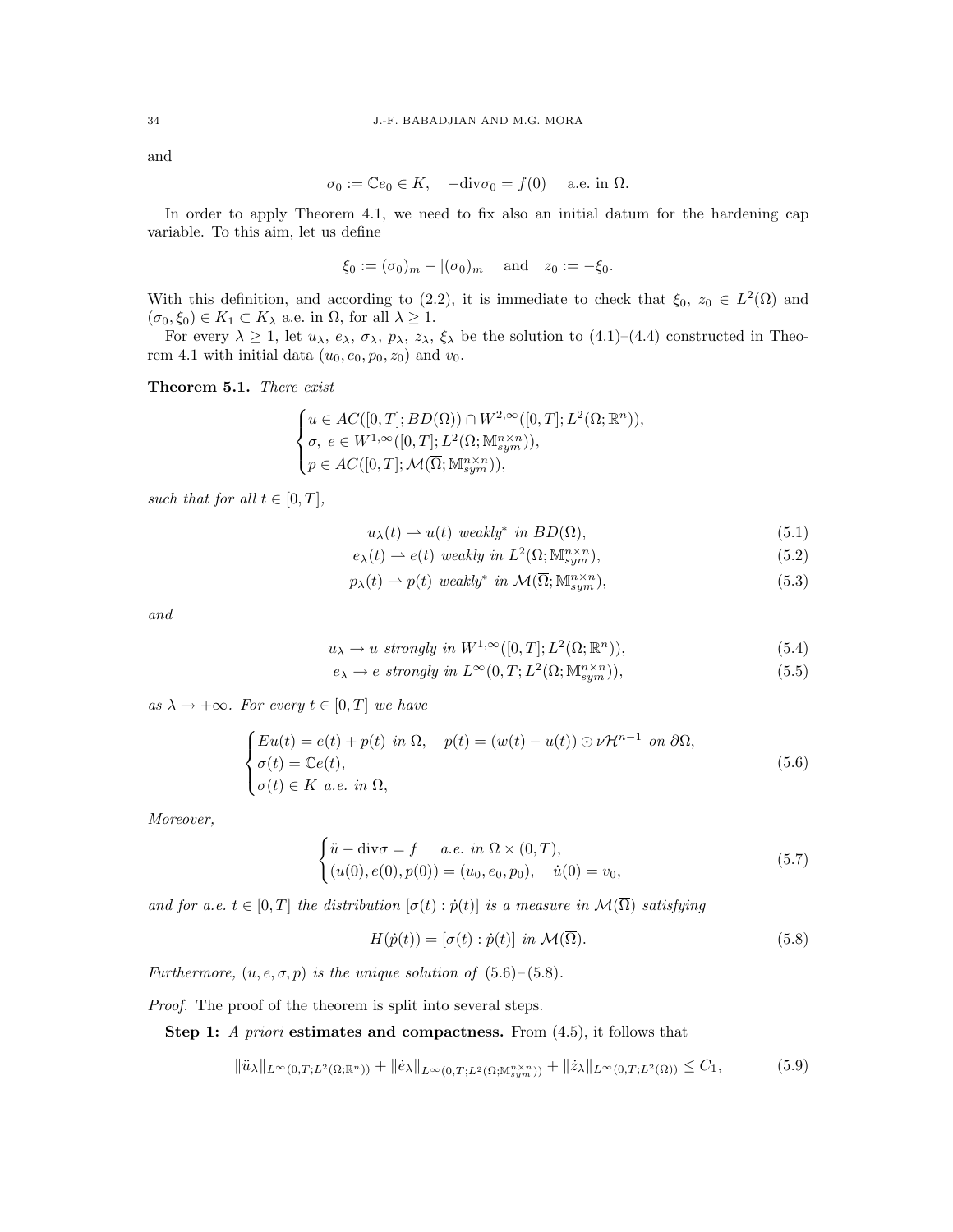and

$$
\sigma_0 := \mathbb{C}e_0 \in K, \quad -\mathrm{div}\sigma_0 = f(0) \quad \text{ a.e. in } \Omega.
$$

In order to apply Theorem 4.1, we need to fix also an initial datum for the hardening cap variable. To this aim, let us define

$$
\xi_0 := (\sigma_0)_m - |(\sigma_0)_m|
$$
 and  $z_0 := -\xi_0$ .

With this definition, and according to (2.2), it is immediate to check that  $\xi_0, z_0 \in L^2(\Omega)$  and  $(\sigma_0, \xi_0) \in K_1 \subset K_\lambda$  a.e. in  $\Omega$ , for all  $\lambda \geq 1$ .

For every  $\lambda \geq 1$ , let  $u_{\lambda}, e_{\lambda}, \sigma_{\lambda}, p_{\lambda}, z_{\lambda}, \xi_{\lambda}$  be the solution to  $(4.1)$ – $(4.4)$  constructed in Theorem 4.1 with initial data  $(u_0, e_0, p_0, z_0)$  and  $v_0$ .

Theorem 5.1. There exist

$$
\begin{cases} u \in AC([0,T]; BD(\Omega)) \cap W^{2,\infty}([0,T]; L^2(\Omega;\mathbb{R}^n)), \\ \sigma, e \in W^{1,\infty}([0,T]; L^2(\Omega;\mathbb{M}^{n\times n}_{sym})), \\ p \in AC([0,T]; \mathcal{M}(\overline{\Omega}; \mathbb{M}^{n\times n}_{sym})), \end{cases}
$$

such that for all  $t \in [0, T]$ ,

$$
u_{\lambda}(t) \to u(t) \ weakly^* \ in \ BD(\Omega), \tag{5.1}
$$

$$
e_{\lambda}(t) \rightharpoonup e(t) \text{ weakly in } L^{2}(\Omega; \mathbb{M}^{n \times n}_{sym}),
$$
\n
$$
(5.2)
$$

$$
p_{\lambda}(t) \rightarrow p(t) \ weakly^{*} \ in \ \mathcal{M}(\overline{\Omega}; \mathbb{M}^{n \times n}_{sym}), \tag{5.3}
$$

and

$$
u_{\lambda} \to u \text{ strongly in } W^{1,\infty}([0,T]; L^2(\Omega; \mathbb{R}^n)), \tag{5.4}
$$

$$
e_{\lambda} \to e \ \text{ strongly in } L^{\infty}(0, T; L^{2}(\Omega; \mathbb{M}^{n \times n}_{sym})), \tag{5.5}
$$

as  $\lambda \to +\infty$ . For every  $t \in [0, T]$  we have

$$
\begin{cases}\nEu(t) = e(t) + p(t) \text{ in } \Omega, & p(t) = (w(t) - u(t)) \odot \nu \mathcal{H}^{n-1} \text{ on } \partial\Omega, \\
\sigma(t) = \mathbb{C}e(t), \\
\sigma(t) \in K \text{ a.e. in } \Omega,\n\end{cases}
$$
\n(5.6)

Moreover,

$$
\begin{cases}\n\ddot{u} - \text{div}\sigma = f & a.e. \in \mathbb{R} \quad \Omega \times (0, T), \\
(u(0), e(0), p(0)) = (u_0, e_0, p_0), \quad \dot{u}(0) = v_0,\n\end{cases}
$$
\n(5.7)

and for a.e.  $t \in [0, T]$  the distribution  $[\sigma(t) : \dot{p}(t)]$  is a measure in  $\mathcal{M}(\overline{\Omega})$  satisfying

$$
H(\dot{p}(t)) = [\sigma(t) : \dot{p}(t)] \text{ in } \mathcal{M}(\overline{\Omega}). \tag{5.8}
$$

Furthermore,  $(u, e, \sigma, p)$  is the unique solution of  $(5.6)$ - $(5.8)$ .

Proof. The proof of the theorem is split into several steps.

Step 1: A priori estimates and compactness. From  $(4.5)$ , it follows that

$$
\|\ddot{u}_{\lambda}\|_{L^{\infty}(0,T;L^{2}(\Omega;\mathbb{R}^{n}))} + \|\dot{e}_{\lambda}\|_{L^{\infty}(0,T;L^{2}(\Omega;\mathbb{M}_{sym}^{n\times n}))} + \|\dot{z}_{\lambda}\|_{L^{\infty}(0,T;L^{2}(\Omega))} \leq C_{1},
$$
\n(5.9)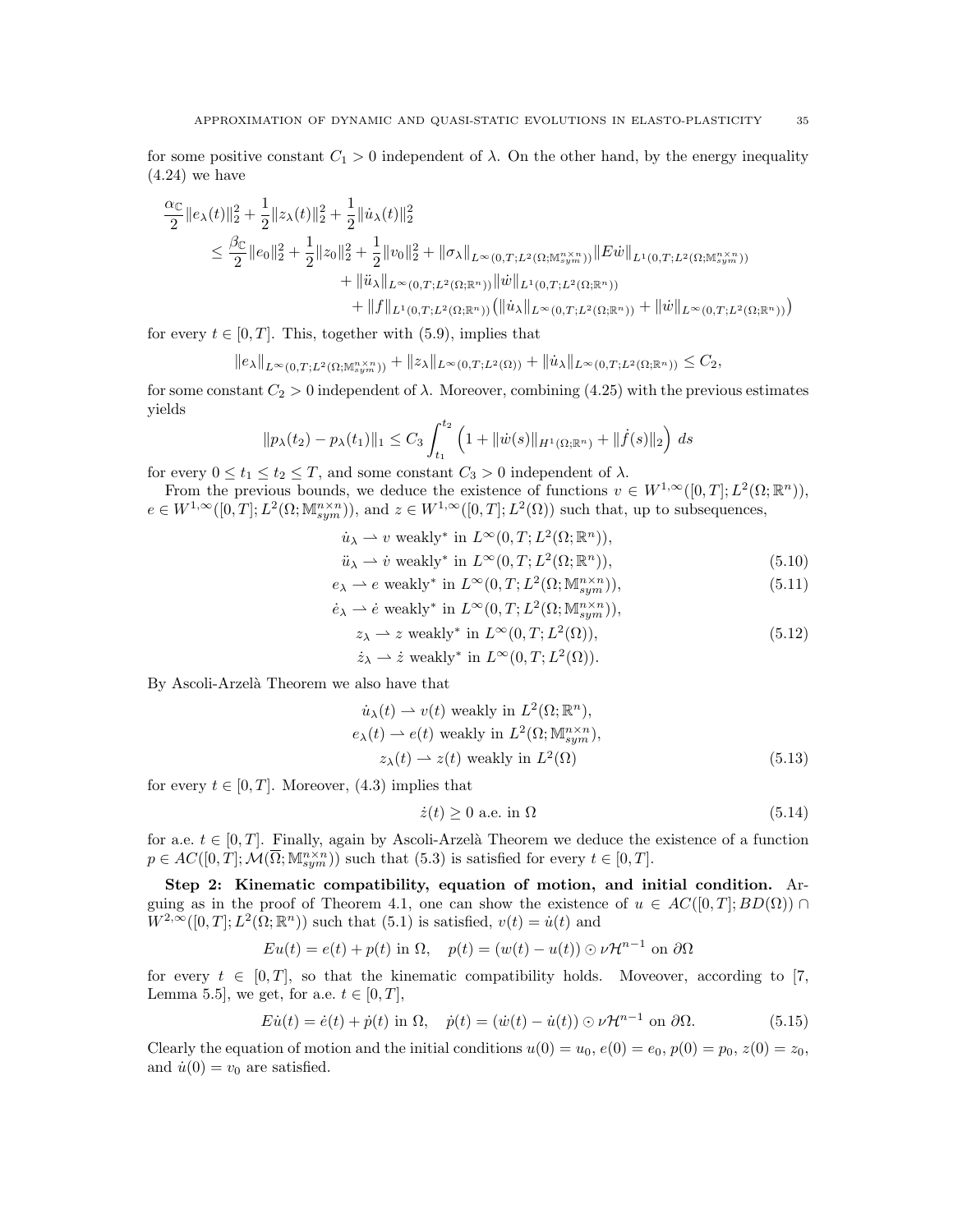for some positive constant  $C_1 > 0$  independent of  $\lambda$ . On the other hand, by the energy inequality  $(4.24)$  we have

$$
\frac{\alpha_{\mathbb{C}}}{2} \|e_{\lambda}(t)\|_{2}^{2} + \frac{1}{2} \|z_{\lambda}(t)\|_{2}^{2} + \frac{1}{2} \| \dot{u}_{\lambda}(t)\|_{2}^{2}
$$
\n
$$
\leq \frac{\beta_{\mathbb{C}}}{2} \|e_{0}\|_{2}^{2} + \frac{1}{2} \|z_{0}\|_{2}^{2} + \frac{1}{2} \|v_{0}\|_{2}^{2} + \|\sigma_{\lambda}\|_{L^{\infty}(0,T;L^{2}(\Omega; \mathbb{M}^{n \times n}_{sym}))} \|E\dot{w}\|_{L^{1}(0,T;L^{2}(\Omega; \mathbb{M}^{n \times n}_{sym}))}
$$
\n
$$
+ \| \ddot{u}_{\lambda} \|_{L^{\infty}(0,T;L^{2}(\Omega; \mathbb{R}^{n}))} \| \dot{w} \|_{L^{1}(0,T;L^{2}(\Omega; \mathbb{R}^{n}))}
$$
\n
$$
+ \| f \|_{L^{1}(0,T;L^{2}(\Omega; \mathbb{R}^{n}))} \left( \| \dot{u}_{\lambda} \|_{L^{\infty}(0,T;L^{2}(\Omega; \mathbb{R}^{n}))} + \| \dot{w} \|_{L^{\infty}(0,T;L^{2}(\Omega; \mathbb{R}^{n}))} \right)
$$

for every  $t \in [0, T]$ . This, together with (5.9), implies that

$$
||e_\lambda||_{L^\infty(0,T;L^2(\Omega;\mathbb{M}^{n\times n}_{sym}))} + ||z_\lambda||_{L^\infty(0,T;L^2(\Omega))} + ||u_\lambda||_{L^\infty(0,T;L^2(\Omega;\mathbb{R}^n))} \leq C_2,
$$

for some constant  $C_2 > 0$  independent of  $\lambda$ . Moreover, combining (4.25) with the previous estimates yields

$$
||p_{\lambda}(t_2)-p_{\lambda}(t_1)||_1 \leq C_3 \int_{t_1}^{t_2} \left(1+||\dot{w}(s)||_{H^1(\Omega;\mathbb{R}^n)}+||\dot{f}(s)||_2\right) ds
$$

for every  $0 \le t_1 \le t_2 \le T$ , and some constant  $C_3 > 0$  independent of  $\lambda$ .

From the previous bounds, we deduce the existence of functions  $v \in W^{1,\infty}([0,T]; L^2(\Omega;\mathbb{R}^n))$ ,  $e \in W^{1,\infty}([0,T]; L^2(\Omega; \mathbb{M}^{n \times n}_{sym}))$ , and  $z \in W^{1,\infty}([0,T]; L^2(\Omega))$  such that, up to subsequences,

$$
\dot{u}_{\lambda} \rightharpoonup v \text{ weakly* in } L^{\infty}(0, T; L^{2}(\Omega; \mathbb{R}^{n})),
$$
\n
$$
\ddot{u}_{\lambda} \rightharpoonup u_{\lambda} \rightharpoonup L^{\infty}(0, T; L^{2}(\Omega; \mathbb{R}^{n})).
$$
\n
$$
(5.10)
$$

$$
\ddot{u}_{\lambda} \rightharpoonup \dot{v} \text{ weakly* in } L^{\infty}(0, T; L^{2}(\Omega; \mathbb{R}^{n})),\tag{5.10}
$$

$$
e_{\lambda} \rightharpoonup e \text{ weakly* in } L^{\infty}(0, T; L^{2}(\Omega; \mathbb{M}^{n \times n}_{sym})),
$$
\n
$$
(5.11)
$$

$$
\dot{e}_{\lambda} \rightharpoonup \dot{e} \text{ weakly* in } L^{\infty}(0, T; L^{2}(\Omega; \mathbb{M}_{sym}^{n \times n})),
$$
  
\n
$$
z_{\lambda} \rightharpoonup z \text{ weakly* in } L^{\infty}(0, T; L^{2}(\Omega)),
$$
  
\n
$$
\dot{z}_{\lambda} \rightharpoonup \dot{z} \text{ weakly* in } L^{\infty}(0, T; L^{2}(\Omega)).
$$
\n(5.12)

By Ascoli-Arzelà Theorem we also have that

$$
\dot{u}_{\lambda}(t) \rightarrow v(t) \text{ weakly in } L^{2}(\Omega; \mathbb{R}^{n}),
$$
  
\n
$$
e_{\lambda}(t) \rightarrow e(t) \text{ weakly in } L^{2}(\Omega; \mathbb{M}^{n \times n}_{sym}),
$$
  
\n
$$
z_{\lambda}(t) \rightarrow z(t) \text{ weakly in } L^{2}(\Omega)
$$
\n(5.13)

for every  $t \in [0, T]$ . Moreover, (4.3) implies that

$$
\dot{z}(t) \ge 0 \text{ a.e. in } \Omega \tag{5.14}
$$

for a.e.  $t \in [0, T]$ . Finally, again by Ascoli-Arzelà Theorem we deduce the existence of a function  $p \in AC([0, T]; \mathcal{M}(\overline{\Omega}; \mathbb{M}^{n \times n}_{sym}))$  such that  $(5.3)$  is satisfied for every  $t \in [0, T]$ .

Step 2: Kinematic compatibility, equation of motion, and initial condition. Arguing as in the proof of Theorem 4.1, one can show the existence of  $u \in AC([0,T]; BD(\Omega)) \cap$  $W^{2,\infty}([0,T];L^2(\Omega;\mathbb{R}^n))$  such that  $(5.1)$  is satisfied,  $v(t) = \dot{u}(t)$  and

$$
Eu(t) = e(t) + p(t) \text{ in } \Omega, \quad p(t) = (w(t) - u(t)) \odot \nu \mathcal{H}^{n-1} \text{ on } \partial \Omega
$$

for every  $t \in [0, T]$ , so that the kinematic compatibility holds. Moveover, according to [7, Lemma 5.5, we get, for a.e.  $t \in [0, T]$ ,

$$
E\dot{u}(t) = \dot{e}(t) + \dot{p}(t) \text{ in } \Omega, \quad \dot{p}(t) = (\dot{w}(t) - \dot{u}(t)) \odot \nu \mathcal{H}^{n-1} \text{ on } \partial\Omega.
$$
 (5.15)

Clearly the equation of motion and the initial conditions  $u(0) = u_0$ ,  $e(0) = e_0$ ,  $p(0) = p_0$ ,  $z(0) = z_0$ , and  $\dot{u}(0) = v_0$  are satisfied.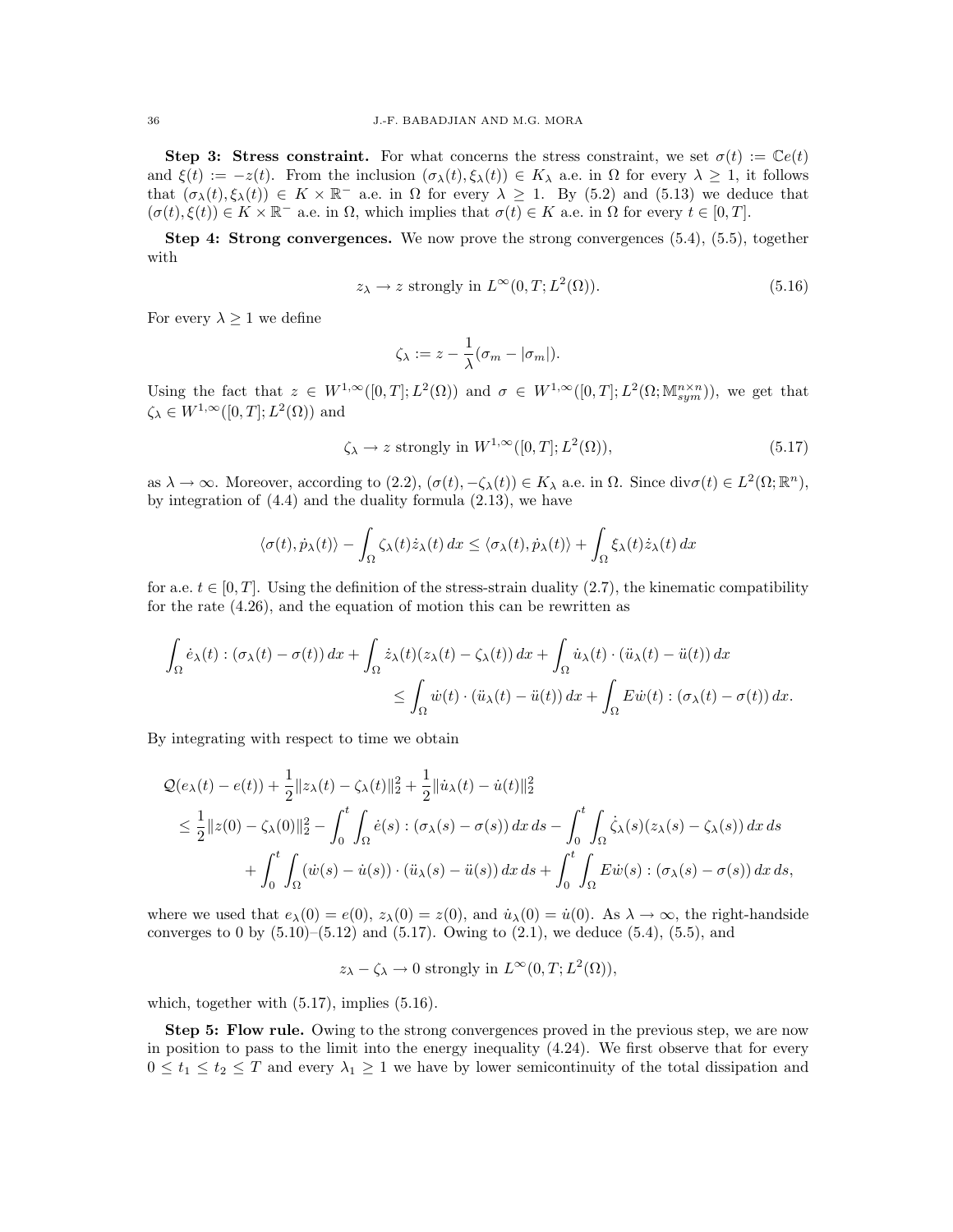**Step 3: Stress constraint.** For what concerns the stress constraint, we set  $\sigma(t) := \mathbb{C}e(t)$ and  $\xi(t) := -z(t)$ . From the inclusion  $(\sigma_{\lambda}(t), \xi_{\lambda}(t)) \in K_{\lambda}$  a.e. in  $\Omega$  for every  $\lambda \geq 1$ , it follows that  $(\sigma_{\lambda}(t), \xi_{\lambda}(t)) \in K \times \mathbb{R}^{-}$  a.e. in  $\Omega$  for every  $\lambda \geq 1$ . By (5.2) and (5.13) we deduce that  $(\sigma(t), \xi(t)) \in K \times \mathbb{R}^-$  a.e. in  $\Omega$ , which implies that  $\sigma(t) \in K$  a.e. in  $\Omega$  for every  $t \in [0, T]$ .

Step 4: Strong convergences. We now prove the strong convergences (5.4), (5.5), together with

$$
z_{\lambda} \to z \text{ strongly in } L^{\infty}(0, T; L^{2}(\Omega)).
$$
\n
$$
(5.16)
$$

For every  $\lambda \geq 1$  we define

$$
\zeta_{\lambda} := z - \frac{1}{\lambda} (\sigma_m - |\sigma_m|).
$$

Using the fact that  $z \in W^{1,\infty}([0,T];L^2(\Omega))$  and  $\sigma \in W^{1,\infty}([0,T];L^2(\Omega;\mathbb{M}^{n\times n}_{sym}))$ , we get that  $\zeta_{\lambda} \in W^{1,\infty}([0,T];L^2(\Omega))$  and

$$
\zeta_{\lambda} \to z \text{ strongly in } W^{1,\infty}([0,T]; L^2(\Omega)), \tag{5.17}
$$

as  $\lambda \to \infty$ . Moreover, according to (2.2),  $(\sigma(t), -\zeta_\lambda(t)) \in K_\lambda$  a.e. in  $\Omega$ . Since  $\text{div}\sigma(t) \in L^2(\Omega; \mathbb{R}^n)$ , by integration of (4.4) and the duality formula (2.13), we have

$$
\langle \sigma(t), \dot{p}_{\lambda}(t) \rangle - \int_{\Omega} \zeta_{\lambda}(t) \dot{z}_{\lambda}(t) dx \leq \langle \sigma_{\lambda}(t), \dot{p}_{\lambda}(t) \rangle + \int_{\Omega} \xi_{\lambda}(t) \dot{z}_{\lambda}(t) dx
$$

for a.e.  $t \in [0, T]$ . Using the definition of the stress-strain duality (2.7), the kinematic compatibility for the rate (4.26), and the equation of motion this can be rewritten as

$$
\int_{\Omega} \dot{e}_{\lambda}(t) : (\sigma_{\lambda}(t) - \sigma(t)) dx + \int_{\Omega} \dot{z}_{\lambda}(t) (z_{\lambda}(t) - \zeta_{\lambda}(t)) dx + \int_{\Omega} \dot{u}_{\lambda}(t) \cdot (\ddot{u}_{\lambda}(t) - \ddot{u}(t)) dx
$$
\n
$$
\leq \int_{\Omega} \dot{w}(t) \cdot (\ddot{u}_{\lambda}(t) - \ddot{u}(t)) dx + \int_{\Omega} E \dot{w}(t) : (\sigma_{\lambda}(t) - \sigma(t)) dx.
$$

By integrating with respect to time we obtain

$$
\mathcal{Q}(e_{\lambda}(t) - e(t)) + \frac{1}{2} \|z_{\lambda}(t) - \zeta_{\lambda}(t)\|_{2}^{2} + \frac{1}{2} \|\dot{u}_{\lambda}(t) - \dot{u}(t)\|_{2}^{2}
$$
\n
$$
\leq \frac{1}{2} \|z(0) - \zeta_{\lambda}(0)\|_{2}^{2} - \int_{0}^{t} \int_{\Omega} \dot{e}(s) : (\sigma_{\lambda}(s) - \sigma(s)) \, dx \, ds - \int_{0}^{t} \int_{\Omega} \dot{\zeta}_{\lambda}(s) (z_{\lambda}(s) - \zeta_{\lambda}(s)) \, dx \, ds
$$
\n
$$
+ \int_{0}^{t} \int_{\Omega} (\dot{w}(s) - \dot{u}(s)) \cdot (\ddot{u}_{\lambda}(s) - \ddot{u}(s)) \, dx \, ds + \int_{0}^{t} \int_{\Omega} E \dot{w}(s) : (\sigma_{\lambda}(s) - \sigma(s)) \, dx \, ds,
$$

where we used that  $e_\lambda(0) = e(0), z_\lambda(0) = z(0),$  and  $\dot{u}_\lambda(0) = \dot{u}(0)$ . As  $\lambda \to \infty$ , the right-handside converges to 0 by  $(5.10)$ – $(5.12)$  and  $(5.17)$ . Owing to  $(2.1)$ , we deduce  $(5.4)$ ,  $(5.5)$ , and

 $z_{\lambda} - \zeta_{\lambda} \to 0$  strongly in  $L^{\infty}(0,T; L^{2}(\Omega)),$ 

which, together with  $(5.17)$ , implies  $(5.16)$ .

Step 5: Flow rule. Owing to the strong convergences proved in the previous step, we are now in position to pass to the limit into the energy inequality (4.24). We first observe that for every  $0 \le t_1 \le t_2 \le T$  and every  $\lambda_1 \ge 1$  we have by lower semicontinuity of the total dissipation and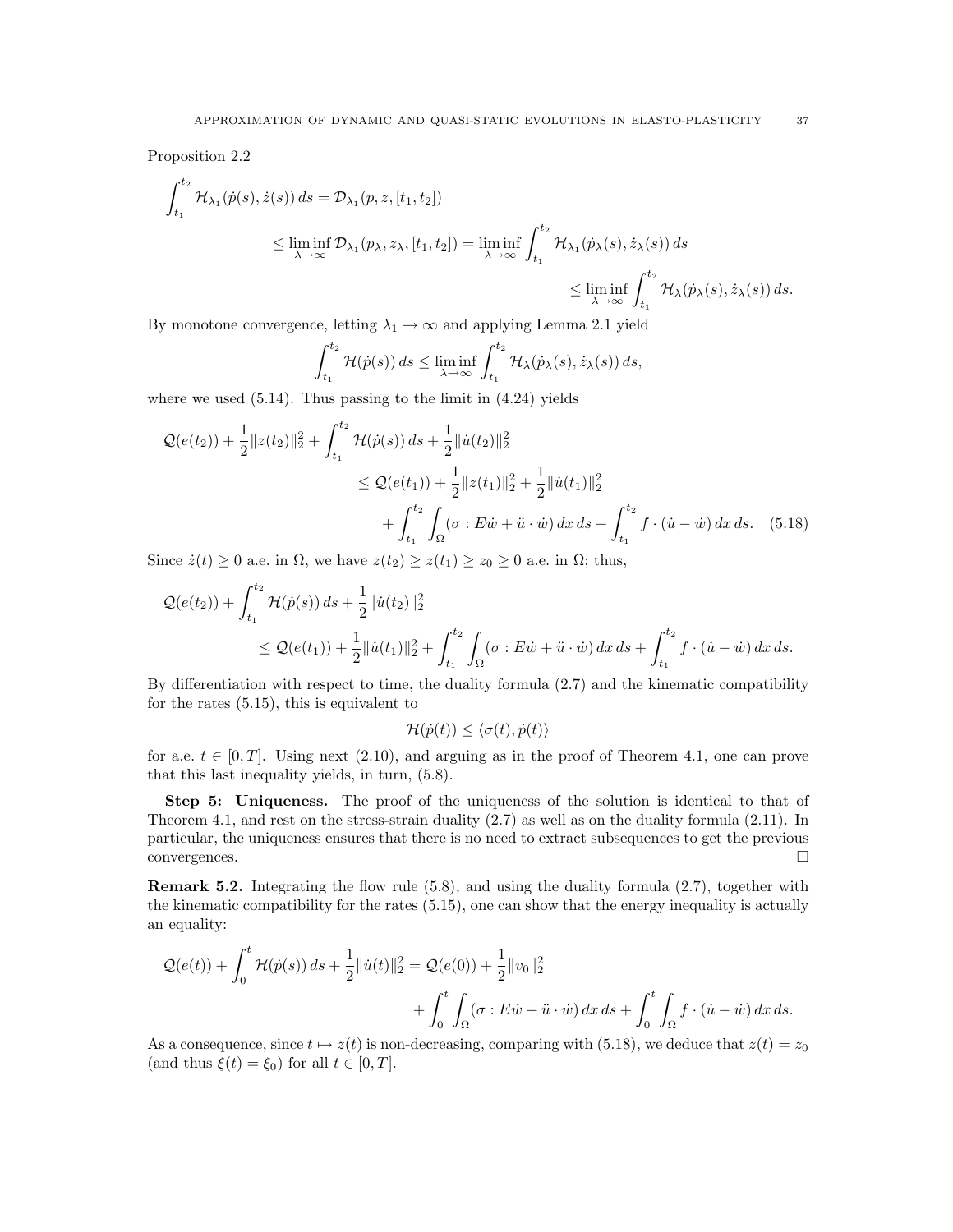Proposition 2.2

$$
\int_{t_1}^{t_2} \mathcal{H}_{\lambda_1}(p(s), \dot{z}(s)) ds = \mathcal{D}_{\lambda_1}(p, z, [t_1, t_2])
$$
\n
$$
\leq \liminf_{\lambda \to \infty} \mathcal{D}_{\lambda_1}(p_\lambda, z_\lambda, [t_1, t_2]) = \liminf_{\lambda \to \infty} \int_{t_1}^{t_2} \mathcal{H}_{\lambda_1}(p_\lambda(s), \dot{z}_\lambda(s)) ds
$$
\n
$$
\leq \liminf_{\lambda \to \infty} \int_{t_1}^{t_2} \mathcal{H}_{\lambda}(p_\lambda(s), \dot{z}_\lambda(s)) ds.
$$

By monotone convergence, letting  $\lambda_1 \rightarrow \infty$  and applying Lemma 2.1 yield

$$
\int_{t_1}^{t_2} \mathcal{H}(\dot{p}(s)) ds \le \liminf_{\lambda \to \infty} \int_{t_1}^{t_2} \mathcal{H}_{\lambda}(\dot{p}_{\lambda}(s), \dot{z}_{\lambda}(s)) ds,
$$

where we used  $(5.14)$ . Thus passing to the limit in  $(4.24)$  yields

$$
\mathcal{Q}(e(t_2)) + \frac{1}{2} \|z(t_2)\|_2^2 + \int_{t_1}^{t_2} \mathcal{H}(\dot{p}(s)) ds + \frac{1}{2} \|\dot{u}(t_2)\|_2^2
$$
  
\n
$$
\leq \mathcal{Q}(e(t_1)) + \frac{1}{2} \|z(t_1)\|_2^2 + \frac{1}{2} \|\dot{u}(t_1)\|_2^2
$$
  
\n
$$
+ \int_{t_1}^{t_2} \int_{\Omega} (\sigma : E\dot{w} + \ddot{u} \cdot \dot{w}) dx ds + \int_{t_1}^{t_2} f \cdot (\dot{u} - \dot{w}) dx ds. \quad (5.18)
$$

Since  $\dot{z}(t) \geq 0$  a.e. in  $\Omega$ , we have  $z(t_2) \geq z(t_1) \geq z_0 \geq 0$  a.e. in  $\Omega$ ; thus,

$$
\mathcal{Q}(e(t_2)) + \int_{t_1}^{t_2} \mathcal{H}(\dot{p}(s)) ds + \frac{1}{2} ||\dot{u}(t_2)||_2^2
$$
  
\n
$$
\leq \mathcal{Q}(e(t_1)) + \frac{1}{2} ||\dot{u}(t_1)||_2^2 + \int_{t_1}^{t_2} \int_{\Omega} (\sigma : E\dot{w} + \ddot{u} \cdot \dot{w}) dx ds + \int_{t_1}^{t_2} f \cdot (\dot{u} - \dot{w}) dx ds.
$$

By differentiation with respect to time, the duality formula (2.7) and the kinematic compatibility for the rates (5.15), this is equivalent to

$$
\mathcal{H}(\dot{p}(t)) \le \langle \sigma(t), \dot{p}(t) \rangle
$$

for a.e.  $t \in [0, T]$ . Using next (2.10), and arguing as in the proof of Theorem 4.1, one can prove that this last inequality yields, in turn, (5.8).

Step 5: Uniqueness. The proof of the uniqueness of the solution is identical to that of Theorem 4.1, and rest on the stress-strain duality (2.7) as well as on the duality formula (2.11). In particular, the uniqueness ensures that there is no need to extract subsequences to get the previous convergences.

Remark 5.2. Integrating the flow rule (5.8), and using the duality formula (2.7), together with the kinematic compatibility for the rates (5.15), one can show that the energy inequality is actually an equality:

$$
\mathcal{Q}(e(t)) + \int_0^t \mathcal{H}(\dot{p}(s)) ds + \frac{1}{2} ||\dot{u}(t)||_2^2 = \mathcal{Q}(e(0)) + \frac{1}{2} ||v_0||_2^2 + \int_0^t \int_{\Omega} (\sigma : E\dot{w} + \ddot{u} \cdot \dot{w}) dx ds + \int_0^t \int_{\Omega} f \cdot (\dot{u} - \dot{w}) dx ds.
$$

As a consequence, since  $t \mapsto z(t)$  is non-decreasing, comparing with (5.18), we deduce that  $z(t) = z_0$ (and thus  $\xi(t) = \xi_0$ ) for all  $t \in [0, T]$ .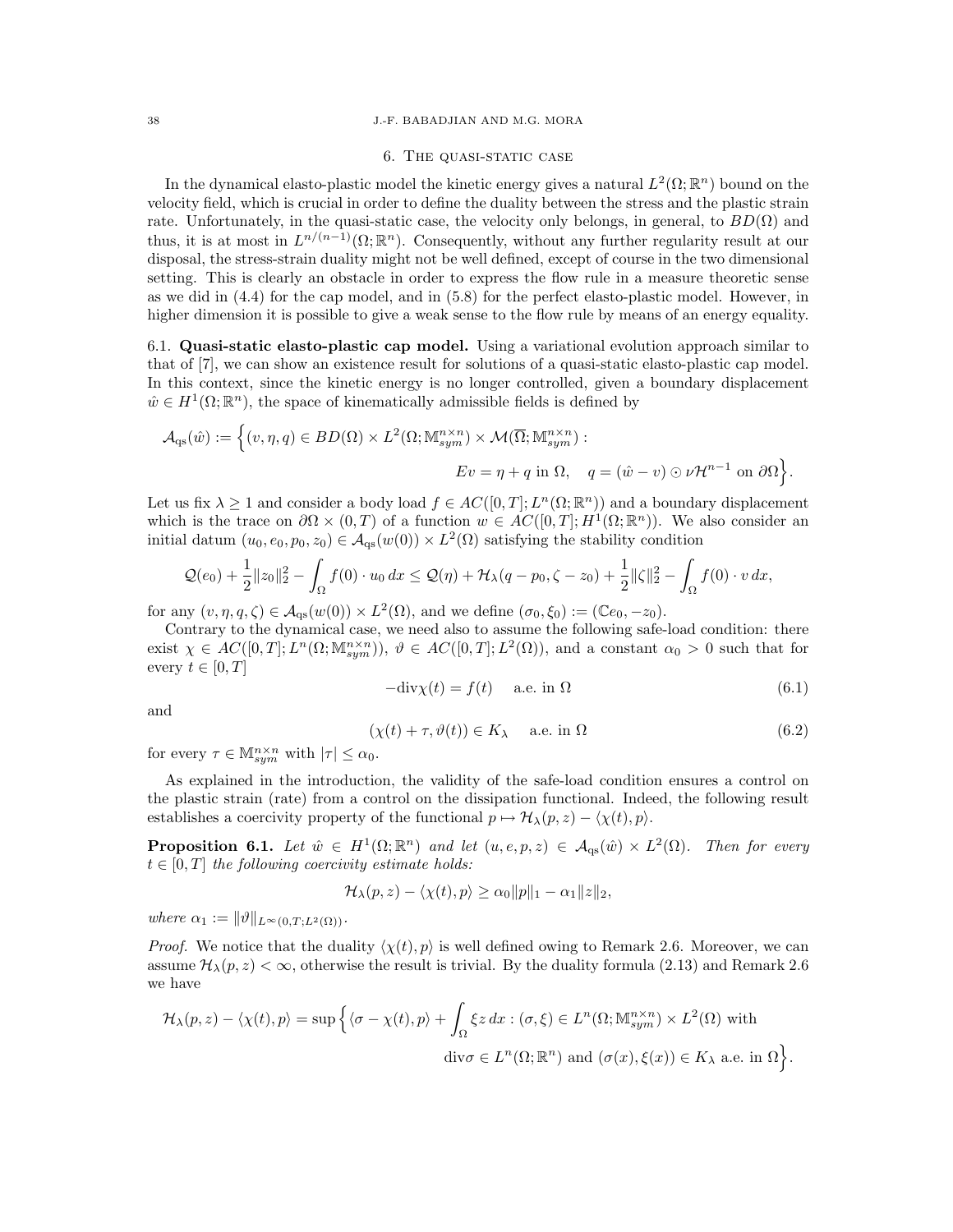### 38 J.-F. BABADJIAN AND M.G. MORA

### 6. The quasi-static case

In the dynamical elasto-plastic model the kinetic energy gives a natural  $L^2(\Omega;\mathbb{R}^n)$  bound on the velocity field, which is crucial in order to define the duality between the stress and the plastic strain rate. Unfortunately, in the quasi-static case, the velocity only belongs, in general, to  $BD(\Omega)$  and thus, it is at most in  $L^{n/(n-1)}(\Omega;\mathbb{R}^n)$ . Consequently, without any further regularity result at our disposal, the stress-strain duality might not be well defined, except of course in the two dimensional setting. This is clearly an obstacle in order to express the flow rule in a measure theoretic sense as we did in (4.4) for the cap model, and in (5.8) for the perfect elasto-plastic model. However, in higher dimension it is possible to give a weak sense to the flow rule by means of an energy equality.

6.1. Quasi-static elasto-plastic cap model. Using a variational evolution approach similar to that of [7], we can show an existence result for solutions of a quasi-static elasto-plastic cap model. In this context, since the kinetic energy is no longer controlled, given a boundary displacement  $\hat{w} \in H^1(\Omega; \mathbb{R}^n)$ , the space of kinematically admissible fields is defined by

$$
\mathcal{A}_{\mathrm{qs}}(\hat{w}) := \left\{ (v, \eta, q) \in BD(\Omega) \times L^2(\Omega; \mathbb{M}^{n \times n}_{sym}) \times \mathcal{M}(\overline{\Omega}; \mathbb{M}^{n \times n}_{sym}) : \right. \\ \left. Ev = \eta + q \text{ in } \Omega, \quad q = (\hat{w} - v) \odot \nu \mathcal{H}^{n-1} \text{ on } \partial\Omega \right\}.
$$

Let us fix  $\lambda \geq 1$  and consider a body load  $f \in AC([0, T]; L^n(\Omega; \mathbb{R}^n))$  and a boundary displacement which is the trace on  $\partial\Omega \times (0,T)$  of a function  $w \in AC([0,T]; H^1(\Omega;\mathbb{R}^n))$ . We also consider an initial datum  $(u_0, e_0, p_0, z_0) \in \mathcal{A}_{qs}(w(0)) \times L^2(\Omega)$  satisfying the stability condition

$$
\mathcal{Q}(e_0) + \frac{1}{2} ||z_0||_2^2 - \int_{\Omega} f(0) \cdot u_0 dx \leq \mathcal{Q}(\eta) + \mathcal{H}_{\lambda}(q - p_0, \zeta - z_0) + \frac{1}{2} ||\zeta||_2^2 - \int_{\Omega} f(0) \cdot v dx,
$$

for any  $(v, \eta, q, \zeta) \in \mathcal{A}_{\text{qs}}(w(0)) \times L^2(\Omega)$ , and we define  $(\sigma_0, \xi_0) := (\mathbb{C}e_0, -z_0)$ .

Contrary to the dynamical case, we need also to assume the following safe-load condition: there exist  $\chi \in AC([0,T]; L^n(\Omega; \mathbb{M}^{n \times n}_{sym}))$ ,  $\vartheta \in AC([0,T]; L^2(\Omega))$ , and a constant  $\alpha_0 > 0$  such that for every  $t \in [0, T]$ 

$$
-div\chi(t) = f(t) \quad \text{ a.e. in } \Omega \tag{6.1}
$$

and

$$
(\chi(t) + \tau, \vartheta(t)) \in K_{\lambda} \quad \text{ a.e. in } \Omega \tag{6.2}
$$

for every  $\tau \in \mathbb{M}^{n \times n}_{sym}$  with  $|\tau| \leq \alpha_0$ .

As explained in the introduction, the validity of the safe-load condition ensures a control on the plastic strain (rate) from a control on the dissipation functional. Indeed, the following result establishes a coercivity property of the functional  $p \mapsto H_\lambda(p, z) - \langle \chi(t), p \rangle$ .

**Proposition 6.1.** Let  $\hat{w} \in H^1(\Omega; \mathbb{R}^n)$  and let  $(u, e, p, z) \in \mathcal{A}_{qs}(\hat{w}) \times L^2(\Omega)$ . Then for every  $t \in [0, T]$  the following coercivity estimate holds:

$$
\mathcal{H}_{\lambda}(p, z) - \langle \chi(t), p \rangle \ge \alpha_0 \|p\|_1 - \alpha_1 \|z\|_2,
$$

where  $\alpha_1 := ||\vartheta||_{L^{\infty}(0,T;L^2(\Omega))}$ .

*Proof.* We notice that the duality  $\langle \chi(t), p \rangle$  is well defined owing to Remark 2.6. Moreover, we can assume  $\mathcal{H}_{\lambda}(p, z) < \infty$ , otherwise the result is trivial. By the duality formula (2.13) and Remark 2.6 we have

$$
\mathcal{H}_{\lambda}(p,z) - \langle \chi(t), p \rangle = \sup \Big\{ \langle \sigma - \chi(t), p \rangle + \int_{\Omega} \xi z \, dx : (\sigma, \xi) \in L^{n}(\Omega; \mathbb{M}^{n \times n}_{sym}) \times L^{2}(\Omega) \text{ with}
$$
  
div $\sigma \in L^{n}(\Omega; \mathbb{R}^{n}) \text{ and } (\sigma(x), \xi(x)) \in K_{\lambda} \text{ a.e. in } \Omega \Big\}.$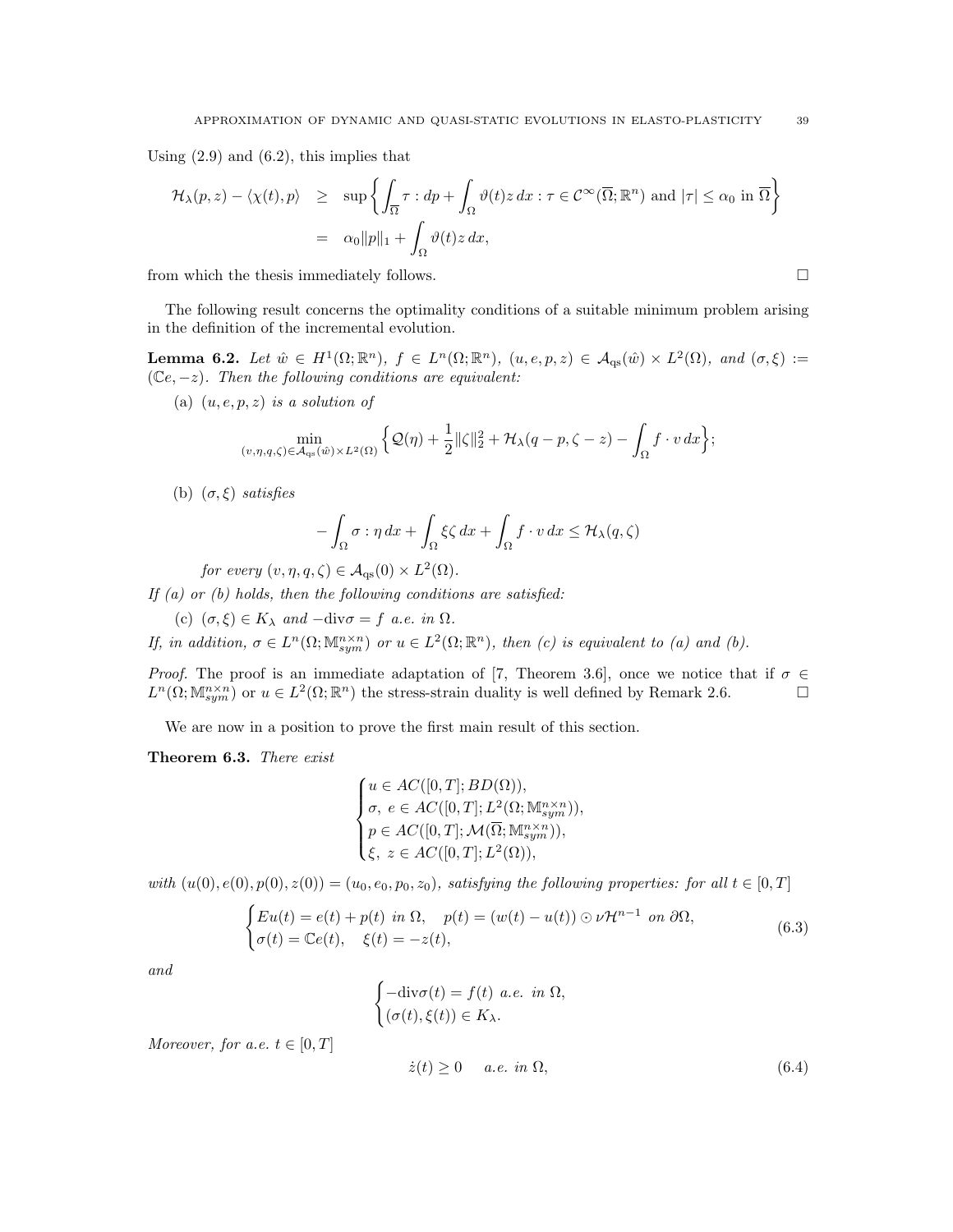Using  $(2.9)$  and  $(6.2)$ , this implies that

$$
\mathcal{H}_{\lambda}(p, z) - \langle \chi(t), p \rangle \ge \sup \left\{ \int_{\overline{\Omega}} \tau : dp + \int_{\Omega} \vartheta(t) z \, dx : \tau \in C^{\infty}(\overline{\Omega}; \mathbb{R}^{n}) \text{ and } |\tau| \le \alpha_{0} \text{ in } \overline{\Omega} \right\}
$$

$$
= \alpha_{0} ||p||_{1} + \int_{\Omega} \vartheta(t) z \, dx,
$$

from which the thesis immediately follows.  $\Box$ 

The following result concerns the optimality conditions of a suitable minimum problem arising in the definition of the incremental evolution.

**Lemma 6.2.** Let  $\hat{w} \in H^1(\Omega; \mathbb{R}^n)$ ,  $f \in L^n(\Omega; \mathbb{R}^n)$ ,  $(u, e, p, z) \in A_{qs}(\hat{w}) \times L^2(\Omega)$ , and  $(\sigma, \xi) :=$ ( $\mathbb{C}e$ , -z). Then the following conditions are equivalent:

(a)  $(u, e, p, z)$  is a solution of

$$
\min_{(v,\eta,q,\zeta)\in\mathcal{A}_{\mathrm{qs}}(\hat{w})\times L^{2}(\Omega)}\Big\{\mathcal{Q}(\eta)+\frac{1}{2}\|\zeta\|_{2}^{2}+\mathcal{H}_{\lambda}(q-p,\zeta-z)-\int_{\Omega}f\cdot v\,dx\Big\};
$$

(b)  $(\sigma, \xi)$  satisfies

$$
-\int_{\Omega} \sigma : \eta \, dx + \int_{\Omega} \xi \zeta \, dx + \int_{\Omega} f \cdot v \, dx \leq \mathcal{H}_{\lambda}(q, \zeta)
$$

for every  $(v, \eta, q, \zeta) \in \mathcal{A}_{\text{qs}}(0) \times L^2(\Omega)$ .

If  $(a)$  or  $(b)$  holds, then the following conditions are satisfied:

(c)  $(\sigma, \xi) \in K_\lambda$  and  $-\text{div}\sigma = f$  a.e. in  $\Omega$ .

If, in addition,  $\sigma \in L^n(\Omega; \mathbb{M}^{n \times n}_{sym})$  or  $u \in L^2(\Omega; \mathbb{R}^n)$ , then (c) is equivalent to (a) and (b).

*Proof.* The proof is an immediate adaptation of [7, Theorem 3.6], once we notice that if  $\sigma \in$  $L^n(\Omega; \mathbb{M}^{n \times n}_{sym})$  or  $u \in L^2(\Omega; \mathbb{R}^n)$  the stress-strain duality is well defined by Remark 2.6.

We are now in a position to prove the first main result of this section.

Theorem 6.3. There exist

$$
\begin{cases} u \in AC([0,T]; BD(\Omega)), \\ \sigma, e \in AC([0,T]; L^2(\Omega; \mathbb{M}^{n \times n}_{sym})), \\ p \in AC([0,T]; \mathcal{M}(\overline{\Omega}; \mathbb{M}^{n \times n}_{sym})), \\ \xi, z \in AC([0,T]; L^2(\Omega)), \end{cases}
$$

with  $(u(0), e(0), p(0), z(0)) = (u_0, e_0, p_0, z_0)$ , satisfying the following properties: for all  $t \in [0, T]$ 

$$
\begin{cases}\nEu(t) = e(t) + p(t) \text{ in } \Omega, & p(t) = (w(t) - u(t)) \odot \nu \mathcal{H}^{n-1} \text{ on } \partial\Omega, \\
\sigma(t) = \mathbb{C}e(t), & \xi(t) = -z(t),\n\end{cases}
$$
\n(6.3)

and

$$
\begin{cases}\n-\text{div}\sigma(t) = f(t) \ a.e. \ in \ \Omega, \\
(\sigma(t), \xi(t)) \in K_{\lambda}.\n\end{cases}
$$

Moreover, for a.e.  $t \in [0, T]$ 

$$
\dot{z}(t) \ge 0 \qquad a.e. \in \Omega,
$$
\n
$$
(6.4)
$$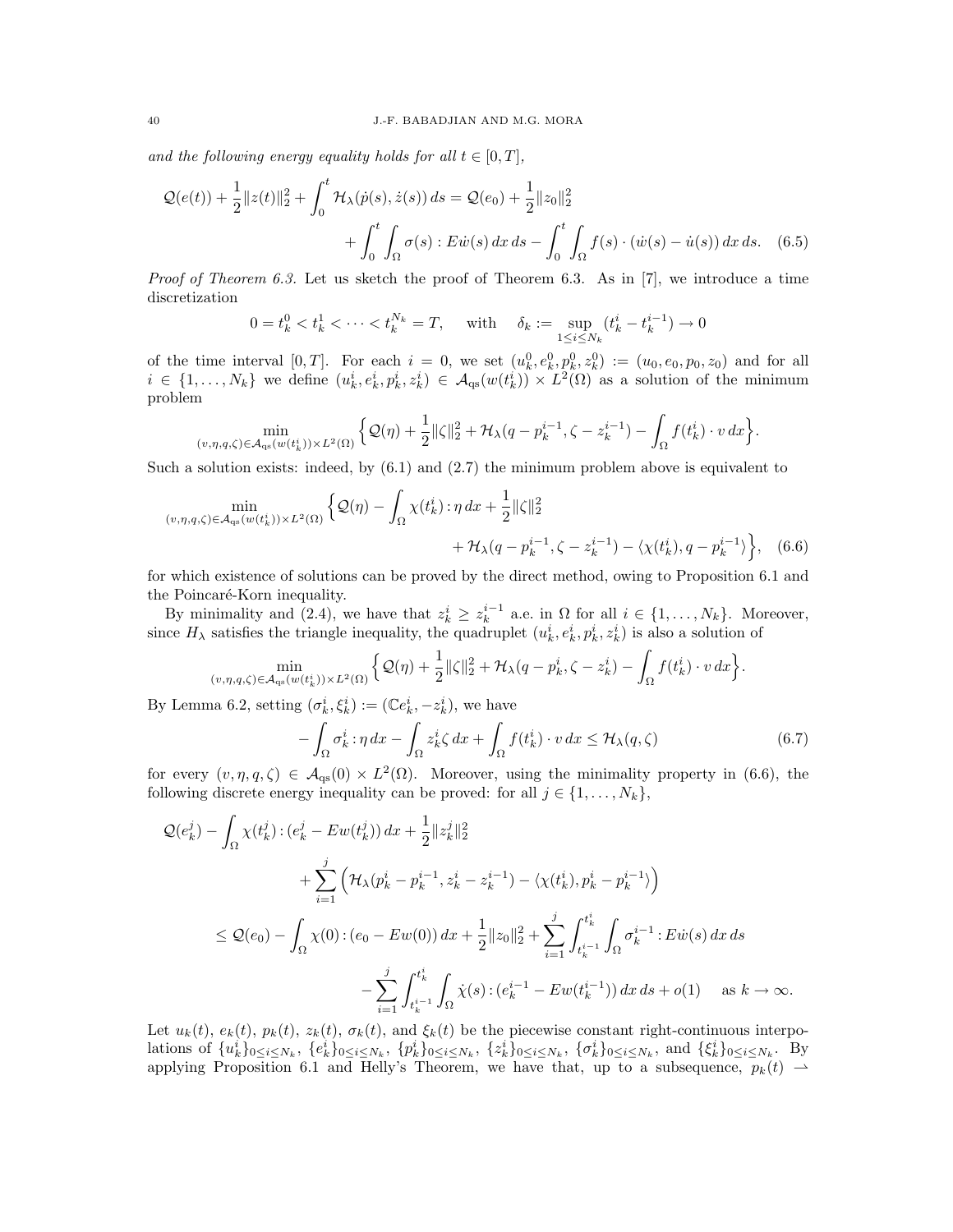and the following energy equality holds for all  $t \in [0, T]$ ,

$$
\mathcal{Q}(e(t)) + \frac{1}{2} ||z(t)||_2^2 + \int_0^t \mathcal{H}_\lambda(p(s), \dot{z}(s)) ds = \mathcal{Q}(e_0) + \frac{1}{2} ||z_0||_2^2
$$
  
+ 
$$
\int_0^t \int_\Omega \sigma(s) : E\dot{w}(s) dx ds - \int_0^t \int_\Omega f(s) \cdot (\dot{w}(s) - \dot{u}(s)) dx ds. \quad (6.5)
$$

*Proof of Theorem 6.3.* Let us sketch the proof of Theorem 6.3. As in [7], we introduce a time discretization

$$
0 = t_k^0 < t_k^1 < \dots < t_k^{N_k} = T, \quad \text{ with } \quad \delta_k := \sup_{1 \le i \le N_k} (t_k^i - t_k^{i-1}) \to 0
$$

of the time interval  $[0,T]$ . For each  $i = 0$ , we set  $(u_k^0, e_k^0, p_k^0, z_k^0) := (u_0, e_0, p_0, z_0)$  and for all  $i \in \{1,\ldots,N_k\}$  we define  $(u_k^i,e_k^i,p_k^i,z_k^i) \in \mathcal{A}_{\text{qs}}(w(t_k^i)) \times L^2(\Omega)$  as a solution of the minimum problem

$$
\min_{(v,\eta,q,\zeta)\in\mathcal{A}_{\mathrm{qs}}(w(t_k^i))\times L^2(\Omega)}\Big\{\mathcal{Q}(\eta)+\frac{1}{2}\|\zeta\|_2^2+\mathcal{H}_\lambda(q-p_k^{i-1},\zeta-z_k^{i-1})-\int_\Omega f(t_k^i)\cdot v\,dx\Big\}.
$$

Such a solution exists: indeed, by  $(6.1)$  and  $(2.7)$  the minimum problem above is equivalent to

$$
\min_{(v,\eta,q,\zeta)\in\mathcal{A}_{\rm qs}(w(t_k^i))\times L^2(\Omega)} \left\{ \mathcal{Q}(\eta) - \int_{\Omega} \chi(t_k^i) : \eta \, dx + \frac{1}{2} \|\zeta\|_2^2 + \mathcal{H}_{\lambda}(q - p_k^{i-1}, \zeta - z_k^{i-1}) - \langle \chi(t_k^i), q - p_k^{i-1} \rangle \right\}, \tag{6.6}
$$

for which existence of solutions can be proved by the direct method, owing to Proposition 6.1 and the Poincaré-Korn inequality.

By minimality and (2.4), we have that  $z_k^i \geq z_k^{i-1}$  a.e. in  $\Omega$  for all  $i \in \{1, ..., N_k\}$ . Moreover, since  $H_{\lambda}$  satisfies the triangle inequality, the quadruplet  $(u_k^i, e_k^i, p_k^i, z_k^i)$  is also a solution of

$$
\min_{(v,\eta,q,\zeta)\in\mathcal{A}_{\mathrm{qs}}(w(t_k^i))\times L^2(\Omega)}\Big\{\mathcal{Q}(\eta)+\frac{1}{2}\|\zeta\|_2^2+\mathcal{H}_\lambda(q-p_k^i,\zeta-z_k^i)-\int_\Omega f(t_k^i)\cdot v\,dx\Big\}.
$$

By Lemma 6.2, setting  $(\sigma_k^i, \xi_k^i) := (\mathbb{C}e_k^i, -z_k^i)$ , we have

$$
-\int_{\Omega} \sigma_k^i : \eta \, dx - \int_{\Omega} z_k^i \zeta \, dx + \int_{\Omega} f(t_k^i) \cdot v \, dx \le \mathcal{H}_{\lambda}(q, \zeta) \tag{6.7}
$$

for every  $(v, \eta, q, \zeta) \in \mathcal{A}_{qs}(0) \times L^2(\Omega)$ . Moreover, using the minimality property in (6.6), the following discrete energy inequality can be proved: for all  $j \in \{1, \ldots, N_k\},$ 

$$
\mathcal{Q}(e_k^j) - \int_{\Omega} \chi(t_k^j) : (e_k^j - Ew(t_k^j)) dx + \frac{1}{2} ||z_k^j||_2^2
$$
  
+ 
$$
\sum_{i=1}^j \left( \mathcal{H}_{\lambda}(p_k^i - p_k^{i-1}, z_k^i - z_k^{i-1}) - \langle \chi(t_k^i), p_k^i - p_k^{i-1} \rangle \right)
$$
  

$$
\leq \mathcal{Q}(e_0) - \int_{\Omega} \chi(0) : (e_0 - Ew(0)) dx + \frac{1}{2} ||z_0||_2^2 + \sum_{i=1}^j \int_{t_k^{i-1}}^{t_k^i} \int_{\Omega} \sigma_k^{i-1} : Ew(s) dx ds
$$
  

$$
- \sum_{i=1}^j \int_{t_k^{i-1}}^{t_k^i} \int_{\Omega} \dot{\chi}(s) : (e_k^{i-1} - Ew(t_k^{i-1})) dx ds + o(1) \quad \text{as } k \to \infty.
$$

Let  $u_k(t)$ ,  $e_k(t)$ ,  $p_k(t)$ ,  $z_k(t)$ ,  $\sigma_k(t)$ , and  $\xi_k(t)$  be the piecewise constant right-continuous interpolations of  $\{u_k^i\}_{0\leq i\leq N_k}$ ,  $\{e_k^i\}_{0\leq i\leq N_k}$ ,  $\{p_k^i\}_{0\leq i\leq N_k}$ ,  $\{z_k^i\}_{0\leq i\leq N_k}$ ,  $\{\sigma_k^i\}_{0\leq i\leq N_k}$ , and  $\{\xi_k^i\}_{0\leq i\leq N_k}$ . By applying Proposition 6.1 and Helly's Theorem, we have that, up to a subsequence,  $p_k(t) \rightarrow$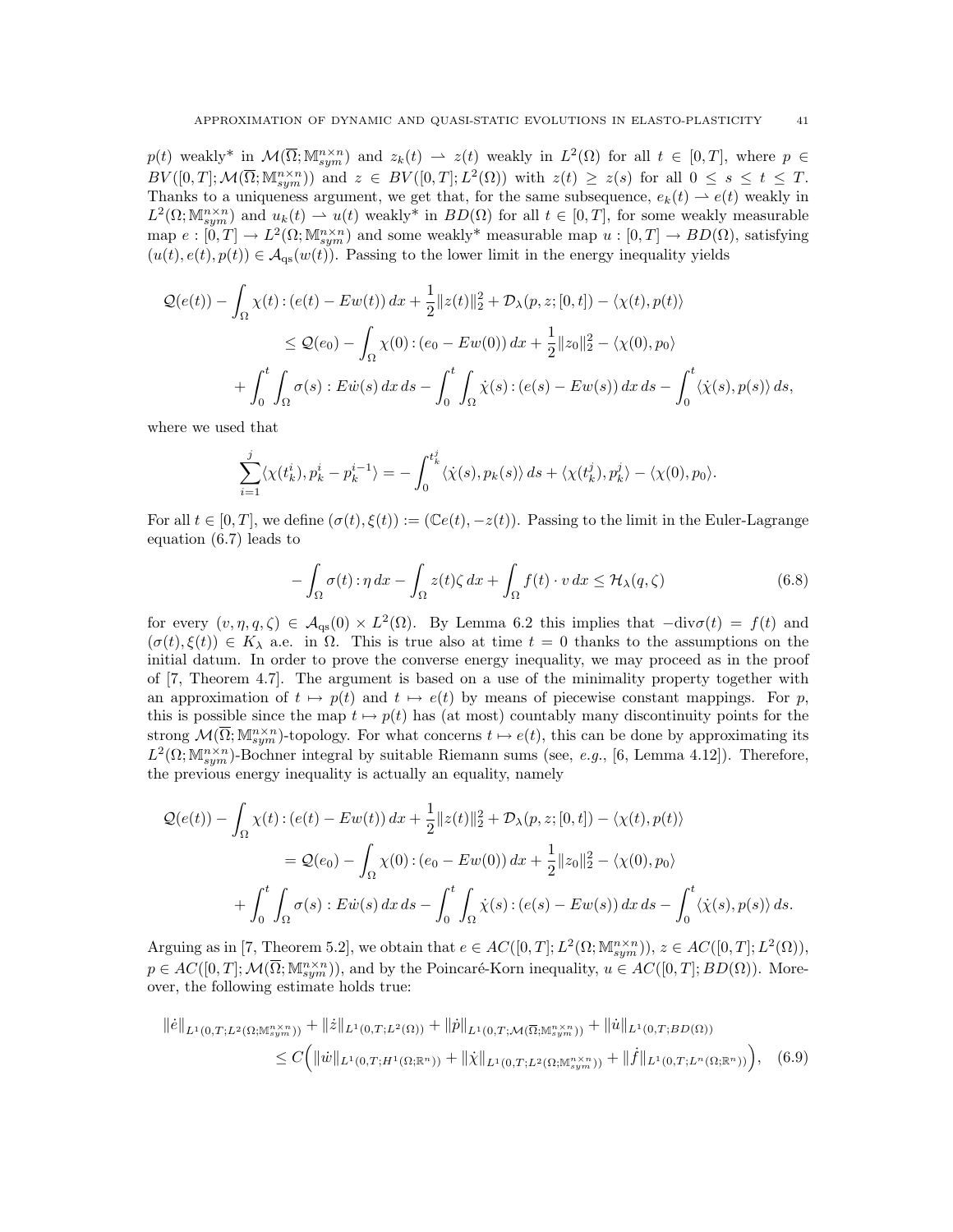$p(t)$  weakly<sup>\*</sup> in  $\mathcal{M}(\overline{\Omega}; \mathbb{M}^{n \times n}_{sym})$  and  $z_k(t) \rightharpoonup z(t)$  weakly in  $L^2(\Omega)$  for all  $t \in [0, T]$ , where  $p \in$  $BV([0,T];\mathcal{M}(\overline{\Omega}; \mathbb{M}^{n\times n}_{sym}))$  and  $z\in BV([0,T];L^2(\Omega))$  with  $z(t)\geq z(s)$  for all  $0\leq s\leq t\leq T$ . Thanks to a uniqueness argument, we get that, for the same subsequence,  $e_k(t) \rightharpoonup e(t)$  weakly in  $L^2(\Omega; \mathbb{M}^{n \times n}_{sym})$  and  $u_k(t) \rightharpoonup u(t)$  weakly<sup>\*</sup> in  $BD(\Omega)$  for all  $t \in [0, T]$ , for some weakly measurable map  $e: [0,T] \to L^2(\Omega;\mathbb{M}^{n\times n}_{sym})$  and some weakly\* measurable map  $u: [0,T] \to BD(\Omega)$ , satisfying  $(u(t), e(t), p(t)) \in \mathcal{A}_{\text{qs}}(w(t))$ . Passing to the lower limit in the energy inequality yields

$$
\mathcal{Q}(e(t)) - \int_{\Omega} \chi(t) : (e(t) - Ew(t)) dx + \frac{1}{2} ||z(t)||_2^2 + \mathcal{D}_{\lambda}(p, z; [0, t]) - \langle \chi(t), p(t) \rangle
$$
  
\n
$$
\leq \mathcal{Q}(e_0) - \int_{\Omega} \chi(0) : (e_0 - Ew(0)) dx + \frac{1}{2} ||z_0||_2^2 - \langle \chi(0), p_0 \rangle
$$
  
\n
$$
+ \int_0^t \int_{\Omega} \sigma(s) : E\dot{w}(s) dx ds - \int_0^t \int_{\Omega} \dot{\chi}(s) : (e(s) - Ew(s)) dx ds - \int_0^t \langle \dot{\chi}(s), p(s) \rangle ds,
$$

where we used that

$$
\sum_{i=1}^{j} \langle \chi(t_k^i), p_k^i - p_k^{i-1} \rangle = - \int_0^{t_k^j} \langle \dot{\chi}(s), p_k(s) \rangle \, ds + \langle \chi(t_k^j), p_k^j \rangle - \langle \chi(0), p_0 \rangle.
$$

For all  $t \in [0, T]$ , we define  $(\sigma(t), \xi(t)) := (\mathbb{C}e(t), -z(t))$ . Passing to the limit in the Euler-Lagrange equation (6.7) leads to

$$
-\int_{\Omega} \sigma(t) : \eta \, dx - \int_{\Omega} z(t)\zeta \, dx + \int_{\Omega} f(t) \cdot v \, dx \le \mathcal{H}_{\lambda}(q, \zeta)
$$
\n(6.8)

for every  $(v, \eta, q, \zeta) \in \mathcal{A}_{qs}(0) \times L^2(\Omega)$ . By Lemma 6.2 this implies that  $-\text{div}\sigma(t) = f(t)$  and  $(\sigma(t), \xi(t)) \in K_\lambda$  a.e. in  $\Omega$ . This is true also at time  $t = 0$  thanks to the assumptions on the initial datum. In order to prove the converse energy inequality, we may proceed as in the proof of [7, Theorem 4.7]. The argument is based on a use of the minimality property together with an approximation of  $t \mapsto p(t)$  and  $t \mapsto e(t)$  by means of piecewise constant mappings. For p, this is possible since the map  $t \mapsto p(t)$  has (at most) countably many discontinuity points for the strong  $\mathcal{M}(\overline{\Omega}; \mathbb{M}^{n \times n}_{sym})$ -topology. For what concerns  $t \mapsto e(t)$ , this can be done by approximating its  $L^2(\Omega; \mathbb{M}^{n\times n}_{sym})$ -Bochner integral by suitable Riemann sums (see, e.g., [6, Lemma 4.12]). Therefore, the previous energy inequality is actually an equality, namely

$$
\mathcal{Q}(e(t)) - \int_{\Omega} \chi(t) : (e(t) - Ew(t)) dx + \frac{1}{2} ||z(t)||_2^2 + \mathcal{D}_{\lambda}(p, z; [0, t]) - \langle \chi(t), p(t) \rangle
$$
  
\n
$$
= \mathcal{Q}(e_0) - \int_{\Omega} \chi(0) : (e_0 - Ew(0)) dx + \frac{1}{2} ||z_0||_2^2 - \langle \chi(0), p_0 \rangle
$$
  
\n
$$
+ \int_0^t \int_{\Omega} \sigma(s) : E\dot{w}(s) dx ds - \int_0^t \int_{\Omega} \dot{\chi}(s) : (e(s) - Ew(s)) dx ds - \int_0^t \langle \dot{\chi}(s), p(s) \rangle ds.
$$

Arguing as in [7, Theorem 5.2], we obtain that  $e \in AC([0,T]; L^2(\Omega; \mathbb{M}^{n \times n}_{sym}))$ ,  $z \in AC([0,T]; L^2(\Omega))$ ,  $p \in AC([0, T]; \mathcal{M}(\overline{\Omega}; \mathbb{M}^{n \times n}_{sym}))$ , and by the Poincaré-Korn inequality,  $u \in AC([0, T]; BD(\Omega))$ . Moreover, the following estimate holds true:

$$
\|\dot{e}\|_{L^{1}(0,T;L^{2}(\Omega;\mathbb{M}_{sym}^{n\times n}))} + \|\dot{z}\|_{L^{1}(0,T;L^{2}(\Omega))} + \|\dot{p}\|_{L^{1}(0,T;\mathcal{M}(\overline{\Omega};\mathbb{M}_{sym}^{n\times n}))} + \|\dot{u}\|_{L^{1}(0,T;BD(\Omega))}
$$
  
\n
$$
\leq C \Big( \|\dot{w}\|_{L^{1}(0,T;H^{1}(\Omega;\mathbb{R}^{n}))} + \|\dot{\chi}\|_{L^{1}(0,T;L^{2}(\Omega;\mathbb{M}_{sym}^{n\times n}))} + \|\dot{f}\|_{L^{1}(0,T;L^{n}(\Omega;\mathbb{R}^{n}))} \Big), \quad (6.9)
$$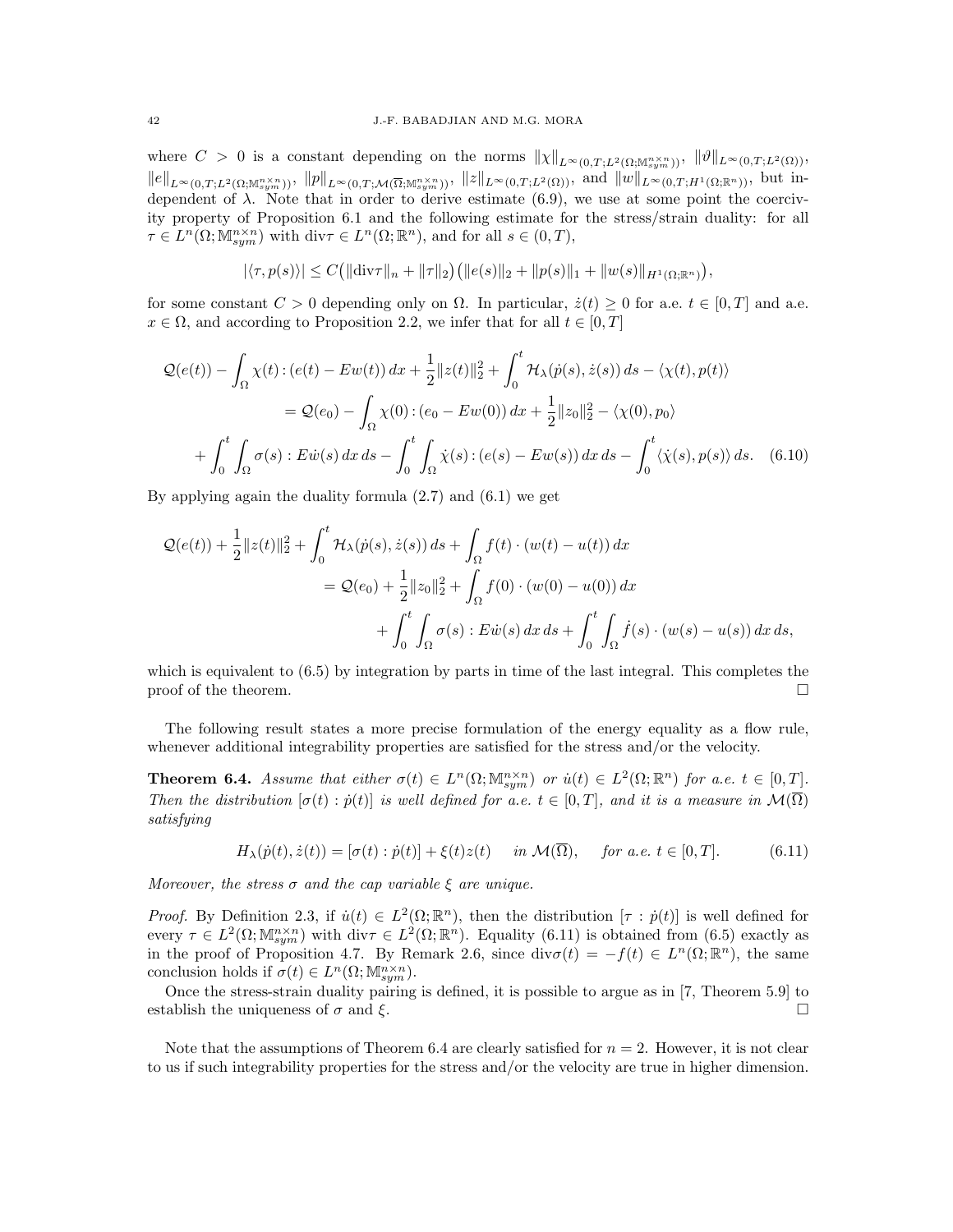where  $C > 0$  is a constant depending on the norms  $\|\chi\|_{L^{\infty}(0,T;L^2(\Omega;\mathbb{M}^{n\times n}_{sym}))}$ ,  $\|\vartheta\|_{L^{\infty}(0,T;L^2(\Omega))}$ ,  $||e||_{L^{\infty}(0,T;L^{2}(\Omega;\mathbb{M}^{n\times n}_{sym}))}, ||p||_{L^{\infty}(0,T;\mathcal{M}(\overline{\Omega};\mathbb{M}^{n\times n}_{sym}))}, ||z||_{L^{\infty}(0,T;L^{2}(\Omega))}, \text{ and } ||w||_{L^{\infty}(0,T;H^{1}(\Omega;\mathbb{R}^{n}))}, \text{ but in-}$ dependent of  $\lambda$ . Note that in order to derive estimate (6.9), we use at some point the coercivity property of Proposition 6.1 and the following estimate for the stress/strain duality: for all  $\tau \in L^n(\Omega; \mathbb{M}^{n \times n}_{sym})$  with  $\text{div}\tau \in L^n(\Omega; \mathbb{R}^n)$ , and for all  $s \in (0, T)$ ,

$$
|\langle \tau, p(s) \rangle| \le C \big( \|\text{div}\,\tau\|_n + \|\tau\|_2 \big) \big( \|e(s)\|_2 + \|p(s)\|_1 + \|w(s)\|_{H^1(\Omega;\mathbb{R}^n)} \big),
$$

for some constant  $C > 0$  depending only on  $\Omega$ . In particular,  $\dot{z}(t) \geq 0$  for a.e.  $t \in [0, T]$  and a.e.  $x \in \Omega$ , and according to Proposition 2.2, we infer that for all  $t \in [0, T]$ 

$$
\mathcal{Q}(e(t)) - \int_{\Omega} \chi(t) : (e(t) - Ew(t)) dx + \frac{1}{2} ||z(t)||_2^2 + \int_0^t \mathcal{H}_{\lambda}(p(s), \dot{z}(s)) ds - \langle \chi(t), p(t) \rangle
$$
  
\n
$$
= \mathcal{Q}(e_0) - \int_{\Omega} \chi(0) : (e_0 - Ew(0)) dx + \frac{1}{2} ||z_0||_2^2 - \langle \chi(0), p_0 \rangle
$$
  
\n
$$
+ \int_0^t \int_{\Omega} \sigma(s) : E\dot{w}(s) dx ds - \int_0^t \int_{\Omega} \dot{\chi}(s) : (e(s) - Ew(s)) dx ds - \int_0^t \langle \dot{\chi}(s), p(s) \rangle ds. \quad (6.10)
$$

By applying again the duality formula (2.7) and (6.1) we get

$$
\mathcal{Q}(e(t)) + \frac{1}{2} ||z(t)||_2^2 + \int_0^t \mathcal{H}_{\lambda}(p(s), \dot{z}(s)) ds + \int_{\Omega} f(t) \cdot (w(t) - u(t)) dx
$$
  
=  $\mathcal{Q}(e_0) + \frac{1}{2} ||z_0||_2^2 + \int_{\Omega} f(0) \cdot (w(0) - u(0)) dx$   
+  $\int_0^t \int_{\Omega} \sigma(s) : E \dot{w}(s) dx ds + \int_0^t \int_{\Omega} \dot{f}(s) \cdot (w(s) - u(s)) dx ds,$ 

which is equivalent to (6.5) by integration by parts in time of the last integral. This completes the proof of the theorem.  $\Box$ 

The following result states a more precise formulation of the energy equality as a flow rule, whenever additional integrability properties are satisfied for the stress and/or the velocity.

**Theorem 6.4.** Assume that either  $\sigma(t) \in L^n(\Omega; \mathbb{M}^{n \times n}_{sym})$  or  $\dot{u}(t) \in L^2(\Omega; \mathbb{R}^n)$  for a.e.  $t \in [0, T]$ . Then the distribution  $[\sigma(t): \dot{p}(t)]$  is well defined for a.e.  $t \in [0,T]$ , and it is a measure in  $\mathcal{M}(\overline{\Omega})$ satisfying

$$
H_{\lambda}(\dot{p}(t), \dot{z}(t)) = [\sigma(t) : \dot{p}(t)] + \xi(t)z(t) \quad in \mathcal{M}(\overline{\Omega}), \quad \text{for a.e. } t \in [0, T]. \tag{6.11}
$$

Moreover, the stress  $\sigma$  and the cap variable  $\xi$  are unique.

*Proof.* By Definition 2.3, if  $\dot{u}(t) \in L^2(\Omega;\mathbb{R}^n)$ , then the distribution  $[\tau : \dot{p}(t)]$  is well defined for every  $\tau \in L^2(\Omega; \mathbb{M}^{n \times n}_{sym})$  with div $\tau \in L^2(\Omega; \mathbb{R}^n)$ . Equality (6.11) is obtained from (6.5) exactly as in the proof of Proposition 4.7. By Remark 2.6, since  $\text{div}\sigma(t) = -f(t) \in L^{n}(\Omega;\mathbb{R}^{n})$ , the same conclusion holds if  $\sigma(t) \in L^n(\Omega; \mathbb{M}^{n \times n}_{sym})$ .

Once the stress-strain duality pairing is defined, it is possible to argue as in [7, Theorem 5.9] to establish the uniqueness of  $\sigma$  and  $\xi$ .

Note that the assumptions of Theorem 6.4 are clearly satisfied for  $n = 2$ . However, it is not clear to us if such integrability properties for the stress and/or the velocity are true in higher dimension.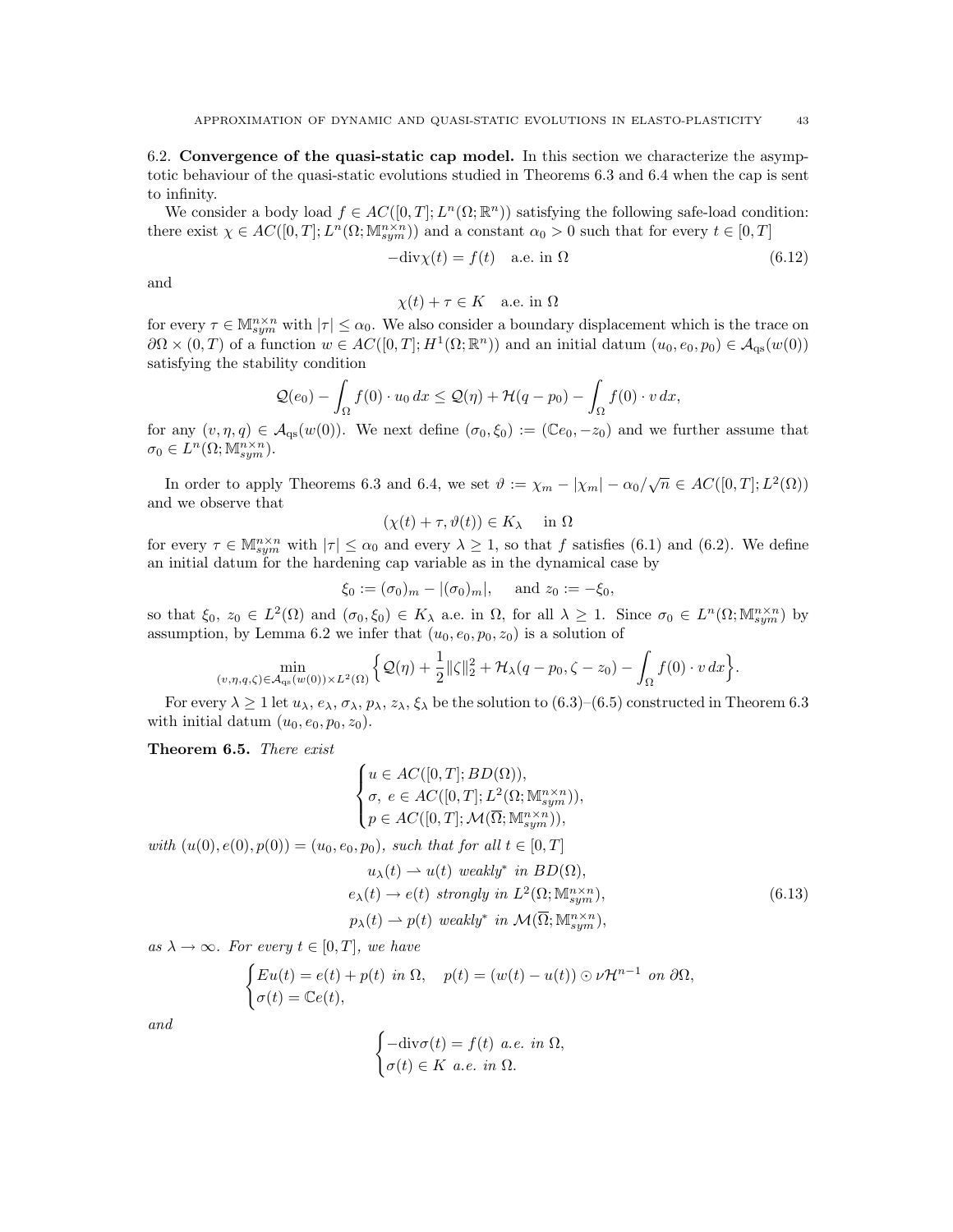6.2. Convergence of the quasi-static cap model. In this section we characterize the asymptotic behaviour of the quasi-static evolutions studied in Theorems 6.3 and 6.4 when the cap is sent to infinity.

We consider a body load  $f \in AC([0,T]; L^n(\Omega;\mathbb{R}^n))$  satisfying the following safe-load condition: there exist  $\chi \in AC([0,T]; L^n(\Omega; \mathbb{M}^{n \times n}_{sym}))$  and a constant  $\alpha_0 > 0$  such that for every  $t \in [0,T]$ 

$$
-div\chi(t) = f(t) \quad \text{a.e. in } \Omega \tag{6.12}
$$

and

$$
\chi(t) + \tau \in K \quad \text{a.e. in } \Omega
$$

for every  $\tau \in \mathbb{M}_{sym}^{n \times n}$  with  $|\tau| \leq \alpha_0$ . We also consider a boundary displacement which is the trace on  $\partial\Omega\times(0,T)$  of a function  $w\in AC([0,T];H^1(\Omega;\mathbb{R}^n))$  and an initial datum  $(u_0,e_0,p_0)\in\mathcal{A}_{qs}(w(0))$ satisfying the stability condition

$$
\mathcal{Q}(e_0) - \int_{\Omega} f(0) \cdot u_0 dx \leq \mathcal{Q}(\eta) + \mathcal{H}(q - p_0) - \int_{\Omega} f(0) \cdot v dx,
$$

for any  $(v, \eta, q) \in \mathcal{A}_{qs}(w(0))$ . We next define  $(\sigma_0, \xi_0) := (\mathbb{C}e_0, -z_0)$  and we further assume that  $\sigma_0 \in L^n(\Omega; \mathbb{M}^{n \times n}_{sym}).$ 

In order to apply Theorems 6.3 and 6.4, we set  $\vartheta := \chi_m - |\chi_m| - \alpha_0/\sqrt{n} \in AC([0, T]; L^2(\Omega))$ and we observe that

$$
(\chi(t) + \tau, \vartheta(t)) \in K_{\lambda} \quad \text{in } \Omega
$$

for every  $\tau \in M_{sym}^{n \times n}$  with  $|\tau| \leq \alpha_0$  and every  $\lambda \geq 1$ , so that f satisfies (6.1) and (6.2). We define an initial datum for the hardening cap variable as in the dynamical case by

 $\xi_0 := (\sigma_0)_m - |(\sigma_0)_m|, \quad \text{and } z_0 := -\xi_0,$ 

so that  $\xi_0, z_0 \in L^2(\Omega)$  and  $(\sigma_0, \xi_0) \in K_\lambda$  a.e. in  $\Omega$ , for all  $\lambda \geq 1$ . Since  $\sigma_0 \in L^n(\Omega; \mathbb{M}^{n \times n}_{sym})$  by assumption, by Lemma 6.2 we infer that  $(u_0, e_0, p_0, z_0)$  is a solution of

$$
\min_{(v,\eta,q,\zeta)\in\mathcal{A}_{\mathrm{qs}}(w(0))\times L^{2}(\Omega)}\Big\{\mathcal{Q}(\eta)+\frac{1}{2}\|\zeta\|_{2}^{2}+\mathcal{H}_{\lambda}(q-p_{0},\zeta-z_{0})-\int_{\Omega}f(0)\cdot v\,dx\Big\}.
$$

For every  $\lambda \geq 1$  let  $u_\lambda, e_\lambda, \sigma_\lambda, p_\lambda, z_\lambda, \xi_\lambda$  be the solution to  $(6.3)-(6.5)$  constructed in Theorem 6.3 with initial datum  $(u_0, e_0, p_0, z_0)$ .

Theorem 6.5. There exist

$$
\begin{cases} u \in AC([0,T]; BD(\Omega)), \\ \sigma, \ e \in AC([0,T]; L^2(\Omega; \mathbb{M}^{n \times n}_{sym})), \\ p \in AC([0,T]; \mathcal{M}(\overline{\Omega}; \mathbb{M}^{n \times n}_{sym})), \end{cases}
$$

with  $(u(0), e(0), p(0)) = (u_0, e_0, p_0)$ , such that for all  $t \in [0, T]$ 

$$
u_{\lambda}(t) \rightarrow u(t) \ weakly^* \ in \ BD(\Omega),
$$
  
\n
$$
e_{\lambda}(t) \rightarrow e(t) \ strongly \ in \ L^{2}(\Omega; \mathbb{M}^{n \times n}_{sym}),
$$
  
\n
$$
p_{\lambda}(t) \rightarrow p(t) \ weakly^* \ in \ \mathcal{M}(\overline{\Omega}; \mathbb{M}^{n \times n}_{sym}),
$$
  
\n(6.13)

as  $\lambda \to \infty$ . For every  $t \in [0, T]$ , we have

$$
\begin{cases} Eu(t) = e(t) + p(t) \text{ in } \Omega, \quad p(t) = (w(t) - u(t)) \odot \nu \mathcal{H}^{n-1} \text{ on } \partial \Omega, \\ \sigma(t) = \mathbb{C}e(t), \end{cases}
$$

and

$$
\begin{cases}\n-\text{div}\sigma(t) = f(t) \ a.e. \ in \ \Omega, \\
\sigma(t) \in K \ a.e. \ in \ \Omega.\n\end{cases}
$$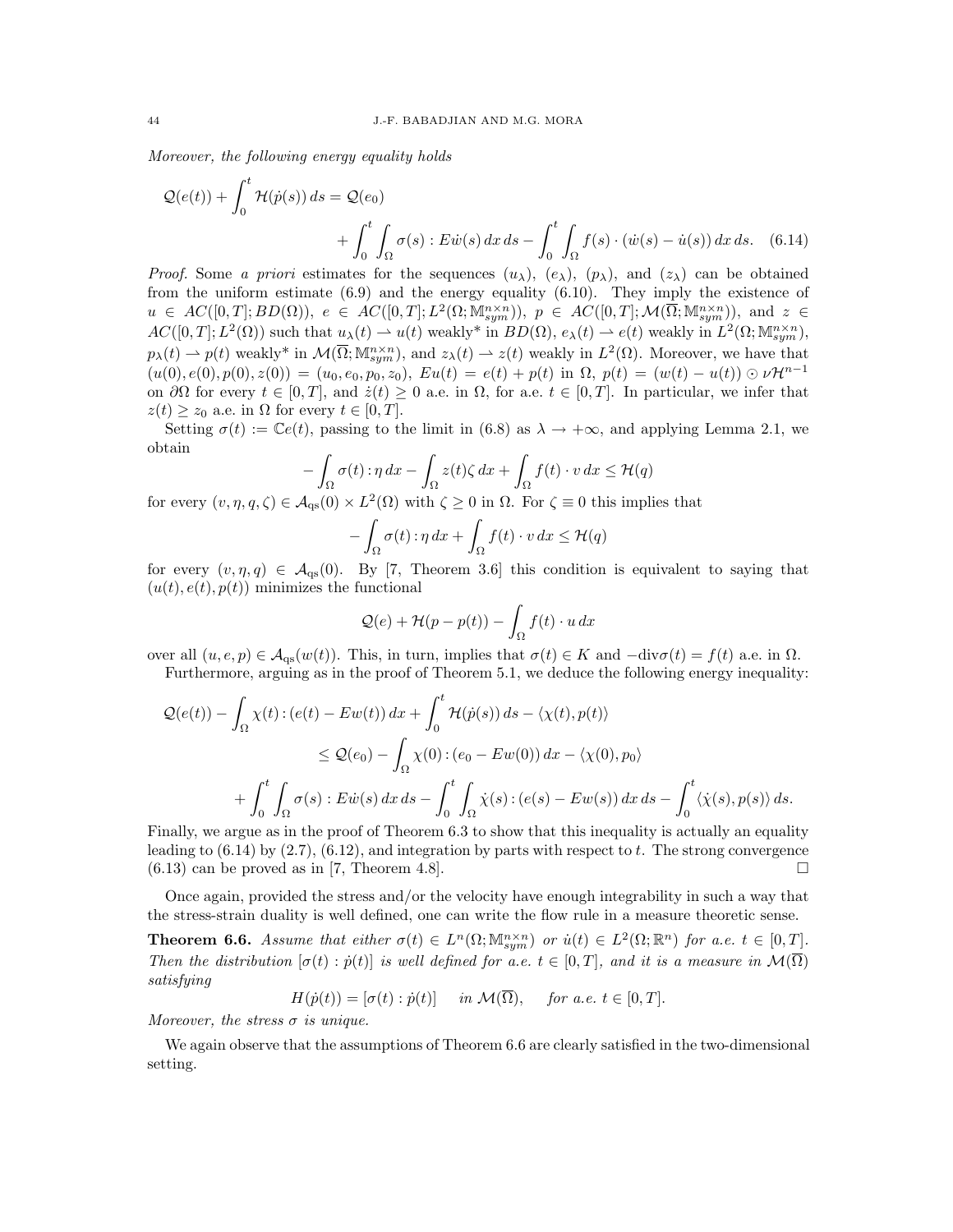Moreover, the following energy equality holds

$$
\mathcal{Q}(e(t)) + \int_0^t \mathcal{H}(\dot{p}(s)) ds = \mathcal{Q}(e_0)
$$
  
+ 
$$
\int_0^t \int_{\Omega} \sigma(s) : E\dot{w}(s) dx ds - \int_0^t \int_{\Omega} f(s) \cdot (\dot{w}(s) - \dot{u}(s)) dx ds. \quad (6.14)
$$

*Proof.* Some a priori estimates for the sequences  $(u_\lambda)$ ,  $(e_\lambda)$ ,  $(p_\lambda)$ , and  $(z_\lambda)$  can be obtained from the uniform estimate (6.9) and the energy equality (6.10). They imply the existence of  $u \in AC([0,T]; BD(\Omega)), e \in AC([0,T]; L^2(\Omega; \mathbb{M}^{n \times n}_{sym})), p \in AC([0,T]; \mathcal{M}(\overline{\Omega}; \mathbb{M}^{n \times n}_{sym})),$  and  $z \in$  $AC([0,T]; L^2(\Omega))$  such that  $u_\lambda(t) \rightharpoonup u(t)$  weakly\* in  $BD(\Omega), e_\lambda(t) \rightharpoonup e(t)$  weakly in  $L^2(\Omega; \mathbb{M}^{n \times n}_{sym}),$  $p_{\lambda}(t) \to p(t)$  weakly\* in  $\mathcal{M}(\overline{\Omega}; \mathbb{M}^{n \times n}_{sym})$ , and  $z_{\lambda}(t) \to z(t)$  weakly in  $L^2(\Omega)$ . Moreover, we have that  $(u(0), e(0), p(0), z(0)) = (u_0, e_0, p_0, z_0), E u(t) = e(t) + p(t) \text{ in } \Omega, p(t) = (w(t) - u(t)) \odot \nu \mathcal{H}^{n-1}$ on  $\partial\Omega$  for every  $t \in [0, T]$ , and  $\dot{z}(t) \geq 0$  a.e. in  $\Omega$ , for a.e.  $t \in [0, T]$ . In particular, we infer that  $z(t) \geq z_0$  a.e. in  $\Omega$  for every  $t \in [0, T]$ .

Setting  $\sigma(t) := \mathbb{C}e(t)$ , passing to the limit in (6.8) as  $\lambda \to +\infty$ , and applying Lemma 2.1, we obtain

$$
-\int_{\Omega} \sigma(t) : \eta \, dx - \int_{\Omega} z(t)\zeta \, dx + \int_{\Omega} f(t) \cdot v \, dx \le \mathcal{H}(q)
$$
  
4. (0)  $\times L^2(\Omega)$  with  $\zeta > 0$  in  $\Omega$ . For  $\zeta = 0$ , this imply

for every  $(v, \eta, q, \zeta) \in \mathcal{A}_{qs}(0) \times L^2(\Omega)$  with  $\zeta \geq 0$  in  $\Omega$ . For  $\zeta \equiv 0$  this implies that

$$
-\int_{\Omega} \sigma(t) : \eta \, dx + \int_{\Omega} f(t) \cdot v \, dx \le \mathcal{H}(q)
$$

for every  $(v, \eta, q) \in \mathcal{A}_{qs}(0)$ . By [7, Theorem 3.6] this condition is equivalent to saying that  $(u(t), e(t), p(t))$  minimizes the functional

$$
Q(e) + \mathcal{H}(p - p(t)) - \int_{\Omega} f(t) \cdot u \, dx
$$

over all  $(u, e, p) \in A_{\text{qs}}(w(t))$ . This, in turn, implies that  $\sigma(t) \in K$  and  $-\text{div}\sigma(t) = f(t)$  a.e. in  $\Omega$ . Furthermore, arguing as in the proof of Theorem 5.1, we deduce the following energy inequality:

$$
\mathcal{Q}(e(t)) - \int_{\Omega} \chi(t) : (e(t) - Ew(t)) dx + \int_{0}^{t} \mathcal{H}(\dot{p}(s)) ds - \langle \chi(t), p(t) \rangle
$$
  
\n
$$
\leq \mathcal{Q}(e_0) - \int_{\Omega} \chi(0) : (e_0 - Ew(0)) dx - \langle \chi(0), p_0 \rangle
$$
  
\n
$$
+ \int_{0}^{t} \int_{\Omega} \sigma(s) : E\dot{w}(s) dx ds - \int_{0}^{t} \int_{\Omega} \dot{\chi}(s) : (e(s) - Ew(s)) dx ds - \int_{0}^{t} \langle \dot{\chi}(s), p(s) \rangle ds.
$$

Finally, we argue as in the proof of Theorem 6.3 to show that this inequality is actually an equality leading to  $(6.14)$  by  $(2.7)$ ,  $(6.12)$ , and integration by parts with respect to t. The strong convergence  $(6.13)$  can be proved as in [7, Theorem 4.8].

Once again, provided the stress and/or the velocity have enough integrability in such a way that the stress-strain duality is well defined, one can write the flow rule in a measure theoretic sense.

**Theorem 6.6.** Assume that either  $\sigma(t) \in L^n(\Omega; \mathbb{M}^{n \times n}_{sym})$  or  $\dot{u}(t) \in L^2(\Omega; \mathbb{R}^n)$  for a.e.  $t \in [0, T]$ . Then the distribution  $[\sigma(t): \dot{p}(t)]$  is well defined for a.e.  $t \in [0,T]$ , and it is a measure in  $\mathcal{M}(\overline{\Omega})$ satisfying

$$
H(\dot{p}(t)) = [\sigma(t) : \dot{p}(t)] \quad in \mathcal{M}(\Omega), \quad \text{for a.e. } t \in [0, T].
$$

Moreover, the stress  $\sigma$  is unique.

We again observe that the assumptions of Theorem 6.6 are clearly satisfied in the two-dimensional setting.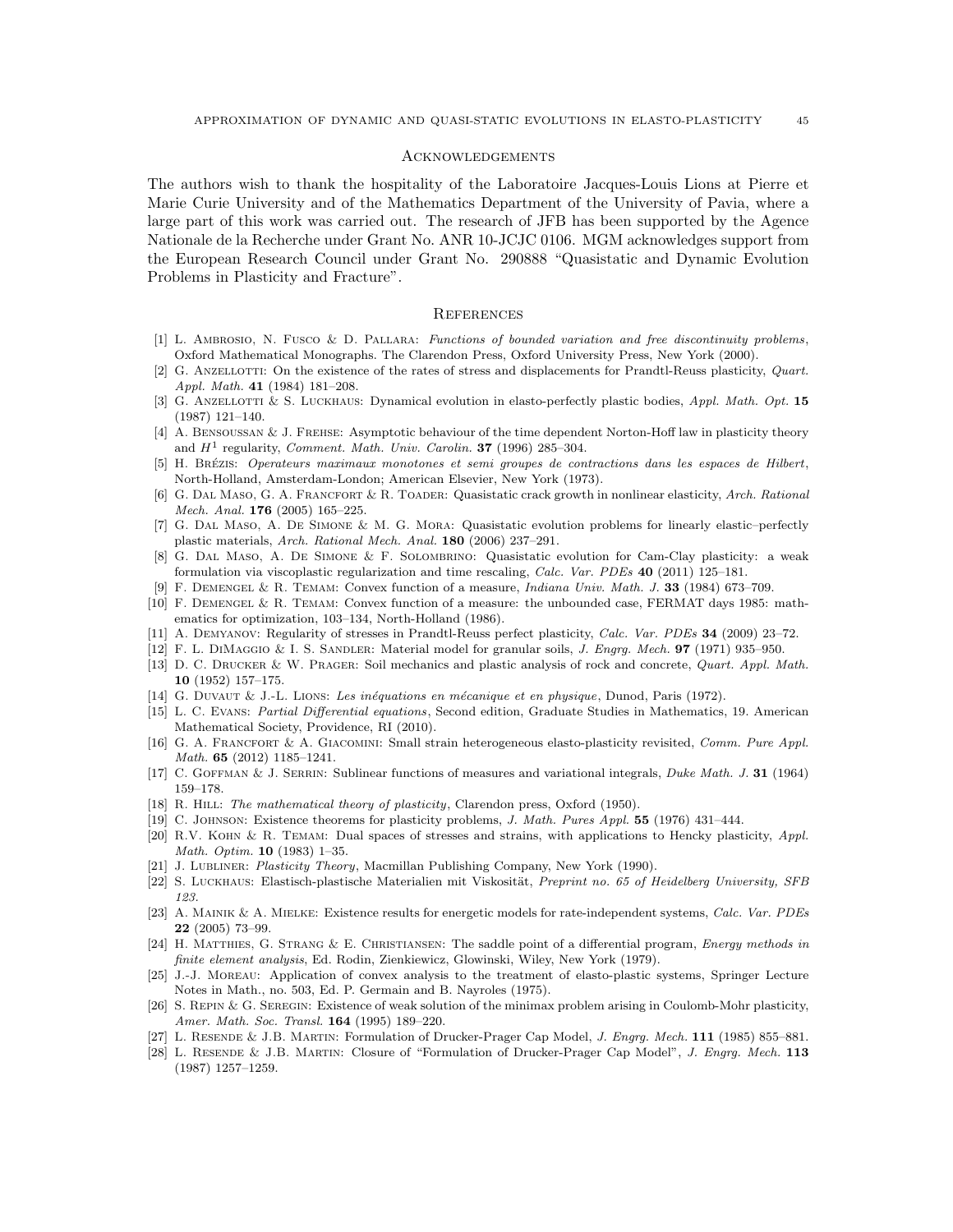### **ACKNOWLEDGEMENTS**

The authors wish to thank the hospitality of the Laboratoire Jacques-Louis Lions at Pierre et Marie Curie University and of the Mathematics Department of the University of Pavia, where a large part of this work was carried out. The research of JFB has been supported by the Agence Nationale de la Recherche under Grant No. ANR 10-JCJC 0106. MGM acknowledges support from the European Research Council under Grant No. 290888 "Quasistatic and Dynamic Evolution Problems in Plasticity and Fracture".

### **REFERENCES**

- [1] L. Ambrosio, N. Fusco & D. Pallara: Functions of bounded variation and free discontinuity problems, Oxford Mathematical Monographs. The Clarendon Press, Oxford University Press, New York (2000).
- [2] G. ANZELLOTTI: On the existence of the rates of stress and displacements for Prandtl-Reuss plasticity, Quart. Appl. Math. 41 (1984) 181–208.
- [3] G. ANZELLOTTI & S. LUCKHAUS: Dynamical evolution in elasto-perfectly plastic bodies, Appl. Math. Opt. 15 (1987) 121–140.
- [4] A. BENSOUSSAN & J. FREHSE: Asymptotic behaviour of the time dependent Norton-Hoff law in plasticity theory and  $H^1$  regularity, *Comment. Math. Univ. Carolin.* **37** (1996) 285-304.
- [5] H. BRÉZIS: Operateurs maximaux monotones et semi groupes de contractions dans les espaces de Hilbert, North-Holland, Amsterdam-London; American Elsevier, New York (1973).
- [6] G. DAL MASO, G. A. FRANCFORT & R. TOADER: Quasistatic crack growth in nonlinear elasticity, Arch. Rational Mech. Anal. 176 (2005) 165–225.
- [7] G. Dal Maso, A. De Simone & M. G. Mora: Quasistatic evolution problems for linearly elastic–perfectly plastic materials, Arch. Rational Mech. Anal. 180 (2006) 237–291.
- [8] G. Dal Maso, A. De Simone & F. Solombrino: Quasistatic evolution for Cam-Clay plasticity: a weak formulation via viscoplastic regularization and time rescaling, Calc. Var. PDEs 40 (2011) 125–181.
- [9] F. Demengel & R. Temam: Convex function of a measure, Indiana Univ. Math. J. 33 (1984) 673–709.
- [10] F. Demengel & R. Temam: Convex function of a measure: the unbounded case, FERMAT days 1985: mathematics for optimization, 103–134, North-Holland (1986).
- [11] A. Demyanov: Regularity of stresses in Prandtl-Reuss perfect plasticity, Calc. Var. PDEs 34 (2009) 23–72.
- [12] F. L. DIMAGGIO & I. S. SANDLER: Material model for granular soils, *J. Engrg. Mech.* **97** (1971) 935–950.
- [13] D. C. Drucker & W. Prager: Soil mechanics and plastic analysis of rock and concrete, Quart. Appl. Math. 10 (1952) 157–175.
- [14] G. DUVAUT & J.-L. LIONS: Les inéquations en mécanique et en physique, Dunod, Paris (1972).
- [15] L. C. Evans: Partial Differential equations, Second edition, Graduate Studies in Mathematics, 19. American Mathematical Society, Providence, RI (2010).
- [16] G. A. FRANCFORT & A. GIACOMINI: Small strain heterogeneous elasto-plasticity revisited, Comm. Pure Appl. Math. 65 (2012) 1185–1241.
- [17] C. GOFFMAN & J. SERRIN: Sublinear functions of measures and variational integrals, Duke Math. J. 31 (1964) 159–178.
- [18] R. HILL: The mathematical theory of plasticity, Clarendon press, Oxford (1950).
- [19] C. Johnson: Existence theorems for plasticity problems, J. Math. Pures Appl. 55 (1976) 431–444.
- [20] R.V. Kohn & R. Temam: Dual spaces of stresses and strains, with applications to Hencky plasticity, Appl. Math. Optim. 10 (1983) 1–35.
- [21] J. Lubliner: Plasticity Theory, Macmillan Publishing Company, New York (1990).
- [22] S. LUCKHAUS: Elastisch-plastische Materialien mit Viskosität, Preprint no. 65 of Heidelberg University, SFB 123.
- [23] A. MAINIK & A. MIELKE: Existence results for energetic models for rate-independent systems, Calc. Var. PDEs 22 (2005) 73–99.
- [24] H. MATTHIES, G. STRANG & E. CHRISTIANSEN: The saddle point of a differential program, Energy methods in finite element analysis, Ed. Rodin, Zienkiewicz, Glowinski, Wiley, New York (1979).
- [25] J.-J. Moreau: Application of convex analysis to the treatment of elasto-plastic systems, Springer Lecture Notes in Math., no. 503, Ed. P. Germain and B. Nayroles (1975).
- [26] S. Repin & G. Seregin: Existence of weak solution of the minimax problem arising in Coulomb-Mohr plasticity, Amer. Math. Soc. Transl. 164 (1995) 189–220.
- [27] L. RESENDE & J.B. MARTIN: Formulation of Drucker-Prager Cap Model, *J. Engrg. Mech.* 111 (1985) 855–881.
- [28] L. Resende & J.B. Martin: Closure of "Formulation of Drucker-Prager Cap Model", J. Engrg. Mech. 113 (1987) 1257–1259.